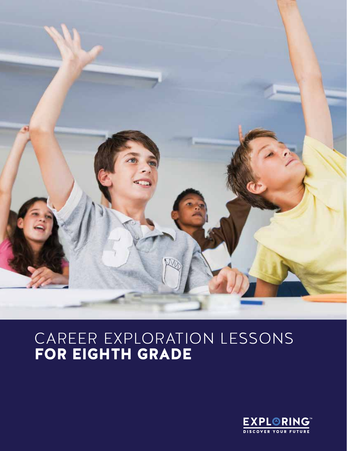

## CAREER EXPLORATION LESSONS FOR EIGHTH GRADE

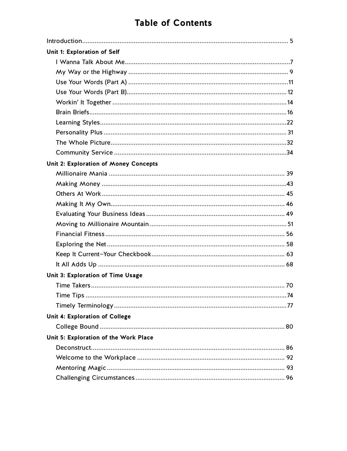## **Table of Contents**

| Unit 1: Exploration of Self           |  |
|---------------------------------------|--|
|                                       |  |
|                                       |  |
|                                       |  |
|                                       |  |
|                                       |  |
|                                       |  |
|                                       |  |
|                                       |  |
|                                       |  |
|                                       |  |
| Unit 2: Exploration of Money Concepts |  |
|                                       |  |
|                                       |  |
|                                       |  |
|                                       |  |
|                                       |  |
|                                       |  |
|                                       |  |
|                                       |  |
|                                       |  |
|                                       |  |
| Unit 3: Exploration of Time Usage     |  |
|                                       |  |
|                                       |  |
|                                       |  |
| Unit 4: Exploration of College        |  |
|                                       |  |
| Unit 5: Exploration of the Work Place |  |
|                                       |  |
|                                       |  |
|                                       |  |
|                                       |  |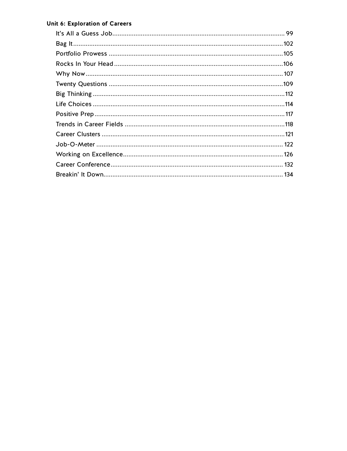#### Unit 6: Exploration of Careers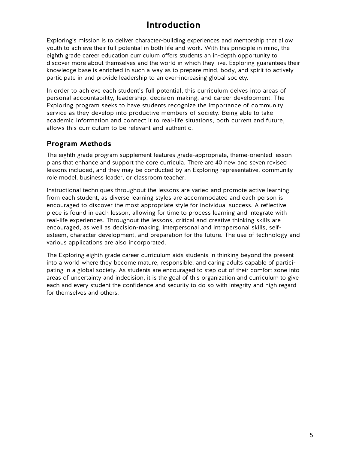## **Introduction**

Exploring's mission is to deliver character-building experiences and mentorship that allow youth to achieve their full potential in both life and work. With this principle in mind, the eighth grade career education curriculum offers students an in-depth opportunity to discover more about themselves and the world in which they live. Exploring guarantees their knowledge base is enriched in such a way as to prepare mind, body, and spirit to actively participate in and provide leadership to an ever-increasing global society.

In order to achieve each student's full potential, this curriculum delves into areas of personal accountability, leadership, decision-making, and career development. The Exploring program seeks to have students recognize the importance of community service as they develop into productive members of society. Being able to take academic information and connect it to real-life situations, both current and future, allows this curriculum to be relevant and authentic.

## **Program Methods**

The eighth grade program supplement features grade-appropriate, theme-oriented lesson plans that enhance and support the core curricula. There are 40 new and seven revised lessons included, and they may be conducted by an Exploring representative, community role model, business leader, or classroom teacher.

Instructional techniques throughout the lessons are varied and promote active learning from each student, as diverse learning styles are accommodated and each person is encouraged to discover the most appropriate style for individual success. A reflective piece is found in each lesson, allowing for time to process learning and integrate with real-life experiences. Throughout the lessons, critical and creative thinking skills are encouraged, as well as decision-making, interpersonal and intrapersonal skills, selfesteem, character development, and preparation for the future. The use of technology and various applications are also incorporated.

The Exploring eighth grade career curriculum aids students in thinking beyond the present into a world where they become mature, responsible, and caring adults capable of participating in a global society. As students are encouraged to step out of their comfort zone into areas of uncertainty and indecision, it is the goal of this organization and curriculum to give each and every student the confidence and security to do so with integrity and high regard for themselves and others.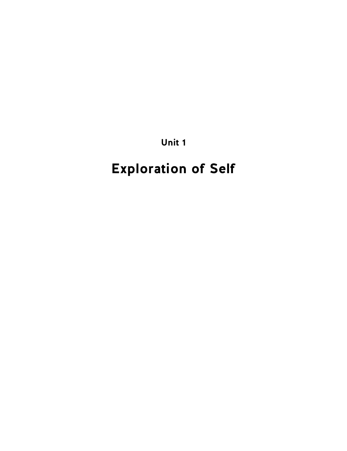**Unit 1**

# **Exploration of Self**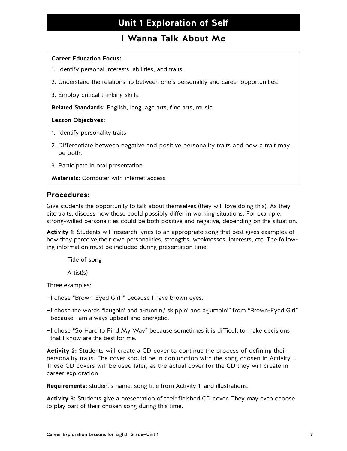## **I Wanna Talk About Me**

#### **Career Education Focus:**

- 1. Identify personal interests, abilities, and traits.
- 2. Understand the relationship between one's personality and career opportunities.
- 3. Employ critical thinking skills.

**Related Standards:** English, language arts, fine arts, music

#### **Lesson Objectives:**

- 1. Identify personality traits.
- 2. Differentiate between negative and positive personality traits and how a trait may be both.
- 3. Participate in oral presentation.
- **Materials:** Computer with internet access

#### **Procedures:**

Give students the opportunity to talk about themselves (they will love doing this). As they cite traits, discuss how these could possibly differ in working situations. For example, strong-willed personalities could be both positive and negative, depending on the situation.

**Activity 1:** Students will research lyrics to an appropriate song that best gives examples of how they perceive their own personalities, strengths, weaknesses, interests, etc. The following information must be included during presentation time:

Title of song

Artist(s)

Three examples:

- —I chose "Brown-Eyed Girl"" because I have brown eyes.
- —I chose the words "laughin' and a-runnin,' skippin' and a-jumpin'" from "Brown-Eyed Girl" because I am always upbeat and energetic.

—I chose "So Hard to Find My Way" because sometimes it is difficult to make decisions that I know are the best for me.

**Activity 2:** Students will create a CD cover to continue the process of defining their personality traits. The cover should be in conjunction with the song chosen in Activity 1. These CD covers will be used later, as the actual cover for the CD they will create in career exploration.

**Requirements:** student's name, song title from Activity 1, and illustrations.

**Activity 3:** Students give a presentation of their finished CD cover. They may even choose to play part of their chosen song during this time.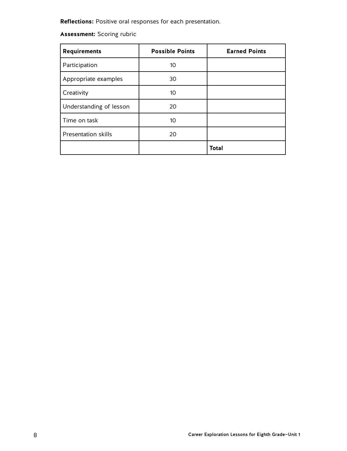**Reflections:** Positive oral responses for each presentation.

## **Assessment:** Scoring rubric

| <b>Requirements</b>        | <b>Possible Points</b> | <b>Earned Points</b> |
|----------------------------|------------------------|----------------------|
| Participation              | 10                     |                      |
| Appropriate examples       | 30                     |                      |
| Creativity                 | 10                     |                      |
| Understanding of lesson    | 20                     |                      |
| Time on task               | 10                     |                      |
| <b>Presentation skills</b> | 20                     |                      |
|                            |                        | <b>Total</b>         |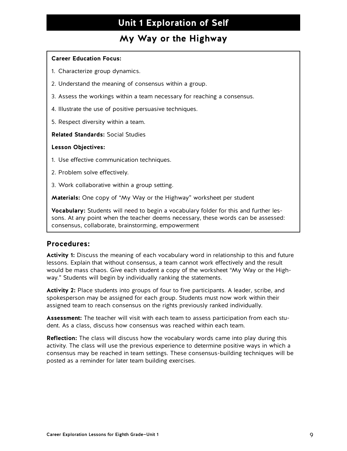## **My Way or the Highway**

#### **Career Education Focus:**

- 1. Characterize group dynamics.
- 2. Understand the meaning of consensus within a group.
- 3. Assess the workings within a team necessary for reaching a consensus.
- 4. Illustrate the use of positive persuasive techniques.
- 5. Respect diversity within a team.

**Related Standards:** Social Studies

#### **Lesson Objectives:**

- 1. Use effective communication techniques.
- 2. Problem solve effectively.
- 3. Work collaborative within a group setting.

**Materials:** One copy of "My Way or the Highway" worksheet per student

**Vocabulary:** Students will need to begin a vocabulary folder for this and further lessons. At any point when the teacher deems necessary, these words can be assessed: consensus, collaborate, brainstorming, empowerment

### **Procedures:**

**Activity 1:** Discuss the meaning of each vocabulary word in relationship to this and future lessons. Explain that without consensus, a team cannot work effectively and the result would be mass chaos. Give each student a copy of the worksheet "My Way or the Highway." Students will begin by individually ranking the statements.

**Activity 2:** Place students into groups of four to five participants. A leader, scribe, and spokesperson may be assigned for each group. Students must now work within their assigned team to reach consensus on the rights previously ranked individually.

**Assessment:** The teacher will visit with each team to assess participation from each student. As a class, discuss how consensus was reached within each team.

**Reflection:** The class will discuss how the vocabulary words came into play during this activity. The class will use the previous experience to determine positive ways in which a consensus may be reached in team settings. These consensus-building techniques will be posted as a reminder for later team building exercises.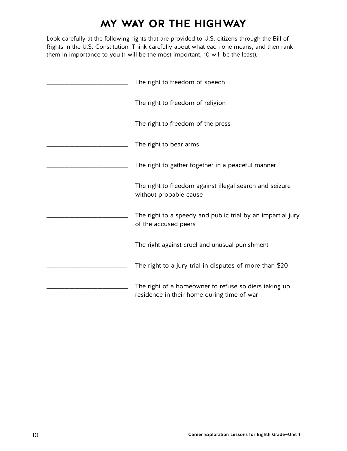## **MY WAY OR THE HIGHWAY**

Look carefully at the following rights that are provided to U.S. citizens through the Bill of Rights in the U.S. Constitution. Think carefully about what each one means, and then rank them in importance to you (1 will be the most important, 10 will be the least).

| The right to freedom of speech                                                                      |  |
|-----------------------------------------------------------------------------------------------------|--|
| The right to freedom of religion                                                                    |  |
| The right to freedom of the press                                                                   |  |
| The right to bear arms                                                                              |  |
| The right to gather together in a peaceful manner                                                   |  |
| The right to freedom against illegal search and seizure<br>without probable cause                   |  |
| The right to a speedy and public trial by an impartial jury<br>of the accused peers                 |  |
| The right against cruel and unusual punishment                                                      |  |
| The right to a jury trial in disputes of more than \$20                                             |  |
| The right of a homeowner to refuse soldiers taking up<br>residence in their home during time of war |  |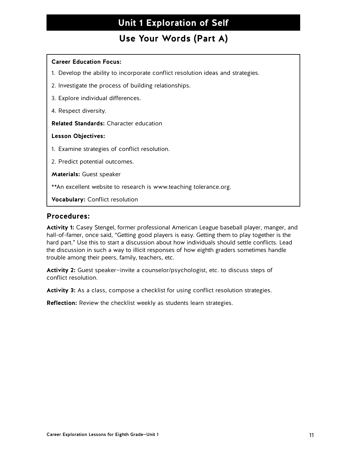## **Use Your Words (Part A)**

#### **Career Education Focus:**

- 1. Develop the ability to incorporate conflict resolution ideas and strategies.
- 2. Investigate the process of building relationships.
- 3. Explore individual differences.
- 4. Respect diversity.

**Related Standards:** Character education

#### **Lesson Objectives:**

- 1. Examine strategies of conflict resolution.
- 2. Predict potential outcomes.

**Materials:** Guest speaker

\*\*An excellent website to research is www.teaching tolerance.org.

**Vocabulary:** Conflict resolution

#### **Procedures:**

**Activity 1:** Casey Stengel, former professional American League baseball player, manger, and hall-of-famer, once said, "Getting good players is easy. Getting them to play together is the hard part." Use this to start a discussion about how individuals should settle conflicts. Lead the discussion in such a way to illicit responses of how eighth graders sometimes handle trouble among their peers, family, teachers, etc.

**Activity 2:** Guest speaker—invite a counselor/psychologist, etc. to discuss steps of conflict resolution.

**Activity 3:** As a class, compose a checklist for using conflict resolution strategies.

**Reflection:** Review the checklist weekly as students learn strategies.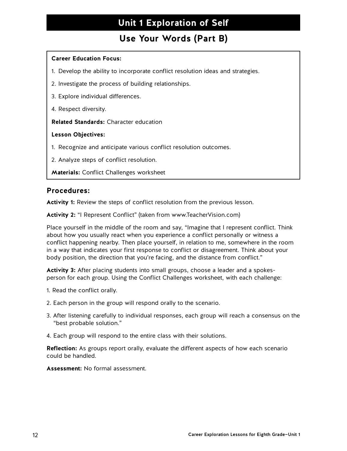## **Use Your Words (Part B)**

#### **Career Education Focus:**

- 1. Develop the ability to incorporate conflict resolution ideas and strategies.
- 2. Investigate the process of building relationships.
- 3. Explore individual differences.
- 4. Respect diversity.

**Related Standards:** Character education

#### **Lesson Objectives:**

- 1. Recognize and anticipate various conflict resolution outcomes.
- 2. Analyze steps of conflict resolution.
- **Materials:** Conflict Challenges worksheet

#### **Procedures:**

**Activity 1:** Review the steps of conflict resolution from the previous lesson.

**Activity 2:** "I Represent Conflict" (taken from www.TeacherVision.com)

Place yourself in the middle of the room and say, "Imagine that I represent conflict. Think about how you usually react when you experience a conflict personally or witness a conflict happening nearby. Then place yourself, in relation to me, somewhere in the room in a way that indicates your first response to conflict or disagreement. Think about your body position, the direction that you're facing, and the distance from conflict."

**Activity 3:** After placing students into small groups, choose a leader and a spokesperson for each group. Using the Conflict Challenges worksheet, with each challenge:

- 1. Read the conflict orally.
- 2. Each person in the group will respond orally to the scenario.
- 3. After listening carefully to individual responses, each group will reach a consensus on the "best probable solution."
- 4. Each group will respond to the entire class with their solutions.

**Reflection:** As groups report orally, evaluate the different aspects of how each scenario could be handled.

**Assessment:** No formal assessment.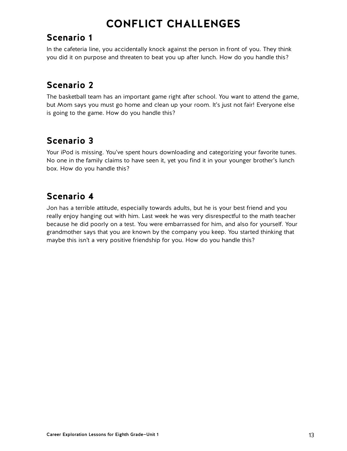## **CONFLICT CHALLENGES**

## **Scenario 1**

In the cafeteria line, you accidentally knock against the person in front of you. They think you did it on purpose and threaten to beat you up after lunch. How do you handle this?

## **Scenario 2**

The basketball team has an important game right after school. You want to attend the game, but Mom says you must go home and clean up your room. It's just not fair! Everyone else is going to the game. How do you handle this?

## **Scenario 3**

Your iPod is missing. You've spent hours downloading and categorizing your favorite tunes. No one in the family claims to have seen it, yet you find it in your younger brother's lunch box. How do you handle this?

## **Scenario 4**

Jon has a terrible attitude, especially towards adults, but he is your best friend and you really enjoy hanging out with him. Last week he was very disrespectful to the math teacher because he did poorly on a test. You were embarrassed for him, and also for yourself. Your grandmother says that you are known by the company you keep. You started thinking that maybe this isn't a very positive friendship for you. How do you handle this?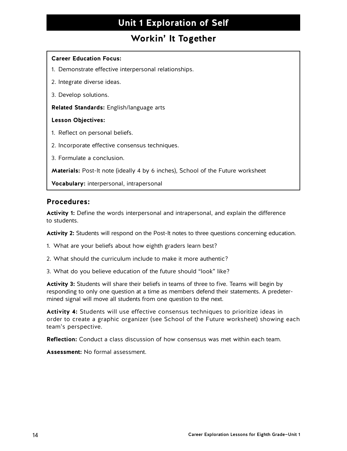## **Workin' It Together**

#### **Career Education Focus:**

- 1. Demonstrate effective interpersonal relationships.
- 2. Integrate diverse ideas.
- 3. Develop solutions.

**Related Standards:** English/language arts

#### **Lesson Objectives:**

- 1. Reflect on personal beliefs.
- 2. Incorporate effective consensus techniques.
- 3. Formulate a conclusion.

**Materials:** Post-It note (ideally 4 by 6 inches), School of the Future worksheet

**Vocabulary:** interpersonal, intrapersonal

#### **Procedures:**

**Activity 1:** Define the words interpersonal and intrapersonal, and explain the difference to students.

**Activity 2:** Students will respond on the Post-It notes to three questions concerning education.

- 1. What are your beliefs about how eighth graders learn best?
- 2. What should the curriculum include to make it more authentic?
- 3. What do you believe education of the future should "look" like?

**Activity 3:** Students will share their beliefs in teams of three to five. Teams will begin by responding to only one question at a time as members defend their statements. A predetermined signal will move all students from one question to the next.

**Activity 4:** Students will use effective consensus techniques to prioritize ideas in order to create a graphic organizer (see School of the Future worksheet) showing each team's perspective.

**Reflection:** Conduct a class discussion of how consensus was met within each team.

**Assessment:** No formal assessment.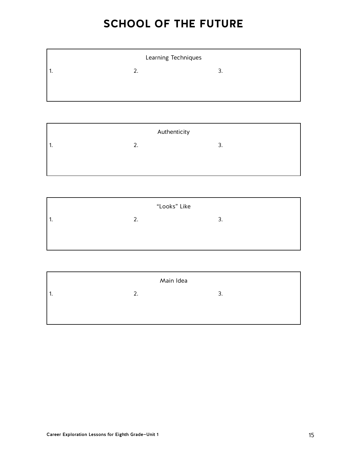## **SCHOOL OF THE FUTURE**

| Learning Techniques |    |               |  |
|---------------------|----|---------------|--|
| 1.                  | 2. | ∍<br><u>.</u> |  |
|                     |    |               |  |
|                     |    |               |  |

| Authenticity |    |    |  |
|--------------|----|----|--|
| ٠.           | 2. | 3. |  |
|              |    |    |  |
|              |    |    |  |

| "Looks" Like |    |          |  |
|--------------|----|----------|--|
| . .          | 2. | ₹<br>. ب |  |
|              |    |          |  |
|              |    |          |  |

| Main Idea |    |  |       |
|-----------|----|--|-------|
| 11.       | 2. |  | ₹<br> |
|           |    |  |       |
|           |    |  |       |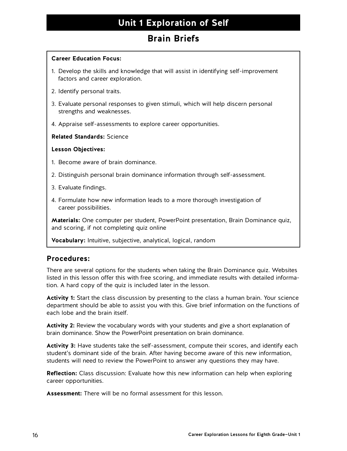## **Brain Briefs**

#### **Career Education Focus:**

- 1. Develop the skills and knowledge that will assist in identifying self-improvement factors and career exploration.
- 2. Identify personal traits.
- 3. Evaluate personal responses to given stimuli, which will help discern personal strengths and weaknesses.
- 4. Appraise self-assessments to explore career opportunities.

#### **Related Standards:** Science

#### **Lesson Objectives:**

- 1. Become aware of brain dominance.
- 2. Distinguish personal brain dominance information through self-assessment.
- 3. Evaluate findings.
- 4. Formulate how new information leads to a more thorough investigation of career possibilities.

**Materials:** One computer per student, PowerPoint presentation, Brain Dominance quiz, and scoring, if not completing quiz online

**Vocabulary:** Intuitive, subjective, analytical, logical, random

## **Procedures:**

There are several options for the students when taking the Brain Dominance quiz. Websites listed in this lesson offer this with free scoring, and immediate results with detailed information. A hard copy of the quiz is included later in the lesson.

**Activity 1:** Start the class discussion by presenting to the class a human brain. Your science department should be able to assist you with this. Give brief information on the functions of each lobe and the brain itself.

**Activity 2:** Review the vocabulary words with your students and give a short explanation of brain dominance. Show the PowerPoint presentation on brain dominance.

**Activity 3:** Have students take the self-assessment, compute their scores, and identify each student's dominant side of the brain. After having become aware of this new information, students will need to review the PowerPoint to answer any questions they may have.

**Reflection:** Class discussion: Evaluate how this new information can help when exploring career opportunities.

**Assessment:** There will be no formal assessment for this lesson.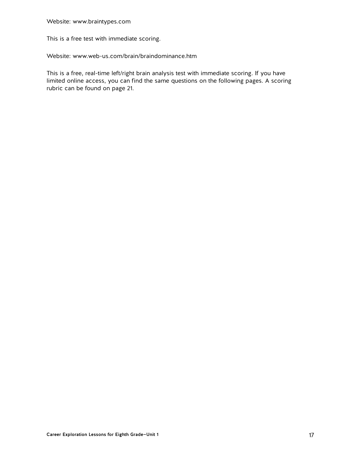This is a free test with immediate scoring.

Website: [www.web-us.com/brain/braindominance.htm](http://www.web-us.com/brain/braindominance.htm)

This is a free, real-time left/right brain analysis test with immediate scoring. If you have limited online access, you can find the same questions on the following pages. A scoring rubric can be found on page 21.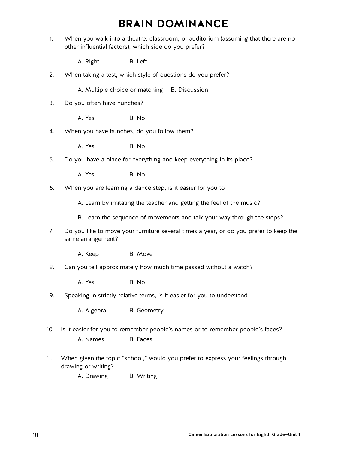## **BRAIN DOMINANCE**

- 1. When you walk into a theatre, classroom, or auditorium (assuming that there are no other influential factors), which side do you prefer?
	- A. Right B. Left
- 2. When taking a test, which style of questions do you prefer?
	- A. Multiple choice or matching B. Discussion
- 3. Do you often have hunches?
	- A. Yes B. No.
- 4. When you have hunches, do you follow them?

A. Yes B. No.

- 5. Do you have a place for everything and keep everything in its place?
	- A. Yes B. No.
- 6. When you are learning a dance step, is it easier for you to
	- A. Learn by imitating the teacher and getting the feel of the music?
	- B. Learn the sequence of movements and talk your way through the steps?
- 7. Do you like to move your furniture several times a year, or do you prefer to keep the same arrangement?
	- A. Keep B. Move
- 8. Can you tell approximately how much time passed without a watch?

A. Yes B. No.

9. Speaking in strictly relative terms, is it easier for you to understand

A. Algebra B. Geometry

- 10. Is it easier for you to remember people's names or to remember people's faces? A. Names B. Faces
- 11. When given the topic "school," would you prefer to express your feelings through drawing or writing?
	- A. Drawing B. Writing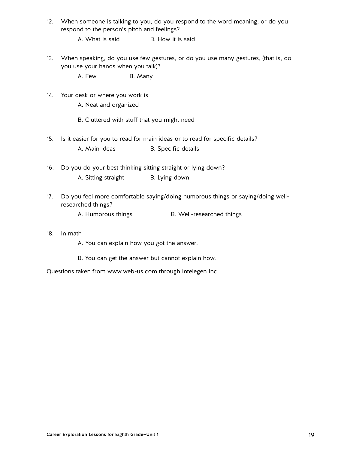- 12. When someone is talking to you, do you respond to the word meaning, or do you respond to the person's pitch and feelings?
	- A. What is said B. How it is said
- 13. When speaking, do you use few gestures, or do you use many gestures, (that is, do you use your hands when you talk)?

A. Few B. Many

14. Your desk or where you work is

A. Neat and organized

- B. Cluttered with stuff that you might need
- 15. Is it easier for you to read for main ideas or to read for specific details?
	- A. Main ideas B. Specific details
- 16. Do you do your best thinking sitting straight or lying down?
	- A. Sitting straight B. Lying down
- 17. Do you feel more comfortable saying/doing humorous things or saying/doing wellresearched things?
	- A. Humorous things B. Well-researched things

#### 18. In math

- A. You can explain how you got the answer.
- B. You can get the answer but cannot explain how.

Questions taken from www.web-us.com through Intelegen Inc.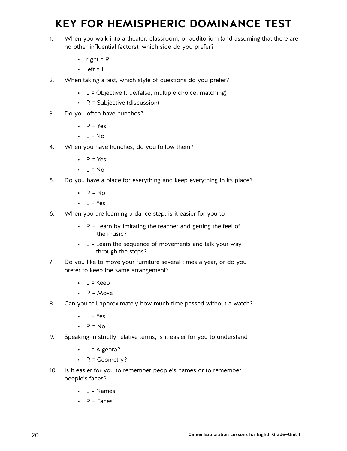## **KEY FOR HEMISPHERIC DOMINANCE TEST**

- 1. When you walk into a theater, classroom, or auditorium (and assuming that there are no other influential factors), which side do you prefer?
	- right =  $R$
	- $\cdot$  left = L
- 2. When taking a test, which style of questions do you prefer?
	- $\cdot$  L = Objective (true/false, multiple choice, matching)
	- R = Subjective (discussion)
- 3. Do you often have hunches?
	- $R = Yes$
	- $\cdot$  L = No
- 4. When you have hunches, do you follow them?
	- $R = Yes$
	- $\cdot$  L = No
- 5. Do you have a place for everything and keep everything in its place?
	- $\cdot$  R = No
	- $\cdot$  L = Yes
- 6. When you are learning a dance step, is it easier for you to
	- $\cdot$  R = Learn by imitating the teacher and getting the feel of the music?
	- $\cdot$  L = Learn the sequence of movements and talk your way through the steps?
- 7. Do you like to move your furniture several times a year, or do you prefer to keep the same arrangement?
	- $\cdot$  L = Keep
	- $R = Move$
- 8. Can you tell approximately how much time passed without a watch?
	- $\cdot$  L = Yes
	- $\cdot$  R = No
- 9. Speaking in strictly relative terms, is it easier for you to understand
	- $\cdot$  L = Algebra?
	- R = Geometry?
- 10. Is it easier for you to remember people's names or to remember people's faces?
	- $\cdot$  L = Names
	- $R = Faces$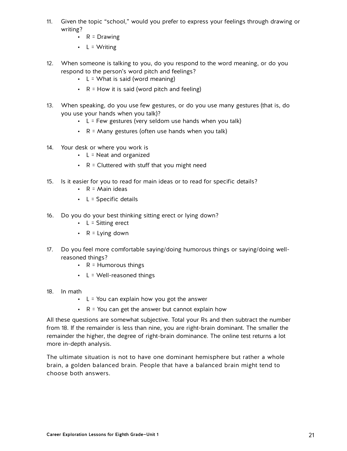- 11. Given the topic "school," would you prefer to express your feelings through drawing or writing?
	- $R = Drawing$
	- $L = Writing$
- 12. When someone is talking to you, do you respond to the word meaning, or do you respond to the person's word pitch and feelings?
	- $L =$  What is said (word meaning)
	- $R = How$  it is said (word pitch and feeling)
- 13. When speaking, do you use few gestures, or do you use many gestures (that is, do you use your hands when you talk)?
	- $\cdot$  L = Few gestures (very seldom use hands when you talk)
	- $R =$  Many gestures (often use hands when you talk)
- 14. Your desk or where you work is
	- $L =$  Neat and organized
	- $\cdot$  R = Cluttered with stuff that you might need
- 15. Is it easier for you to read for main ideas or to read for specific details?
	- $\cdot$  R = Main ideas
	- $\cdot$  L = Specific details
- 16. Do you do your best thinking sitting erect or lying down?
	- $\cdot$  L = Sitting erect
	- $R = L$  ving down
- 17. Do you feel more comfortable saying/doing humorous things or saying/doing wellreasoned things?
	- $\cdot$  R = Humorous things
	- $\cdot$  L = Well-reasoned things
- 18. In math
	- $\cdot$  L = You can explain how you got the answer
	- $\cdot$  R = You can get the answer but cannot explain how

All these questions are somewhat subjective. Total your Rs and then subtract the number from 18. If the remainder is less than nine, you are right-brain dominant. The smaller the remainder the higher, the degree of right-brain dominance. The online test returns a lot more in-depth analysis.

The ultimate situation is not to have one dominant hemisphere but rather a whole brain, a golden balanced brain. People that have a balanced brain might tend to choose both answers.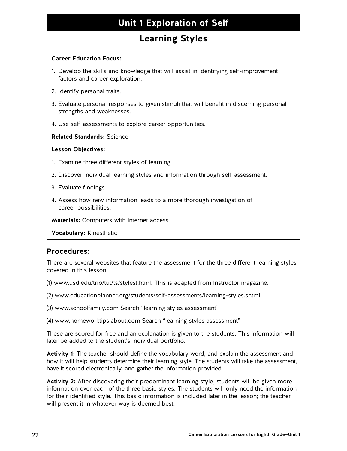## **Learning Styles**

#### **Career Education Focus:**

- 1. Develop the skills and knowledge that will assist in identifying self-improvement factors and career exploration.
- 2. Identify personal traits.
- 3. Evaluate personal responses to given stimuli that will benefit in discerning personal strengths and weaknesses.
- 4. Use self-assessments to explore career opportunities.

#### **Related Standards:** Science

#### **Lesson Objectives:**

- 1. Examine three different styles of learning.
- 2. Discover individual learning styles and information through self-assessment.
- 3. Evaluate findings.
- 4. Assess how new information leads to a more thorough investigation of career possibilities.

**Materials:** Computers with internet access

**Vocabulary:** Kinesthetic

### **Procedures:**

There are several websites that feature the assessment for the three different learning styles covered in this lesson.

- (1) www.usd.edu/trio/tut/ts/stylest.html. This is adapted from Instructor magazine.
- (2) www.educationplanner.org/students/self-assessments/learning-styles.shtml
- (3) www.schoolfamily.com Search "learning styles assessment"
- (4) www.homeworktips.about.com Search "learning styles assessment"

These are scored for free and an explanation is given to the students. This information will later be added to the student's individual portfolio.

**Activity 1:** The teacher should define the vocabulary word, and explain the assessment and how it will help students determine their learning style. The students will take the assessment, have it scored electronically, and gather the information provided.

Activity 2: After discovering their predominant learning style, students will be given more information over each of the three basic styles. The students will only need the information for their identified style. This basic information is included later in the lesson; the teacher will present it in whatever way is deemed best.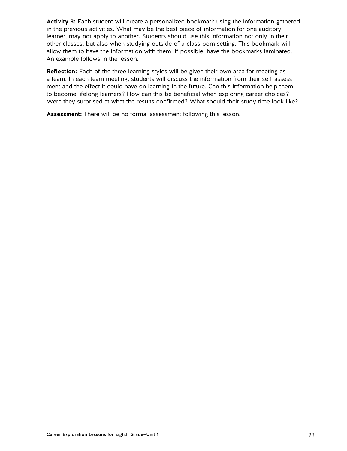**Activity 3:** Each student will create a personalized bookmark using the information gathered in the previous activities. What may be the best piece of information for one auditory learner, may not apply to another. Students should use this information not only in their other classes, but also when studying outside of a classroom setting. This bookmark will allow them to have the information with them. If possible, have the bookmarks laminated. An example follows in the lesson.

**Reflection:** Each of the three learning styles will be given their own area for meeting as a team. In each team meeting, students will discuss the information from their self-assessment and the effect it could have on learning in the future. Can this information help them to become lifelong learners? How can this be beneficial when exploring career choices? Were they surprised at what the results confirmed? What should their study time look like?

**Assessment:** There will be no formal assessment following this lesson.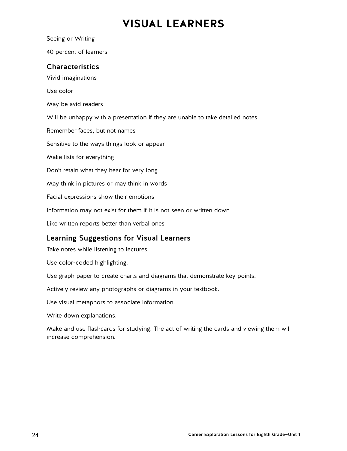## **VISUAL LEARNERS**

40 percent of learners **Characteristics** Vivid imaginations Use color May be avid readers Will be unhappy with a presentation if they are unable to take detailed notes Remember faces, but not names Sensitive to the ways things look or appear Make lists for everything Don't retain what they hear for very long May think in pictures or may think in words Facial expressions show their emotions Information may not exist for them if it is not seen or written down Like written reports better than verbal ones

## Learning Suggestions for Visual Learners

Take notes while listening to lectures.

Use color-coded highlighting.

Seeing or Writing

Use graph paper to create charts and diagrams that demonstrate key points.

Actively review any photographs or diagrams in your textbook.

Use visual metaphors to associate information.

Write down explanations.

Make and use flashcards for studying. The act of writing the cards and viewing them will increase comprehension.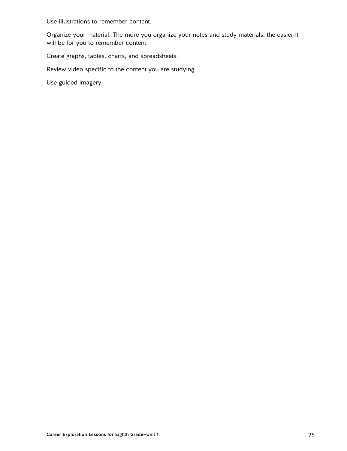Use illustrations to remember content.

Organize your material. The more you organize your notes and study materials, the easier it will be for you to remember content.

Create graphs, tables, charts, and spreadsheets.

Review video specific to the content you are studying.

Use guided imagery.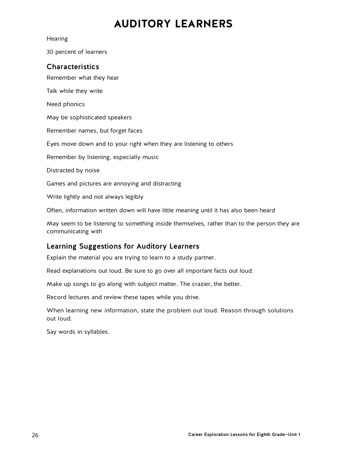## **AUDITORY LEARNERS**

**Hearing** 

30 percent of learners

#### **Characteristics**

Remember what they hear

Talk while they write

Need phonics

May be sophisticated speakers

Remember names, but forget faces

Eyes move down and to your right when they are listening to others

Remember by listening, especially music

Distracted by noise

Games and pictures are annoying and distracting

Write lightly and not always legibly

Often, information written down will have little meaning until it has also been heard

May seem to be listening to something inside themselves, rather than to the person they are communicating with

## Learning Suggestions for Auditory Learners

Explain the material you are trying to learn to a study partner.

Read explanations out loud. Be sure to go over all important facts out loud.

Make up songs to go along with subject matter. The crazier, the better.

Record lectures and review these tapes while you drive.

When learning new information, state the problem out loud. Reason through solutions out loud.

Say words in syllables.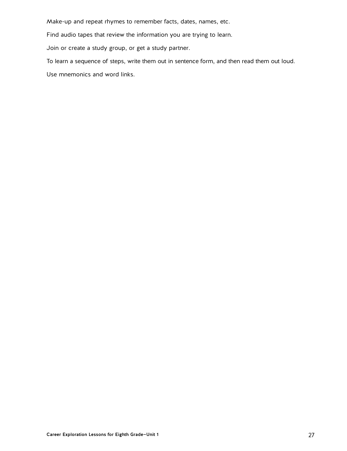Make-up and repeat rhymes to remember facts, dates, names, etc.

Find audio tapes that review the information you are trying to learn.

Join or create a study group, or get a study partner.

To learn a sequence of steps, write them out in sentence form, and then read them out loud.

Use mnemonics and word links.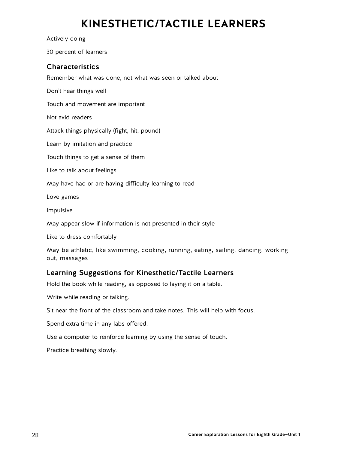## **KINESTHETIC/TACTILE LEARNERS**

Actively doing

30 percent of learners

## Characteristics

Remember what was done, not what was seen or talked about

Don't hear things well

Touch and movement are important

Not avid readers

Attack things physically (fight, hit, pound)

Learn by imitation and practice

Touch things to get a sense of them

Like to talk about feelings

May have had or are having difficulty learning to read

Love games

Impulsive

May appear slow if information is not presented in their style

Like to dress comfortably

May be athletic, like swimming, cooking, running, eating, sailing, dancing, working out, massages

## Learning Suggestions for Kinesthetic/Tactile Learners

Hold the book while reading, as opposed to laying it on a table.

Write while reading or talking.

Sit near the front of the classroom and take notes. This will help with focus.

Spend extra time in any labs offered.

Use a computer to reinforce learning by using the sense of touch.

Practice breathing slowly.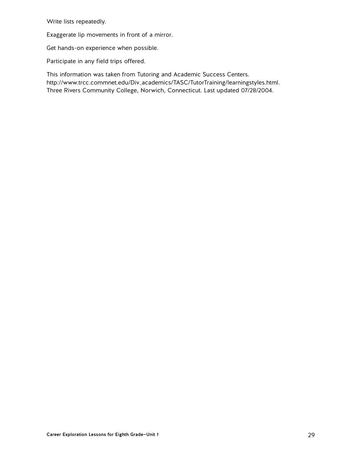Write lists repeatedly.

Exaggerate lip movements in front of a mirror.

Get hands-on experience when possible.

Participate in any field trips offered.

This information was taken from Tutoring and Academic Success Centers. [http://www.trcc.commnet.edu/Div\\_academics/TASC/T](http://www.trcc.commnet.edu/Div_academics/TASC/onlineworkshops/learning_styes.shtml)utorTraining/learningstyles.html. Three Rivers Community College, Norwich, Connecticut. Last updated 07/28/2004.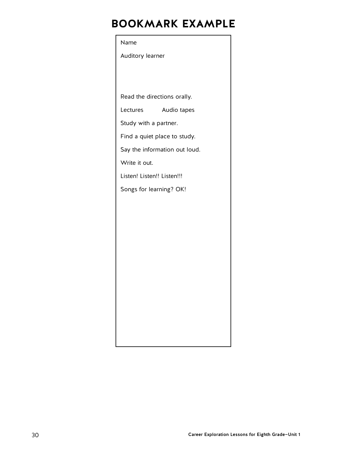## **BOOKMARK EXAMPLE**

# Name Auditory learner Read the directions orally. Lectures Audio tapes Study with a partner. Find a quiet place to study. Say the information out loud. Write it out. Listen! Listen!! Listen!!! Songs for learning? OK!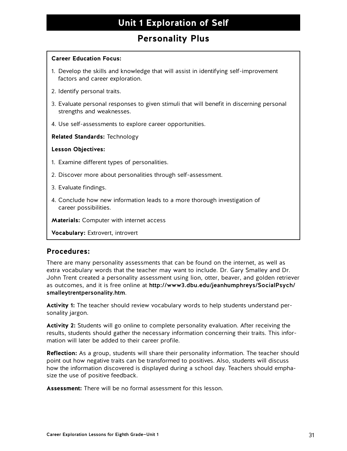## **Personality Plus**

#### **Career Education Focus:**

- 1. Develop the skills and knowledge that will assist in identifying self-improvement factors and career exploration.
- 2. Identify personal traits.
- 3. Evaluate personal responses to given stimuli that will benefit in discerning personal strengths and weaknesses.
- 4. Use self-assessments to explore career opportunities.

#### **Related Standards:** Technology

#### **Lesson Objectives:**

- 1. Examine different types of personalities.
- 2. Discover more about personalities through self-assessment.
- 3. Evaluate findings.
- 4. Conclude how new information leads to a more thorough investigation of career possibilities.

**Materials:** Computer with internet access

**Vocabulary:** Extrovert, introvert

### **Procedures:**

There are many personality assessments that can be found on the internet, as well as extra vocabulary words that the teacher may want to include. Dr. Gary Smalley and Dr. John Trent created a personality assessment using lion, otter, beaver, and golden retriever as outcomes, and it is free online at [http://www3.dbu.edu/jeanhumphreys/SocialPsych/](http://www3.dbu.edu/jeanhumphreys/SocialPsych/smalleytrentpersonality.htm) [smalleytrentpersonality.htm](http://www3.dbu.edu/jeanhumphreys/SocialPsych/smalleytrentpersonality.htm).

**Activity 1:** The teacher should review vocabulary words to help students understand personality jargon.

**Activity 2:** Students will go online to complete personality evaluation. After receiving the results, students should gather the necessary information concerning their traits. This information will later be added to their career profile.

**Reflection:** As a group, students will share their personality information. The teacher should point out how negative traits can be transformed to positives. Also, students will discuss how the information discovered is displayed during a school day. Teachers should emphasize the use of positive feedback.

**Assessment:** There will be no formal assessment for this lesson.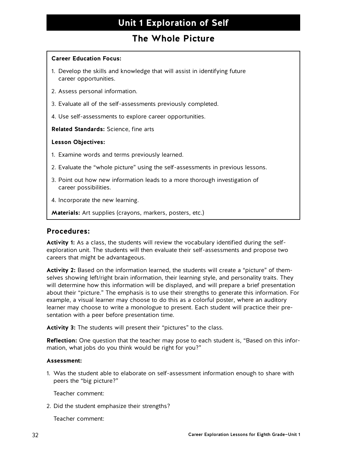## **The Whole Picture**

#### **Career Education Focus:**

- 1. Develop the skills and knowledge that will assist in identifying future career opportunities.
- 2. Assess personal information.
- 3. Evaluate all of the self-assessments previously completed.
- 4. Use self-assessments to explore career opportunities.

**Related Standards:** Science, fine arts

#### **Lesson Objectives:**

- 1. Examine words and terms previously learned.
- 2. Evaluate the "whole picture" using the self-assessments in previous lessons.
- 3. Point out how new information leads to a more thorough investigation of career possibilities.
- 4. Incorporate the new learning.
- **Materials:** Art supplies (crayons, markers, posters, etc.)

#### **Procedures:**

**Activity 1:** As a class, the students will review the vocabulary identified during the selfexploration unit. The students will then evaluate their self-assessments and propose two careers that might be advantageous.

**Activity 2:** Based on the information learned, the students will create a "picture" of themselves showing left/right brain information, their learning style, and personality traits. They will determine how this information will be displayed, and will prepare a brief presentation about their "picture." The emphasis is to use their strengths to generate this information. For example, a visual learner may choose to do this as a colorful poster, where an auditory learner may choose to write a monologue to present. Each student will practice their presentation with a peer before presentation time.

**Activity 3:** The students will present their "pictures" to the class.

**Reflection:** One question that the teacher may pose to each student is, "Based on this information, what jobs do you think would be right for you?"

#### **Assessment:**

1. Was the student able to elaborate on self-assessment information enough to share with peers the "big picture?"

Teacher comment:

2. Did the student emphasize their strengths?

Teacher comment: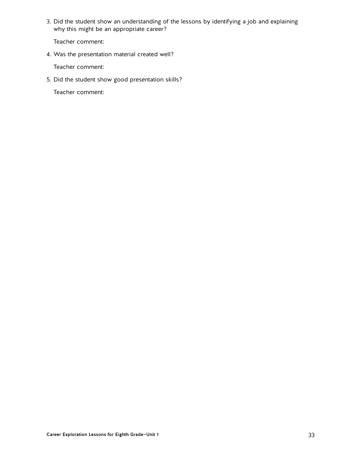3. Did the student show an understanding of the lessons by identifying a job and explaining why this might be an appropriate career?

Teacher comment:

4. Was the presentation material created well?

Teacher comment:

5. Did the student show good presentation skills?

Teacher comment: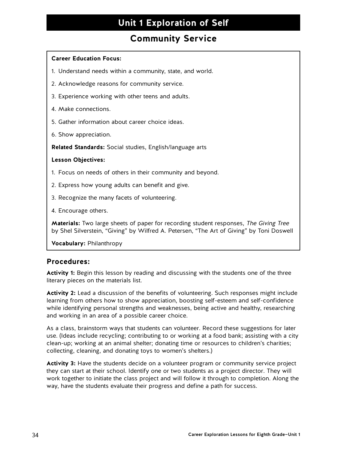## **Community Service**

#### **Career Education Focus:**

- 1. Understand needs within a community, state, and world.
- 2. Acknowledge reasons for community service.
- 3. Experience working with other teens and adults.
- 4. Make connections.
- 5. Gather information about career choice ideas.
- 6. Show appreciation.

**Related Standards:** Social studies, English/language arts

#### **Lesson Objectives:**

- 1. Focus on needs of others in their community and beyond.
- 2. Express how young adults can benefit and give.
- 3. Recognize the many facets of volunteering.
- 4. Encourage others.

**Materials:** Two large sheets of paper for recording student responses, The Giving Tree by Shel Silverstein, "Giving" by Wilfred A. Petersen, "The Art of Giving" by Toni Doswell

**Vocabulary:** Philanthropy

#### **Procedures:**

**Activity 1:** Begin this lesson by reading and discussing with the students one of the three literary pieces on the materials list.

**Activity 2:** Lead a discussion of the benefits of volunteering. Such responses might include learning from others how to show appreciation, boosting self-esteem and self-confidence while identifying personal strengths and weaknesses, being active and healthy, researching and working in an area of a possible career choice.

As a class, brainstorm ways that students can volunteer. Record these suggestions for later use. (Ideas include recycling; contributing to or working at a food bank; assisting with a city clean-up; working at an animal shelter; donating time or resources to children's charities; collecting, cleaning, and donating toys to women's shelters.)

**Activity 3:** Have the students decide on a volunteer program or community service project they can start at their school. Identify one or two students as a project director. They will work together to initiate the class project and will follow it through to completion. Along the way, have the students evaluate their progress and define a path for success.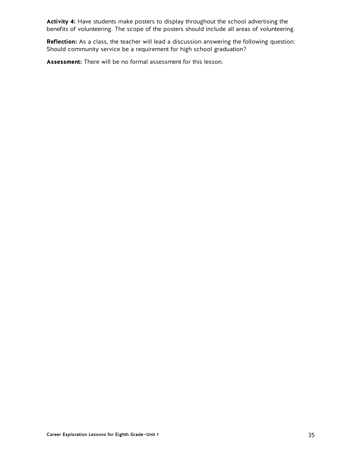**Activity 4:** Have students make posters to display throughout the school advertising the benefits of volunteering. The scope of the posters should include all areas of volunteering.

**Reflection:** As a class, the teacher will lead a discussion answering the following question: Should community service be a requirement for high school graduation?

**Assessment:** There will be no formal assessment for this lesson.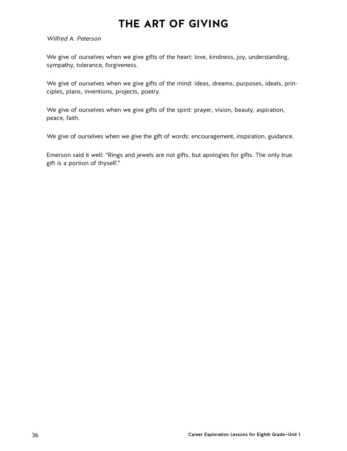## **THE ART OF GIVING**

#### Wilfred A. Peterson

We give of ourselves when we give gifts of the heart: love, kindness, joy, understanding, sympathy, tolerance, forgiveness.

We give of ourselves when we give gifts of the mind: ideas, dreams, purposes, ideals, principles, plans, inventions, projects, poetry.

We give of ourselves when we give gifts of the spirit: prayer, vision, beauty, aspiration, peace, faith.

We give of ourselves when we give the gift of words: encouragement, inspiration, guidance.

Emerson said it well: "Rings and jewels are not gifts, but apologies for gifts. The only true gift is a portion of thyself."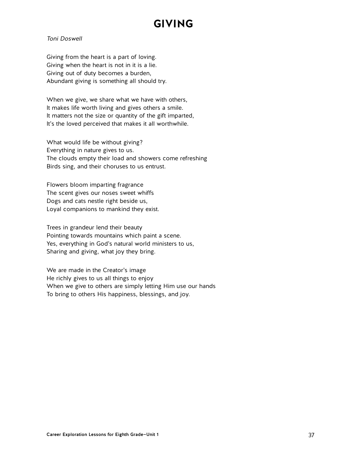## **GIVING**

#### Toni Doswell

Giving from the heart is a part of loving. Giving when the heart is not in it is a lie. Giving out of duty becomes a burden, Abundant giving is something all should try.

When we give, we share what we have with others, It makes life worth living and gives others a smile. It matters not the size or quantity of the gift imparted, It's the loved perceived that makes it all worthwhile.

What would life be without giving? Everything in nature gives to us. The clouds empty their load and showers come refreshing Birds sing, and their choruses to us entrust.

Flowers bloom imparting fragrance The scent gives our noses sweet whiffs Dogs and cats nestle right beside us, Loyal companions to mankind they exist.

Trees in grandeur lend their beauty Pointing towards mountains which paint a scene. Yes, everything in God's natural world ministers to us, Sharing and giving, what joy they bring.

We are made in the Creator's image He richly gives to us all things to enjoy When we give to others are simply letting Him use our hands To bring to others His happiness, blessings, and joy.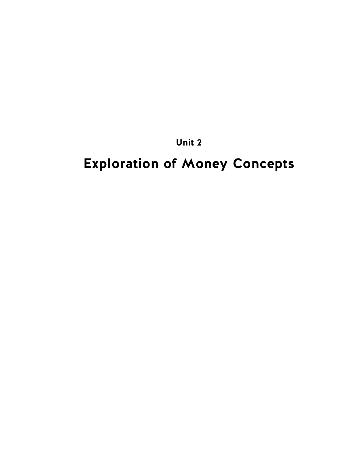**Unit 2**

## **Exploration of Money Concepts**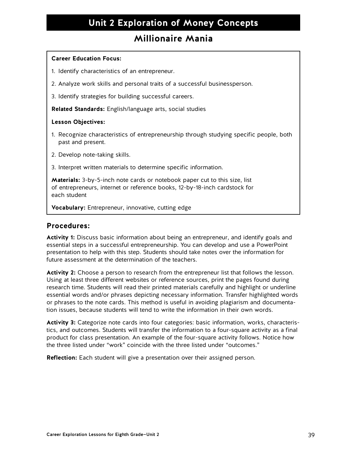### **Millionaire Mania**

#### **Career Education Focus:**

- 1. Identify characteristics of an entrepreneur.
- 2. Analyze work skills and personal traits of a successful businessperson.
- 3. Identify strategies for building successful careers.

**Related Standards:** English/language arts, social studies

#### **Lesson Objectives:**

- 1. Recognize characteristics of entrepreneurship through studying specific people, both past and present.
- 2. Develop note-taking skills.
- 3. Interpret written materials to determine specific information.

**Materials:** 3-by-5-inch note cards or notebook paper cut to this size, list of entrepreneurs, internet or reference books, 12-by-18-inch cardstock for each student

**Vocabulary:** Entrepreneur, innovative, cutting edge

### **Procedures:**

**Activity 1:** Discuss basic information about being an entrepreneur, and identify goals and essential steps in a successful entrepreneurship. You can develop and use a PowerPoint presentation to help with this step. Students should take notes over the information for future assessment at the determination of the teachers.

**Activity 2:** Choose a person to research from the entrepreneur list that follows the lesson. Using at least three different websites or reference sources, print the pages found during research time. Students will read their printed materials carefully and highlight or underline essential words and/or phrases depicting necessary information. Transfer highlighted words or phrases to the note cards. This method is useful in avoiding plagiarism and documentation issues, because students will tend to write the information in their own words.

**Activity 3:** Categorize note cards into four categories: basic information, works, characteristics, and outcomes. Students will transfer the information to a four-square activity as a final product for class presentation. An example of the four-square activity follows. Notice how the three listed under "work" coincide with the three listed under "outcomes."

**Reflection:** Each student will give a presentation over their assigned person.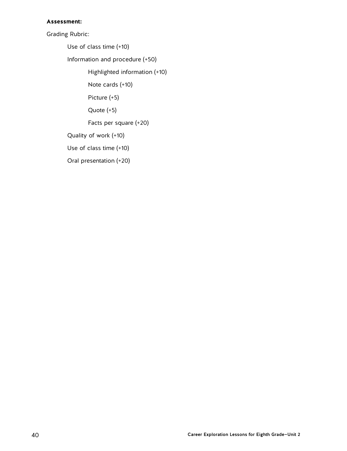#### **Assessment:**

Grading Rubric:

Use of class time (+10)

Information and procedure (+50)

Highlighted information (+10)

Note cards (+10)

Picture (+5)

Quote (+5)

Facts per square (+20)

Quality of work (+10)

Use of class time (+10)

Oral presentation (+20)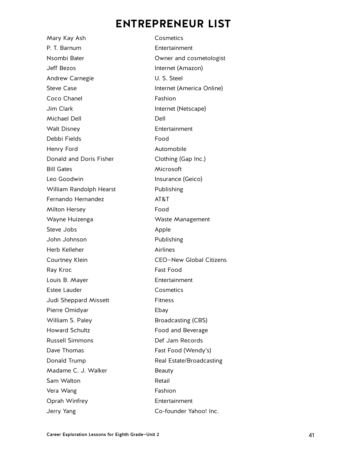## **ENTREPRENEUR LIST**

Mary Kay Ash Cosmetics P. T. Barnum Entertainment Nsombi Bater **National Community** Community Owner and cosmetologist Jeff Bezos Internet (Amazon) Andrew Carnegie **U. S. Steel** Steve Case **Internet** (America Online) Coco Chanel **Fashion** Jim Clark **Internet** (Netscape) Michael Dell **Dell** Dell Dell Walt Disney **Entertainment** Debbi Fields Food Henry Ford **Automobile** Donald and Doris Fisher Clothing (Gap Inc.) Bill Gates Microsoft Leo Goodwin **Insurance** (Geico) William Randolph Hearst Publishing Fernando Hernandez **AT&T** Milton Hersey **Food** Wayne Huizenga **Waste Management** Steve Jobs **Apple** John Johnson Publishing Herb Kelleher **Airlines** Courtney Klein CEO—New Global Citizens Ray Kroc **Fast Food** Louis B. Mayer **Entertainment** Estee Lauder **Cosmetics** Judi Sheppard Missett Fitness Pierre Omidyar **Ebay** William S. Paley Broadcasting (CBS) Howard Schultz **Food and Beverage** Russell Simmons Def Jam Records Dave Thomas Fast Food (Wendy's) Donald Trump **Real Estate/Broadcasting** Madame C. J. Walker Beauty Sam Walton **Retail** Vera Wang **Fashion** Oprah Winfrey Entertainment Jerry Yang Co-founder Yahoo! Inc.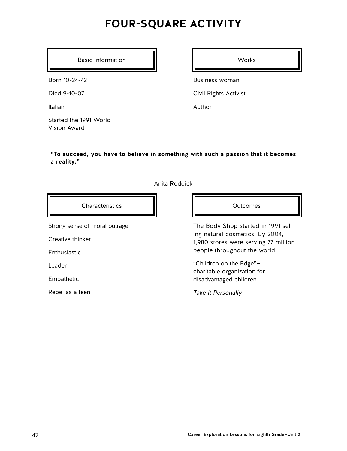## **FOUR-SQUARE ACTIVITY**

Basic Information **II Notifiable** Works

Born 10-24-42

Died 9-10-07

Italian

Started the 1991 World Vision Award

Business woman

Civil Rights Activist

Author

**"To succeed, you have to believe in something with such a passion that it becomes a reality."**

Anita Roddick



Strong sense of moral outrage

Creative thinker

Enthusiastic

Leader

Empathetic

Rebel as a teen

The Body Shop started in 1991 selling natural cosmetics. By 2004, 1,980 stores were serving 77 million people throughout the world.

"Children on the Edge" charitable organization for disadvantaged children

Take It Personally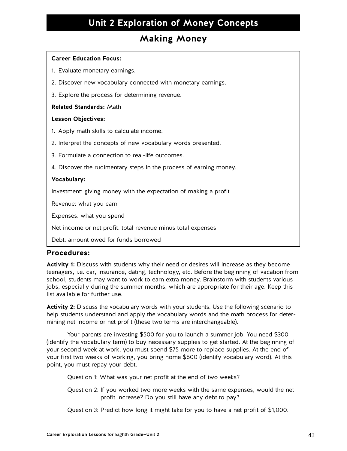### **Making Money**

#### **Career Education Focus:**

- 1. Evaluate monetary earnings.
- 2. Discover new vocabulary connected with monetary earnings.
- 3. Explore the process for determining revenue.

#### **Related Standards:** Math

#### **Lesson Objectives:**

- 1. Apply math skills to calculate income.
- 2. Interpret the concepts of new vocabulary words presented.
- 3. Formulate a connection to real-life outcomes.
- 4. Discover the rudimentary steps in the process of earning money.

#### **Vocabulary:**

Investment: giving money with the expectation of making a profit

Revenue: what you earn

Expenses: what you spend

Net income or net profit: total revenue minus total expenses

Debt: amount owed for funds borrowed

### **Procedures:**

**Activity 1:** Discuss with students why their need or desires will increase as they become teenagers, i.e. car, insurance, dating, technology, etc. Before the beginning of vacation from school, students may want to work to earn extra money. Brainstorm with students various jobs, especially during the summer months, which are appropriate for their age. Keep this list available for further use.

**Activity 2:** Discuss the vocabulary words with your students. Use the following scenario to help students understand and apply the vocabulary words and the math process for determining net income or net profit (these two terms are interchangeable).

Your parents are investing \$500 for you to launch a summer job. You need \$300 (identify the vocabulary term) to buy necessary supplies to get started. At the beginning of your second week at work, you must spend \$75 more to replace supplies. At the end of your first two weeks of working, you bring home \$600 (identify vocabulary word). At this point, you must repay your debt.

Question 1: What was your net profit at the end of two weeks?

Question 2: If you worked two more weeks with the same expenses, would the net profit increase? Do you still have any debt to pay?

Question 3: Predict how long it might take for you to have a net profit of \$1,000.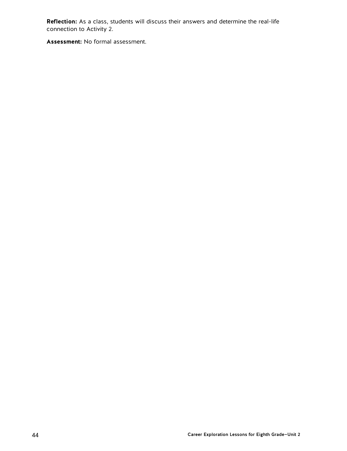**Reflection:** As a class, students will discuss their answers and determine the real-life connection to Activity 2.

**Assessment:** No formal assessment.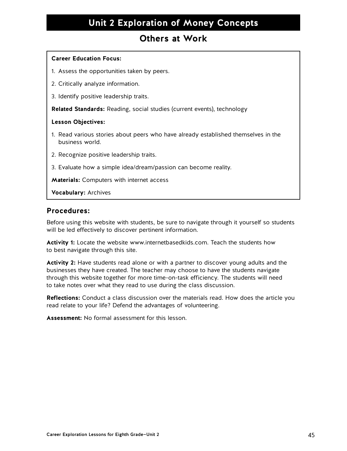### **Others at Work**

### **Career Education Focus:**

- 1. Assess the opportunities taken by peers.
- 2. Critically analyze information.
- 3. Identify positive leadership traits.

**Related Standards:** Reading, social studies (current events), technology

#### **Lesson Objectives:**

- 1. Read various stories about peers who have already established themselves in the business world.
- 2. Recognize positive leadership traits.
- 3. Evaluate how a simple idea/dream/passion can become reality.

**Materials:** Computers with internet access

**Vocabulary:** Archives

### **Procedures:**

Before using this website with students, be sure to navigate through it yourself so students will be led effectively to discover pertinent information.

**Activity 1:** Locate the website www.internetbasedkids.com. Teach the students how to best navigate through this site.

**Activity 2:** Have students read alone or with a partner to discover young adults and the businesses they have created. The teacher may choose to have the students navigate through this website together for more time-on-task efficiency. The students will need to take notes over what they read to use during the class discussion.

**Reflections:** Conduct a class discussion over the materials read. How does the article you read relate to your life? Defend the advantages of volunteering.

**Assessment:** No formal assessment for this lesson.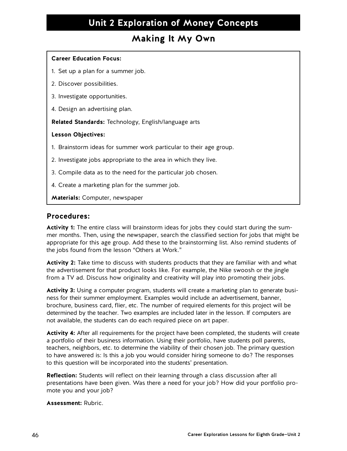### **Making It My Own**

### **Career Education Focus:**

- 1. Set up a plan for a summer job.
- 2. Discover possibilities.
- 3. Investigate opportunities.
- 4. Design an advertising plan.

**Related Standards:** Technology, English/language arts

#### **Lesson Objectives:**

- 1. Brainstorm ideas for summer work particular to their age group.
- 2. Investigate jobs appropriate to the area in which they live.
- 3. Compile data as to the need for the particular job chosen.
- 4. Create a marketing plan for the summer job.

**Materials:** Computer, newspaper

### **Procedures:**

**Activity 1:** The entire class will brainstorm ideas for jobs they could start during the summer months. Then, using the newspaper, search the classified section for jobs that might be appropriate for this age group. Add these to the brainstorming list. Also remind students of the jobs found from the lesson "Others at Work."

**Activity 2:** Take time to discuss with students products that they are familiar with and what the advertisement for that product looks like. For example, the Nike swoosh or the jingle from a TV ad. Discuss how originality and creativity will play into promoting their jobs.

**Activity 3:** Using a computer program, students will create a marketing plan to generate business for their summer employment. Examples would include an advertisement, banner, brochure, business card, flier, etc. The number of required elements for this project will be determined by the teacher. Two examples are included later in the lesson. If computers are not available, the students can do each required piece on art paper.

**Activity 4:** After all requirements for the project have been completed, the students will create a portfolio of their business information. Using their portfolio, have students poll parents, teachers, neighbors, etc. to determine the viability of their chosen job. The primary question to have answered is: Is this a job you would consider hiring someone to do? The responses to this question will be incorporated into the students' presentation.

**Reflection:** Students will reflect on their learning through a class discussion after all presentations have been given. Was there a need for your job? How did your portfolio promote you and your job?

**Assessment:** Rubric.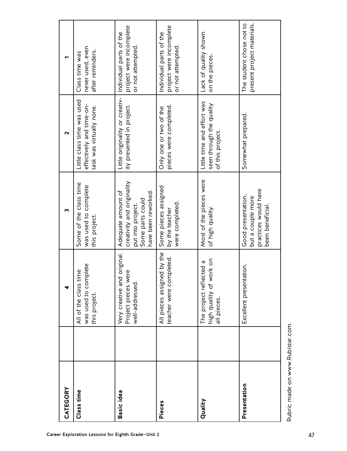| CATEGORY          | Class time                                                                         | Basic idea                                                                                                       | Pieces                                                                  | Quality                                                                    | Presentation                                                                        |
|-------------------|------------------------------------------------------------------------------------|------------------------------------------------------------------------------------------------------------------|-------------------------------------------------------------------------|----------------------------------------------------------------------------|-------------------------------------------------------------------------------------|
|                   | this project.                                                                      |                                                                                                                  |                                                                         |                                                                            |                                                                                     |
| 4                 | was used to complete<br>em<br>E<br>All of the class ti                             | Very creative and original.<br>ere<br>Project pieces w<br>well-addressed.                                        | All pieces assigned by the<br>npleted.<br>teacher were cor              | high quality of work on<br>all pieces.<br>cted a<br>The project refle      | Excellent presentation.                                                             |
| m                 | Some of the class time<br>was used to complete<br>this project.                    | creativity and originality<br>Adequate amount of<br>have been reworked.<br>Some parts could<br>put into project. | Some pieces assigned<br>were completed.<br>by the teacher               | Most of the pieces were<br>of high quality.                                | practices would have<br>Good presentation,<br>but a couple more<br>been beneficial. |
| $\mathbf{\Omega}$ | Little class time was used<br>effectively and time-on-<br>task was virtually none. | Little originality or creativ-<br>ity presented in project.                                                      | pieces were completed.<br>Only one or two of the                        | Little time and effort was<br>seen through the quality<br>of this project. | Somewhat prepared.                                                                  |
|                   | never used, even<br>after reminders.<br>Class time was                             | project were incomplete<br>Individual parts of the<br>or not attempted.                                          | project were incomplete<br>Individual parts of the<br>or not attempted. | Lack of quality shown<br>on the pieces.                                    | present project materials.<br>The student chose not to                              |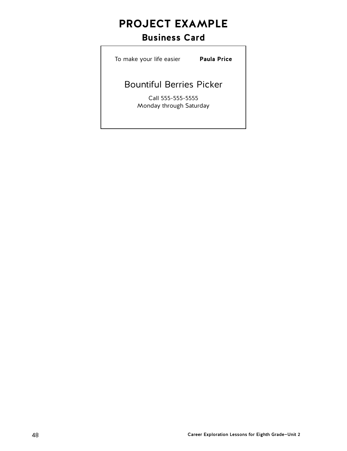## **PROJECT EXAMPLE**

### **Business Card**

To make your life easier **Paula Price**

### Bountiful Berries Picker

Call 555-555-5555 Monday through Saturday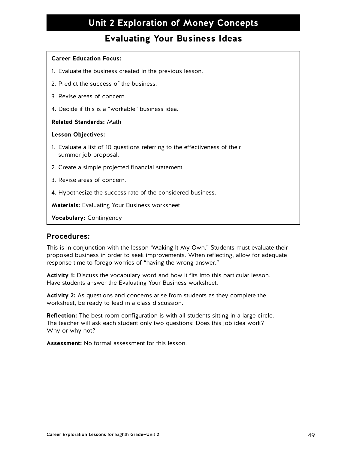### **Evaluating Your Business Ideas**

#### **Career Education Focus:**

- 1. Evaluate the business created in the previous lesson.
- 2. Predict the success of the business.
- 3. Revise areas of concern.
- 4. Decide if this is a "workable" business idea.

#### **Related Standards:** Math

#### **Lesson Objectives:**

- 1. Evaluate a list of 10 questions referring to the effectiveness of their summer job proposal.
- 2. Create a simple projected financial statement.
- 3. Revise areas of concern.
- 4. Hypothesize the success rate of the considered business.

**Materials:** Evaluating Your Business worksheet

**Vocabulary:** Contingency

### **Procedures:**

This is in conjunction with the lesson "Making It My Own." Students must evaluate their proposed business in order to seek improvements. When reflecting, allow for adequate response time to forego worries of "having the wrong answer."

**Activity 1:** Discuss the vocabulary word and how it fits into this particular lesson. Have students answer the Evaluating Your Business worksheet.

**Activity 2:** As questions and concerns arise from students as they complete the worksheet, be ready to lead in a class discussion.

**Reflection:** The best room configuration is with all students sitting in a large circle. The teacher will ask each student only two questions: Does this job idea work? Why or why not?

**Assessment:** No formal assessment for this lesson.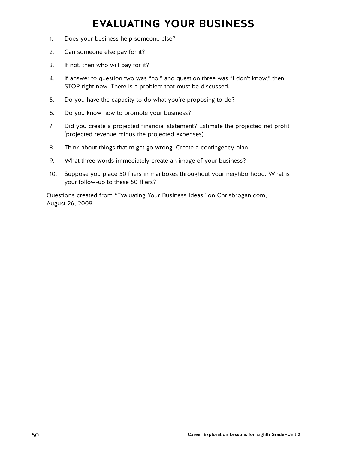## **EVALUATING YOUR BUSINESS**

- 1. Does your business help someone else?
- 2. Can someone else pay for it?
- 3. If not, then who will pay for it?
- 4. If answer to question two was "no," and question three was "I don't know," then STOP right now. There is a problem that must be discussed.
- 5. Do you have the capacity to do what you're proposing to do?
- 6. Do you know how to promote your business?
- 7. Did you create a projected financial statement? Estimate the projected net profit (projected revenue minus the projected expenses).
- 8. Think about things that might go wrong. Create a contingency plan.
- 9. What three words immediately create an image of your business?
- 10. Suppose you place 50 fliers in mailboxes throughout your neighborhood. What is your follow-up to these 50 fliers?

Questions created from "Evaluating Your Business Ideas" on Chrisbrogan.com, August 26, 2009.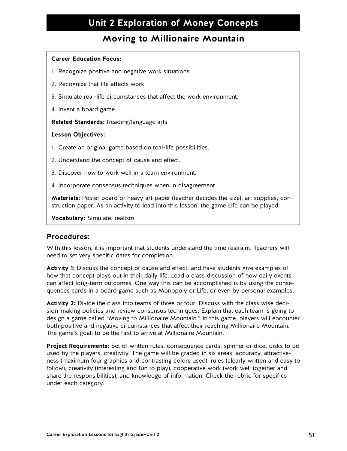### **Moving to Millionaire Mountain**

#### **Career Education Focus:**

- 1. Recognize positive and negative work situations.
- 2. Recognize that life affects work.
- 3. Simulate real-life circumstances that affect the work environment.
- 4. Invent a board game.

**Related Standards:** Reading/language arts

#### **Lesson Objectives:**

- 1. Create an original game based on real-life possibilities.
- 2. Understand the concept of cause and effect.
- 3. Discover how to work well in a team environment.
- 4. Incorporate consensus techniques when in disagreement.

**Materials:** Poster board or heavy art paper (teacher decides the size), art supplies, construction paper. As an activity to lead into this lesson, the game Life can be played.

**Vocabulary:** Simulate, realism

### **Procedures:**

With this lesson, it is important that students understand the time restraint. Teachers will need to set very specific dates for completion.

**Activity 1:** Discuss the concept of cause and effect, and have students give examples of how that concept plays out in their daily life. Lead a class discussion of how daily events can affect long-term outcomes. One way this can be accomplished is by using the consequences cards in a board game such as Monopoly or Life, or even by personal examples.

**Activity 2:** Divide the class into teams of three or four. Discuss with the class wise decision-making policies and review consensus techniques. Explain that each team is going to design a game called "Moving to Millionaire Mountain." In this game, players will encounter both positive and negative circumstances that affect their reaching Millionaire Mountain. The game's goal: to be the first to arrive at Millionaire Mountain.

**Project Requirements:** Set of written rules, consequence cards, spinner or dice, disks to be used by the players, creativity. The game will be graded in six areas: accuracy, attractiveness (maximum four graphics and contrasting colors used), rules (clearly written and easy to follow), creativity (interesting and fun to play), cooperative work (work well together and share the responsibilities), and knowledge of information. Check the rubric for specifics under each category.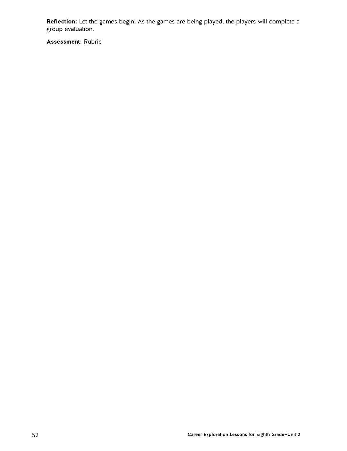**Reflection:** Let the games begin! As the games are being played, the players will complete a group evaluation.

**Assessment:** Rubric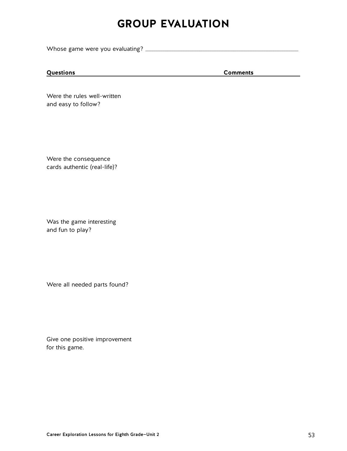## **GROUP EVALUATION**

Whose game were you evaluating? \_\_\_\_\_\_\_\_\_\_\_\_\_\_\_\_\_\_\_\_\_\_\_\_\_\_\_\_\_\_\_\_\_\_\_\_\_\_\_\_\_\_\_\_\_\_\_\_\_\_\_\_\_\_\_\_\_\_\_\_\_\_\_\_\_\_\_\_

### **Questions Comments**

Were the rules well-written and easy to follow?

Were the consequence cards authentic (real-life)?

Was the game interesting and fun to play?

Were all needed parts found?

Give one positive improvement for this game.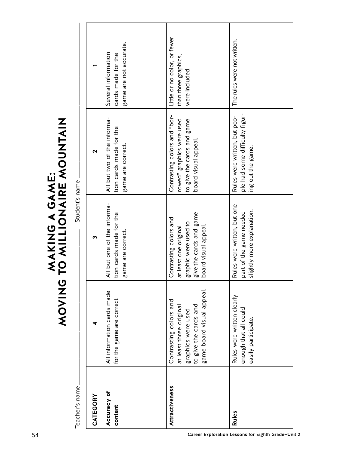| Little or no color, or fewer<br>The rules were not written.<br>game are not accurate.<br>Several information<br>cards made for the<br>than three graphics,<br>were included.<br>ple had some difficulty figur-<br>Contrasting colors and "bor-<br>Rules were written, but peo-<br>All but two of the informa-<br>MAKING A GAME:<br>TO MILLIONAIRE MOUNTAIN<br>rowed" graphics were used<br>to give the cards and game<br>tion cards made for the<br>board visual appeal.<br>game are correct.<br>ing out the game.<br>$\mathbf{\Omega}$<br>Student's name<br>All but one of the informa-<br>Rules were written, but one<br>slightly more explanation.<br>part of the game needed<br>give the cards and game<br>tion cards made for the<br>Contrasting colors and<br>graphic were used to<br>board visual appeal.<br>at least one original<br>game are correct.<br>m<br><b>ONINOX</b><br>₹ | Teacher's name | CATEGORY | Accuracy of<br>content                                  | Attractiveness                                                                                                                | Rules                                                                      |
|-------------------------------------------------------------------------------------------------------------------------------------------------------------------------------------------------------------------------------------------------------------------------------------------------------------------------------------------------------------------------------------------------------------------------------------------------------------------------------------------------------------------------------------------------------------------------------------------------------------------------------------------------------------------------------------------------------------------------------------------------------------------------------------------------------------------------------------------------------------------------------------------|----------------|----------|---------------------------------------------------------|-------------------------------------------------------------------------------------------------------------------------------|----------------------------------------------------------------------------|
|                                                                                                                                                                                                                                                                                                                                                                                                                                                                                                                                                                                                                                                                                                                                                                                                                                                                                           |                |          | All information cards made<br>for the game are correct. | game board visual appeal.<br>Contrasting colors and<br>to give the cards and<br>at least three original<br>graphics were used | Rules were written clearly<br>enough that all could<br>easily participate. |
|                                                                                                                                                                                                                                                                                                                                                                                                                                                                                                                                                                                                                                                                                                                                                                                                                                                                                           |                |          |                                                         |                                                                                                                               |                                                                            |
|                                                                                                                                                                                                                                                                                                                                                                                                                                                                                                                                                                                                                                                                                                                                                                                                                                                                                           |                |          |                                                         |                                                                                                                               |                                                                            |
|                                                                                                                                                                                                                                                                                                                                                                                                                                                                                                                                                                                                                                                                                                                                                                                                                                                                                           |                |          |                                                         |                                                                                                                               |                                                                            |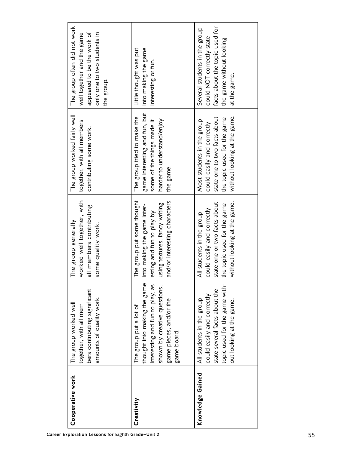| Cooperative work<br>Career Exploration Lessons for Eighth Grade-Unit 2                                                                | Creativity                                                                                                                                                         | Knowledge Gained                                                                                                                                        |
|---------------------------------------------------------------------------------------------------------------------------------------|--------------------------------------------------------------------------------------------------------------------------------------------------------------------|---------------------------------------------------------------------------------------------------------------------------------------------------------|
| bers contributing significant<br>amounts of quality work.<br>together, with all mem-<br>The group worked well                         | thought into making the game<br>interesting and fun to play, as<br>shown by creative questions,<br>game pieces, and/or the<br>The group put a lot of<br>game board | topic used for the game with-<br>state several facts about the<br>could easily and correctly<br>All students in the group<br>out looking at the game.   |
| worked well together, with<br>all members contributing<br>The group generally<br>some quality work.                                   | The group put some thought<br>and/or interesting characters.<br>using textures, fancy writing,<br>into making the game inter-<br>esting and fun to play by         | without looking at the game.<br>state one or two facts about<br>the topic used for the game<br>could easily and correctly<br>All students in the group  |
| The group worked fairly well<br>together, with all members<br>contributing some work.                                                 | game interesting and fun, but<br>The group tried to make the<br>harder to understand/enjoy<br>some of the things made it<br>the game.                              | without looking at the game.<br>state one to two facts about<br>the topic used for the game<br>Most students in the group<br>could easily and correctly |
| The group often did not work<br>appeared to be the work of<br>only one to two students in<br>well together and the game<br>the group. | into making the game<br>Little thought was put<br>interesting or fun.                                                                                              | facts about the topic used for<br>Several students in the group<br>could NOT correctly state<br>the game without looking<br>at the game.                |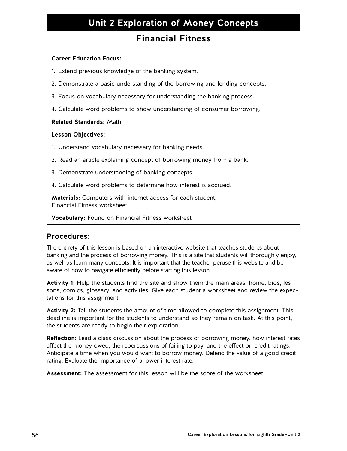### **Financial Fitness**

#### **Career Education Focus:**

- 1. Extend previous knowledge of the banking system.
- 2. Demonstrate a basic understanding of the borrowing and lending concepts.
- 3. Focus on vocabulary necessary for understanding the banking process.
- 4. Calculate word problems to show understanding of consumer borrowing.

#### **Related Standards:** Math

#### **Lesson Objectives:**

- 1. Understand vocabulary necessary for banking needs.
- 2. Read an article explaining concept of borrowing money from a bank.
- 3. Demonstrate understanding of banking concepts.
- 4. Calculate word problems to determine how interest is accrued.

**Materials:** Computers with internet access for each student, Financial Fitness worksheet

**Vocabulary:** Found on Financial Fitness worksheet

### **Procedures:**

The entirety of this lesson is based on an interactive website that teaches students about banking and the process of borrowing money. This is a site that students will thoroughly enjoy, as well as learn many concepts. It is important that the teacher peruse this website and be aware of how to navigate efficiently before starting this lesson.

**Activity 1:** Help the students find the site and show them the main areas: home, bios, lessons, comics, glossary, and activities. Give each student a worksheet and review the expectations for this assignment.

**Activity 2:** Tell the students the amount of time allowed to complete this assignment. This deadline is important for the students to understand so they remain on task. At this point, the students are ready to begin their exploration.

**Reflection:** Lead a class discussion about the process of borrowing money, how interest rates affect the money owed, the repercussions of failing to pay, and the effect on credit ratings. Anticipate a time when you would want to borrow money. Defend the value of a good credit rating. Evaluate the importance of a lower interest rate.

**Assessment:** The assessment for this lesson will be the score of the worksheet.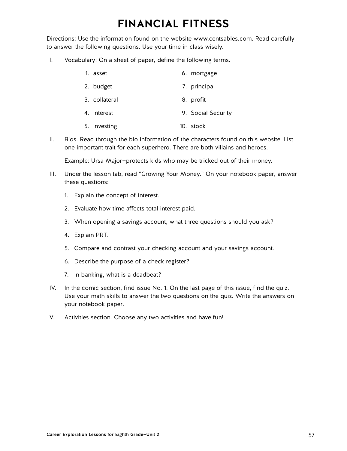## **FINANCIAL FITNESS**

Directions: Use the information found on the website www.centsables.com. Read carefully to answer the following questions. Use your time in class wisely.

I. Vocabulary: On a sheet of paper, define the following terms.

| 1. asset      | 6. mortgage  |
|---------------|--------------|
| 2. budget     | 7. principal |
| 3. collateral | 8. profit    |

- 4. interest 9. Social Security
	- 5. investing 10. stock
- II. Bios. Read through the bio information of the characters found on this website. List one important trait for each superhero. There are both villains and heroes.

Example: Ursa Major—protects kids who may be tricked out of their money.

- III. Under the lesson tab, read "Growing Your Money." On your notebook paper, answer these questions:
	- 1. Explain the concept of interest.
	- 2. Evaluate how time affects total interest paid.
	- 3. When opening a savings account, what three questions should you ask?
	- 4. Explain PRT.
	- 5. Compare and contrast your checking account and your savings account.
	- 6. Describe the purpose of a check register?
	- 7. In banking, what is a deadbeat?
- IV. In the comic section, find issue No. 1. On the last page of this issue, find the quiz. Use your math skills to answer the two questions on the quiz. Write the answers on your notebook paper.
- V. Activities section. Choose any two activities and have fun!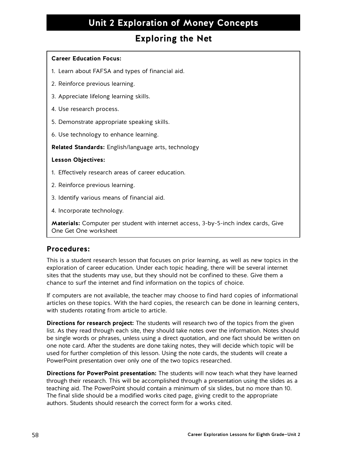### **Exploring the Net**

### **Career Education Focus:**

- 1. Learn about FAFSA and types of financial aid.
- 2. Reinforce previous learning.
- 3. Appreciate lifelong learning skills.
- 4. Use research process.
- 5. Demonstrate appropriate speaking skills.
- 6. Use technology to enhance learning.

**Related Standards:** English/language arts, technology

#### **Lesson Objectives:**

- 1. Effectively research areas of career education.
- 2. Reinforce previous learning.
- 3. Identify various means of financial aid.
- 4. Incorporate technology.

**Materials:** Computer per student with internet access, 3-by-5-inch index cards, Give One Get One worksheet

### **Procedures:**

This is a student research lesson that focuses on prior learning, as well as new topics in the exploration of career education. Under each topic heading, there will be several internet sites that the students may use, but they should not be confined to these. Give them a chance to surf the internet and find information on the topics of choice.

If computers are not available, the teacher may choose to find hard copies of informational articles on these topics. With the hard copies, the research can be done in learning centers, with students rotating from article to article.

**Directions for research project:** The students will research two of the topics from the given list. As they read through each site, they should take notes over the information. Notes should be single words or phrases, unless using a direct quotation, and one fact should be written on one note card. After the students are done taking notes, they will decide which topic will be used for further completion of this lesson. Using the note cards, the students will create a PowerPoint presentation over only one of the two topics researched.

**Directions for PowerPoint presentation:** The students will now teach what they have learned through their research. This will be accomplished through a presentation using the slides as a teaching aid. The PowerPoint should contain a minimum of six slides, but no more than 10. The final slide should be a modified works cited page, giving credit to the appropriate authors. Students should research the correct form for a works cited.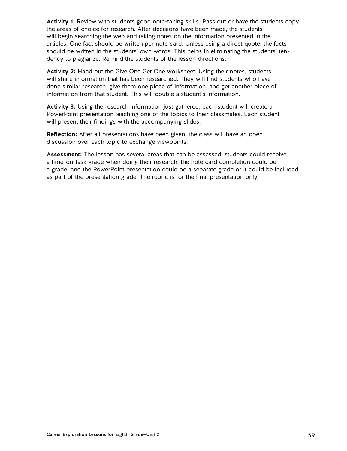**Activity 1:** Review with students good note-taking skills. Pass out or have the students copy the areas of choice for research. After decisions have been made, the students will begin searching the web and taking notes on the information presented in the articles. One fact should be written per note card. Unless using a direct quote, the facts should be written in the students' own words. This helps in eliminating the students' tendency to plagiarize. Remind the students of the lesson directions.

**Activity 2:** Hand out the Give One Get One worksheet. Using their notes, students will share information that has been researched. They will find students who have done similar research, give them one piece of information, and get another piece of information from that student. This will double a student's information.

**Activity 3:** Using the research information just gathered, each student will create a PowerPoint presentation teaching one of the topics to their classmates. Each student will present their findings with the accompanying slides.

**Reflection:** After all presentations have been given, the class will have an open discussion over each topic to exchange viewpoints.

**Assessment:** The lesson has several areas that can be assessed: students could receive a time-on-task grade when doing their research, the note card completion could be a grade, and the PowerPoint presentation could be a separate grade or it could be included as part of the presentation grade. The rubric is for the final presentation only.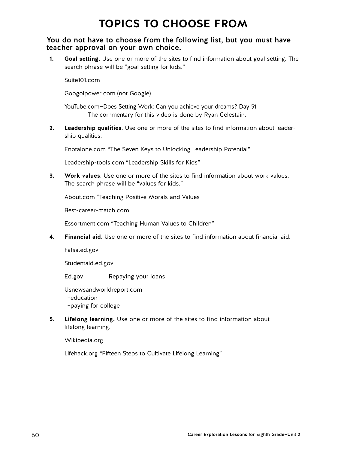## **TOPICS TO CHOOSE FROM**

### You do not have to choose from the following list, but you must have teacher approval on your own choice.

**1. Goal setting.** Use one or more of the sites to find information about goal setting. The search phrase will be "goal setting for kids."

Suite101.com

Googolpower.com (not Google)

YouTube.com—Does Setting Work: Can you achieve your dreams? Day 51 The commentary for this video is done by Ryan Celestain.

**2. Leadership qualities**. Use one or more of the sites to find information about leadership qualities.

Enotalone.com "The Seven Keys to Unlocking Leadership Potential"

Leadership-tools.com "Leadership Skills for Kids"

**3. Work values**. Use one or more of the sites to find information about work values. The search phrase will be "values for kids."

About.com "Teaching Positive Morals and Values

Best-career-match.com

Essortment.com "Teaching Human Values to Children"

**4. Financial aid**. Use one or more of the sites to find information about financial aid.

Fafsa.ed.gov

Studentaid.ed.gov

Ed.gov Repaying your loans

Usnewsandworldreport.com –education –paying for college

**5. Lifelong learning.** Use one or more of the sites to find information about lifelong learning.

Wikipedia.org

Lifehack.org "Fifteen Steps to Cultivate Lifelong Learning"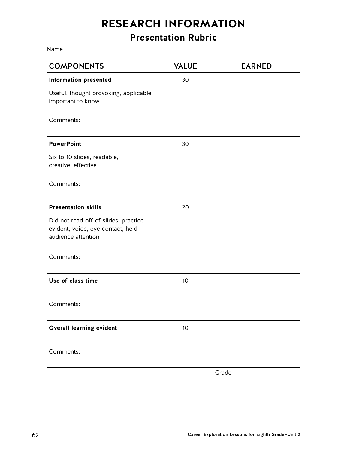## **RESEARCH INFORMATION**

## **Presentation Rubric**

| <b>COMPONENTS</b>                                                                               | <b>VALUE</b> | <b>EARNED</b> |
|-------------------------------------------------------------------------------------------------|--------------|---------------|
| <b>Information presented</b>                                                                    | 30           |               |
| Useful, thought provoking, applicable,<br>important to know                                     |              |               |
| Comments:                                                                                       |              |               |
| <b>PowerPoint</b>                                                                               | 30           |               |
| Six to 10 slides, readable,<br>creative, effective                                              |              |               |
| Comments:                                                                                       |              |               |
| <b>Presentation skills</b>                                                                      | 20           |               |
| Did not read off of slides, practice<br>evident, voice, eye contact, held<br>audience attention |              |               |
| Comments:                                                                                       |              |               |
| Use of class time                                                                               | 10           |               |
| Comments:                                                                                       |              |               |
| Overall learning evident                                                                        | 10           |               |
| Comments:                                                                                       |              |               |
|                                                                                                 |              | Grade         |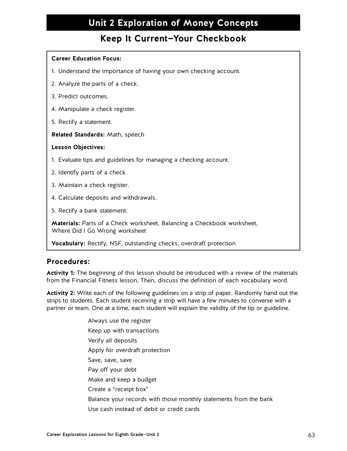### **Keep It Current—Your Checkbook**

#### **Career Education Focus:**

- 1. Understand the importance of having your own checking account.
- 2. Analyze the parts of a check.
- 3. Predict outcomes.
- 4. Manipulate a check register.
- 5. Rectify a statement.

**Related Standards:** Math, speech

#### **Lesson Objectives:**

- 1. Evaluate tips and guidelines for managing a checking account.
- 2. Identify parts of a check.
- 3. Maintain a check register.
- 4. Calculate deposits and withdrawals.
- 5. Rectify a bank statement.

**Materials:** Parts of a Check worksheet, Balancing a Checkbook worksheet, Where Did I Go Wrong worksheet

**Vocabulary:** Rectify, NSF, outstanding checks, overdraft protection

### **Procedures:**

**Activity 1:** The beginning of this lesson should be introduced with a review of the materials from the Financial Fitness lesson. Then, discuss the definition of each vocabulary word.

**Activity 2:** Write each of the following guidelines on a strip of paper. Randomly hand out the strips to students. Each student receiving a strip will have a few minutes to converse with a partner or team. One at a time, each student will explain the validity of the tip or guideline.

> Always use the register Keep up with transactions Verify all deposits Apply for overdraft protection Save, save, save Pay off your debt Make and keep a budget Create a "receipt box" Balance your records with those monthly statements from the bank Use cash instead of debit or credit cards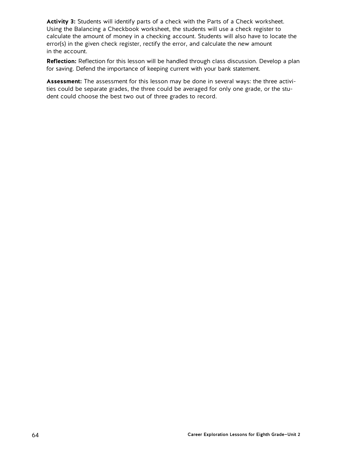**Activity 3:** Students will identify parts of a check with the Parts of a Check worksheet. Using the Balancing a Checkbook worksheet, the students will use a check register to calculate the amount of money in a checking account. Students will also have to locate the error(s) in the given check register, rectify the error, and calculate the new amount in the account.

**Reflection:** Reflection for this lesson will be handled through class discussion. Develop a plan for saving. Defend the importance of keeping current with your bank statement.

**Assessment:** The assessment for this lesson may be done in several ways: the three activities could be separate grades, the three could be averaged for only one grade, or the student could choose the best two out of three grades to record.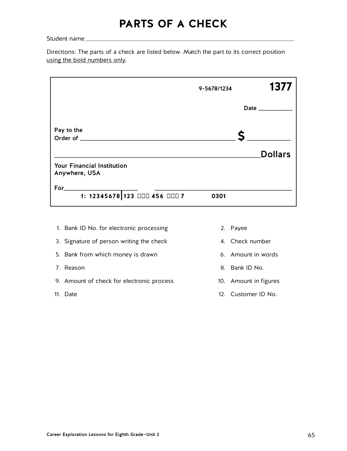## **PARTS OF A CHECK**

Student name

Directions: The parts of a check are listed below. Match the part to its correct position using the bold numbers only.

|                                                    | 9-5678/1234 | 1377           |
|----------------------------------------------------|-------------|----------------|
|                                                    |             | Date $\_$      |
| Pay to the                                         |             |                |
|                                                    |             | <b>Dollars</b> |
| <b>Your Financial Institution</b><br>Anywhere, USA |             |                |
| For                                                |             |                |
| 1: 12345678 123 □□□ 456 □□□ 7                      | 0301        |                |

- 1. Bank ID No. for electronic processing 2. Payee
- 3. Signature of person writing the check 4. Check number
- 5. Bank from which money is drawn **6.** Amount in words
- 
- 9. Amount of check for electronic process 10. Amount in figures
- 
- 
- 
- 
- 7. Reason 8. Bank ID No.
	-
- 11. Date 12. Customer ID No.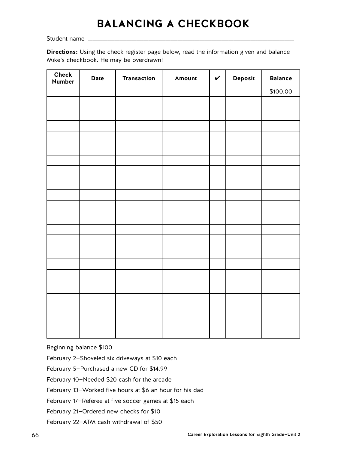## **BALANCING A CHECKBOOK**

Student name

**Directions:** Using the check register page below, read the information given and balance Mike's checkbook. He may be overdrawn!

| Check<br>Number | Date | Transaction | Amount | $\checkmark$ | Deposit | <b>Balance</b> |
|-----------------|------|-------------|--------|--------------|---------|----------------|
|                 |      |             |        |              |         | \$100.00       |
|                 |      |             |        |              |         |                |
|                 |      |             |        |              |         |                |
|                 |      |             |        |              |         |                |
|                 |      |             |        |              |         |                |
|                 |      |             |        |              |         |                |
|                 |      |             |        |              |         |                |
|                 |      |             |        |              |         |                |
|                 |      |             |        |              |         |                |
|                 |      |             |        |              |         |                |
|                 |      |             |        |              |         |                |
|                 |      |             |        |              |         |                |
|                 |      |             |        |              |         |                |
|                 |      |             |        |              |         |                |
|                 |      |             |        |              |         |                |
|                 |      |             |        |              |         |                |
|                 |      |             |        |              |         |                |
|                 |      |             |        |              |         |                |
|                 |      |             |        |              |         |                |
|                 |      |             |        |              |         |                |
|                 |      |             |        |              |         |                |
|                 |      |             |        |              |         |                |

Beginning balance \$100

February 2—Shoveled six driveways at \$10 each

February 5—Purchased a new CD for \$14.99

February 10—Needed \$20 cash for the arcade

February 13—Worked five hours at \$6 an hour for his dad

February 17—Referee at five soccer games at \$15 each

February 21—Ordered new checks for \$10

February 22—ATM cash withdrawal of \$50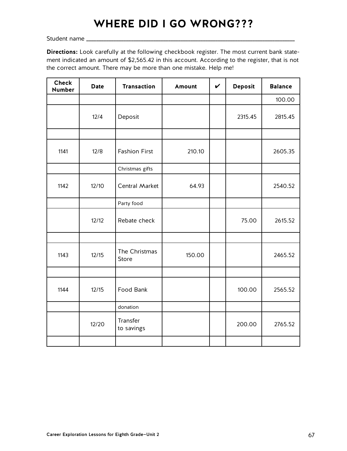## **WHERE DID I GO WRONG???**

Student name **\_\_\_\_\_\_\_\_\_\_\_\_\_\_\_\_\_\_\_\_\_\_\_\_\_\_\_\_\_\_\_\_\_\_\_\_\_\_\_\_\_\_\_\_\_\_\_\_\_\_\_\_\_\_\_\_\_\_\_\_\_\_\_\_\_\_\_\_\_\_\_\_\_\_\_\_\_\_\_\_\_\_\_\_**

**Directions:** Look carefully at the following checkbook register. The most current bank statement indicated an amount of \$2,565.42 in this account. According to the register, that is not the correct amount. There may be more than one mistake. Help me!

| <b>Check</b><br><b>Number</b> | <b>Date</b> | <b>Transaction</b>     | Amount | $\boldsymbol{\nu}$ | <b>Deposit</b> | <b>Balance</b> |  |  |
|-------------------------------|-------------|------------------------|--------|--------------------|----------------|----------------|--|--|
|                               |             |                        |        |                    |                | 100.00         |  |  |
|                               | 12/4        | Deposit                |        |                    | 2315.45        | 2815.45        |  |  |
|                               |             |                        |        |                    |                |                |  |  |
| 1141                          | 12/8        | <b>Fashion First</b>   | 210.10 |                    |                | 2605.35        |  |  |
|                               |             | Christmas gifts        |        |                    |                |                |  |  |
| 1142                          | 12/10       | Central Market         | 64.93  |                    |                | 2540.52        |  |  |
|                               |             | Party food             |        |                    |                |                |  |  |
|                               | 12/12       | Rebate check           |        |                    | 75.00          | 2615.52        |  |  |
|                               |             |                        |        |                    |                |                |  |  |
| 1143                          | 12/15       | The Christmas<br>Store | 150.00 |                    |                | 2465.52        |  |  |
|                               |             |                        |        |                    |                |                |  |  |
| 1144                          | 12/15       | Food Bank              |        |                    | 100.00         | 2565.52        |  |  |
|                               |             | donation               |        |                    |                |                |  |  |
|                               | 12/20       | Transfer<br>to savings |        |                    | 200.00         | 2765.52        |  |  |
|                               |             |                        |        |                    |                |                |  |  |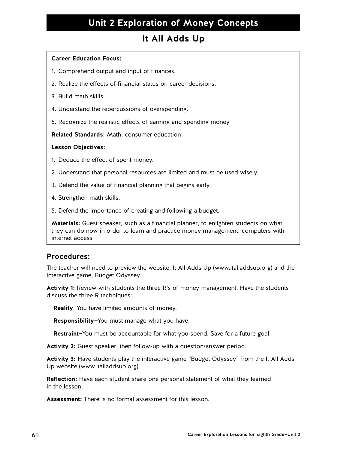### **It All Adds Up**

#### **Career Education Focus:**

- 1. Comprehend output and input of finances.
- 2. Realize the effects of financial status on career decisions.
- 3. Build math skills.
- 4. Understand the repercussions of overspending.
- 5. Recognize the realistic effects of earning and spending money.

**Related Standards:** Math, consumer education

#### **Lesson Objectives:**

- 1. Deduce the effect of spent money.
- 2. Understand that personal resources are limited and must be used wisely.
- 3. Defend the value of financial planning that begins early.
- 4. Strengthen math skills.
- 5. Defend the importance of creating and following a budget.

**Materials:** Guest speaker, such as a financial planner, to enlighten students on what they can do now in order to learn and practice money management; computers with internet access

### **Procedures:**

The teacher will need to preview the website, It All Adds Up (www.italladdsup.org) and the interactive game, Budget Odyssey.

**Activity 1:** Review with students the three R's of money management. Have the students discuss the three R techniques:

**Reality**—You have limited amounts of money.

**Responsibility**—You must manage what you have.

**Restraint**—You must be accountable for what you spend. Save for a future goal.

**Activity 2:** Guest speaker, then follow-up with a question/answer period.

**Activity 3:** Have students play the interactive game "Budget Odyssey" from the It All Adds Up website (www.italladdsup.org).

**Reflection:** Have each student share one personal statement of what they learned in the lesson.

**Assessment:** There is no formal assessment for this lesson.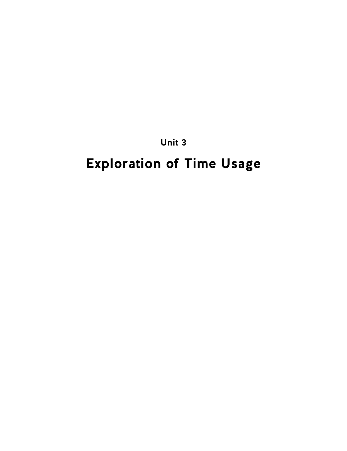**Unit 3**

# **Exploration of Time Usage**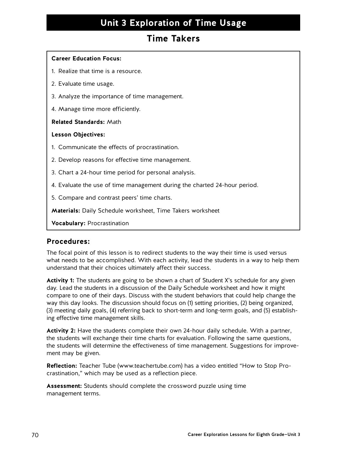### **Unit 3 Exploration of Time Usage**

### **Time Takers**

### **Career Education Focus:**

- 1. Realize that time is a resource.
- 2. Evaluate time usage.
- 3. Analyze the importance of time management.
- 4. Manage time more efficiently.

#### **Related Standards:** Math

#### **Lesson Objectives:**

- 1. Communicate the effects of procrastination.
- 2. Develop reasons for effective time management.
- 3. Chart a 24-hour time period for personal analysis.
- 4. Evaluate the use of time management during the charted 24-hour period.
- 5. Compare and contrast peers' time charts.

**Materials:** Daily Schedule worksheet, Time Takers worksheet

**Vocabulary:** Procrastination

### **Procedures:**

The focal point of this lesson is to redirect students to the way their time is used versus what needs to be accomplished. With each activity, lead the students in a way to help them understand that their choices ultimately affect their success.

**Activity 1:** The students are going to be shown a chart of Student X's schedule for any given day. Lead the students in a discussion of the Daily Schedule worksheet and how it might compare to one of their days. Discuss with the student behaviors that could help change the way this day looks. The discussion should focus on (1) setting priorities, (2) being organized, (3) meeting daily goals, (4) referring back to short-term and long-term goals, and (5) establishing effective time management skills.

**Activity 2:** Have the students complete their own 24-hour daily schedule. With a partner, the students will exchange their time charts for evaluation. Following the same questions, the students will determine the effectiveness of time management. Suggestions for improvement may be given.

**Reflection:** Teacher Tube (www.teachertube.com) has a video entitled "How to Stop Procrastination," which may be used as a reflection piece.

**Assessment:** Students should complete the crossword puzzle using time management terms.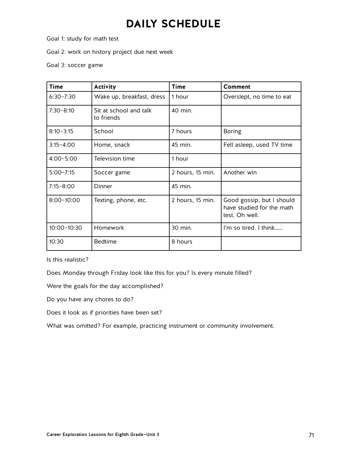## **DAILY SCHEDULE**

Goal 1: study for math test

Goal 2: work on history project due next week

Goal 3: soccer game

| <b>Time</b>     | <b>Activity</b>                      | <b>Time</b>      | <b>Comment</b>                                                           |
|-----------------|--------------------------------------|------------------|--------------------------------------------------------------------------|
| $6:30 - 7:30$   | Wake up, breakfast, dress            | 1 hour           | Overslept, no time to eat                                                |
| $7:30 - 8:10$   | Sit at school and talk<br>to friends | 40 min.          |                                                                          |
| $8:10 - 3:15$   | School                               | 7 hours          | <b>Boring</b>                                                            |
| $3:15 - 4:00$   | Home, snack                          | 45 min.          | Fell asleep, used TV time                                                |
| $4:00 - 5:00$   | Television time                      | 1 hour           |                                                                          |
| $5:00 - 7:15$   | Soccer game                          | 2 hours, 15 min. | Another win                                                              |
| $7:15 - 8:00$   | Dinner                               | 45 min.          |                                                                          |
| $8:00 - 10:00$  | Texting, phone, etc.                 | 2 hours, 15 min. | Good gossip, but I should<br>have studied for the math<br>test. Oh well. |
| $10:00 - 10:30$ | Homework                             | 30 min.          | I'm so tired. I think                                                    |
| 10:30           | <b>Bedtime</b>                       | 8 hours          |                                                                          |

Is this realistic?

Does Monday through Friday look like this for you? Is every minute filled?

Were the goals for the day accomplished?

Do you have any chores to do?

Does it look as if priorities have been set?

What was omitted? For example, practicing instrument or community involvement.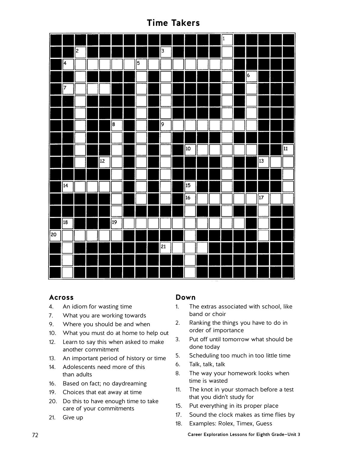### **Time Takers**

|             |             |                |    |    |            |                 |                 |  | $\vert$ 1 |                |             |             |
|-------------|-------------|----------------|----|----|------------|-----------------|-----------------|--|-----------|----------------|-------------|-------------|
|             |             | $\overline{2}$ |    |    |            | $\sqrt{3}$      |                 |  |           |                |             |             |
|             | $\sqrt{4}$  |                |    |    | $\sqrt{5}$ |                 |                 |  |           |                |             |             |
|             |             |                |    |    |            |                 |                 |  |           | $\overline{6}$ |             |             |
|             | 7           |                |    |    |            |                 |                 |  |           |                |             |             |
|             |             |                |    |    |            |                 |                 |  |           |                |             |             |
|             |             |                |    |    |            |                 |                 |  |           |                |             |             |
|             |             |                |    | 8  |            | p               |                 |  |           |                |             |             |
|             |             |                |    |    |            |                 |                 |  |           |                |             |             |
|             |             |                |    |    |            |                 | 10              |  |           |                |             | $\sqrt{11}$ |
|             |             |                | 12 |    |            |                 |                 |  |           |                | 13          |             |
|             |             |                |    |    |            |                 |                 |  |           |                |             |             |
|             | 14          |                |    |    |            |                 | 15              |  |           |                |             |             |
|             |             |                |    |    |            |                 | $\overline{16}$ |  |           |                | $\sqrt{17}$ |             |
|             |             |                |    |    |            |                 |                 |  |           |                |             |             |
|             | $\sqrt{18}$ |                |    | 19 |            |                 |                 |  |           |                |             |             |
| $\sqrt{20}$ |             |                |    |    |            |                 |                 |  |           |                |             |             |
|             |             |                |    |    |            | $\overline{21}$ |                 |  |           |                |             |             |
|             |             |                |    |    |            |                 |                 |  |           |                |             |             |
|             |             |                |    |    |            |                 |                 |  |           |                |             |             |

### **Across**

- 4. An idiom for wasting time
- 7. What you are working towards
- 9. Where you should be and when
- 10. What you must do at home to help out
- 12. Learn to say this when asked to make another commitment
- 13. An important period of history or time
- 14. Adolescents need more of this than adults
- 16. Based on fact; no daydreaming
- 19. Choices that eat away at time
- 20. Do this to have enough time to take care of your commitments
- 21. Give up

### **Down**

- 1. The extras associated with school, like band or choir
- 2. Ranking the things you have to do in order of importance
- 3. Put off until tomorrow what should be done today
- 5. Scheduling too much in too little time
- 6. Talk, talk, talk
- 8. The way your homework looks when time is wasted
- 11. The knot in your stomach before a test that you didn't study for
- 15. Put everything in its proper place
- 17. Sound the clock makes as time flies by
- 18. Examples: Rolex, Timex, Guess

72 Career Exploration Lessons for Eighth Grade—Unit 3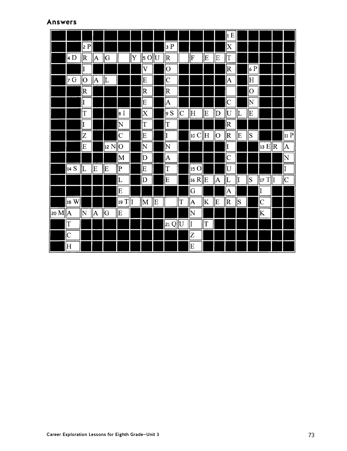### **Answers**

|                                |                         |             |                |            |                         |   |                           |   |                                                                   |                    |                         |    |            | 1 E                       |    |             |                         |   |                    |
|--------------------------------|-------------------------|-------------|----------------|------------|-------------------------|---|---------------------------|---|-------------------------------------------------------------------|--------------------|-------------------------|----|------------|---------------------------|----|-------------|-------------------------|---|--------------------|
|                                |                         | z P         |                |            |                         |   |                           |   | 3P                                                                |                    |                         |    |            | $\boldsymbol{\mathrm{X}}$ |    |             |                         |   |                    |
|                                | 4 D                     | R           | A              | G          |                         | Y | $\ $ 5 O $\ $ U           |   | R                                                                 |                    | F                       | E  | E          | $\vert T \vert$           |    |             |                         |   |                    |
|                                |                         | I           |                |            |                         |   | $\overline{\mathsf{V}}$   |   | $\overline{\text{O}}$                                             |                    |                         |    |            | $\overline{\mathsf{R}}$   |    | 6 P         |                         |   |                    |
|                                | 7 G                     | O           | $\overline{A}$ | L          |                         |   | E                         |   | $ {\rm C}$                                                        |                    |                         |    |            | $\boldsymbol{\mathsf{A}}$ |    | ļΗ          |                         |   |                    |
|                                |                         | R           |                |            |                         |   | $ \mathrm{R} $            |   | R                                                                 |                    |                         |    |            |                           |    | 0           |                         |   |                    |
|                                |                         | I           |                |            |                         |   | E                         |   | A                                                                 |                    |                         |    |            | $ {\rm C}$                |    | $\mathbb N$ |                         |   |                    |
|                                |                         | T           |                |            | 8                       |   | $\boldsymbol{\mathrm{X}}$ |   | 9S                                                                | $\overline{\rm C}$ | ΙH                      | ΙE | $ {\rm D}$ | U                         | IL | ΙE          |                         |   |                    |
|                                |                         | I           |                |            | $ {\rm N}$              |   | İΤ                        |   | İΤ                                                                |                    |                         |    |            | $ \mathrm{R} $            |    |             |                         |   |                    |
|                                |                         | Z           |                |            | $\overline{C}$          |   | E                         |   | $\vert$ I                                                         |                    | 10 C                    | H  | <b> О</b>  | R                         | E  | S           |                         |   | 11 P               |
|                                |                         | E           |                | $ 12 N $ O |                         |   | N                         |   | $\mathbf N$                                                       |                    |                         |    |            | I                         |    |             | $\ $ 13 E $\ $ R        |   | A                  |
|                                |                         |             |                |            | $\overline{\mathbf{M}}$ |   | D                         |   | A                                                                 |                    |                         |    |            | $\overline{\rm C}$        |    |             |                         |   | $\mathsf N$        |
|                                | 14 S                    | $ _{\rm L}$ | E              | E          | $ {\rm P} $             |   | E                         |   | $ \mathrm{T}%   \leq C\left( \left[ T_{1}\right] ,T_{2}\right)  $ |                    | 15 O                    |    |            | U                         |    |             |                         |   | I                  |
|                                |                         |             |                |            | L                       |   | $\mathbb D$               |   | İΕ                                                                |                    | 16 R  E                 |    | A          | $\prod_{\tau}$            | II | S           | 17T                     | I | $\overline{\rm C}$ |
|                                |                         |             |                |            | E                       |   |                           |   |                                                                   |                    | G                       |    |            | $\overline{A}$            |    |             | $\vert \mathrm{I}$      |   |                    |
|                                | $\left 18\right $ W     |             |                |            | $\ 19\ $                |   | $\parallel$ M             | E |                                                                   | T                  | A                       | K  | E          | R                         | S  |             | $\overline{\mathsf{C}}$ |   |                    |
| $\parallel$ 20 M $\parallel$ A |                         | N           | ļΑ             | G          | E                       |   |                           |   |                                                                   |                    | N                       |    |            |                           |    |             | K                       |   |                    |
|                                | T                       |             |                |            |                         |   |                           |   | 21 Q  U                                                           |                    | I                       | T  |            |                           |    |             |                         |   |                    |
|                                | $\overline{C}$          |             |                |            |                         |   |                           |   |                                                                   |                    | Z                       |    |            |                           |    |             |                         |   |                    |
|                                | $\overline{\mathrm{H}}$ |             |                |            |                         |   |                           |   |                                                                   |                    | $\overline{\mathrm{E}}$ |    |            |                           |    |             |                         |   |                    |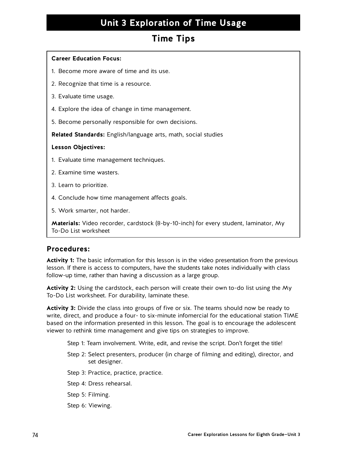# **Unit 3 Exploration of Time Usage**

### **Time Tips**

### **Career Education Focus:**

- 1. Become more aware of time and its use.
- 2. Recognize that time is a resource.
- 3. Evaluate time usage.
- 4. Explore the idea of change in time management.
- 5. Become personally responsible for own decisions.

**Related Standards:** English/language arts, math, social studies

### **Lesson Objectives:**

- 1. Evaluate time management techniques.
- 2. Examine time wasters.
- 3. Learn to prioritize.
- 4. Conclude how time management affects goals.
- 5. Work smarter, not harder.

**Materials:** Video recorder, cardstock (8-by-10-inch) for every student, laminator, My To-Do List worksheet

### **Procedures:**

**Activity 1:** The basic information for this lesson is in the video presentation from the previous lesson. If there is access to computers, have the students take notes individually with class follow-up time, rather than having a discussion as a large group.

**Activity 2:** Using the cardstock, each person will create their own to-do list using the My To-Do List worksheet. For durability, laminate these.

**Activity 3:** Divide the class into groups of five or six. The teams should now be ready to write, direct, and produce a four- to six-minute infomercial for the educational station TIME based on the information presented in this lesson. The goal is to encourage the adolescent viewer to rethink time management and give tips on strategies to improve.

- Step 1: Team involvement. Write, edit, and revise the script. Don't forget the title!
- Step 2: Select presenters, producer (in charge of filming and editing), director, and set designer.
- Step 3: Practice, practice, practice.
- Step 4: Dress rehearsal.
- Step 5: Filming.
- Step 6: Viewing.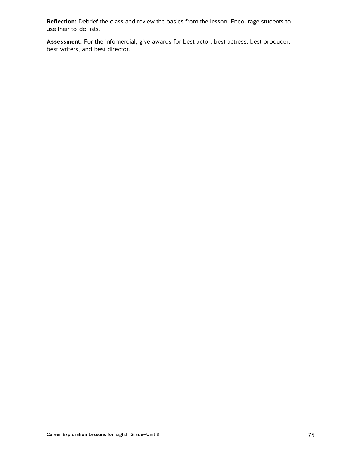**Reflection:** Debrief the class and review the basics from the lesson. Encourage students to use their to-do lists.

**Assessment:** For the infomercial, give awards for best actor, best actress, best producer, best writers, and best director.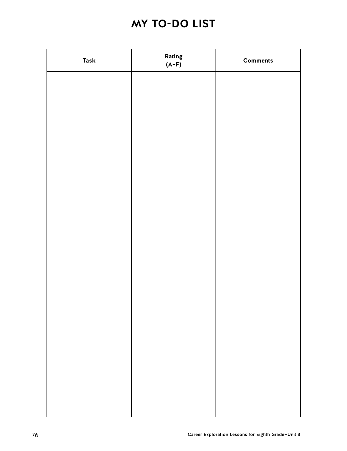# **MY TO-DO LIST**

| <b>Task</b> | Rating<br>$(A-F)$ | <b>Comments</b> |
|-------------|-------------------|-----------------|
|             |                   |                 |
|             |                   |                 |
|             |                   |                 |
|             |                   |                 |
|             |                   |                 |
|             |                   |                 |
|             |                   |                 |
|             |                   |                 |
|             |                   |                 |
|             |                   |                 |
|             |                   |                 |
|             |                   |                 |
|             |                   |                 |
|             |                   |                 |
|             |                   |                 |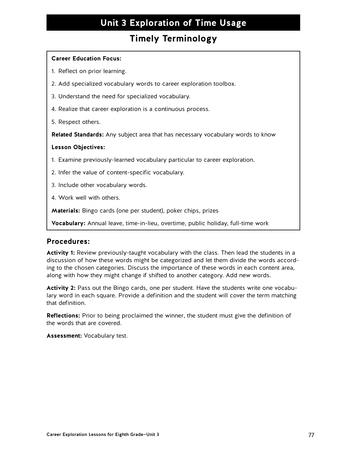# **Unit 3 Exploration of Time Usage**

### **Timely Terminology**

### **Career Education Focus:**

- 1. Reflect on prior learning.
- 2. Add specialized vocabulary words to career exploration toolbox.
- 3. Understand the need for specialized vocabulary.
- 4. Realize that career exploration is a continuous process.
- 5. Respect others.

**Related Standards:** Any subject area that has necessary vocabulary words to know

### **Lesson Objectives:**

- 1. Examine previously-learned vocabulary particular to career exploration.
- 2. Infer the value of content-specific vocabulary.
- 3. Include other vocabulary words.
- 4. Work well with others.

**Materials:** Bingo cards (one per student), poker chips, prizes

**Vocabulary:** Annual leave, time-in-lieu, overtime, public holiday, full-time work

### **Procedures:**

**Activity 1:** Review previously-taught vocabulary with the class. Then lead the students in a discussion of how these words might be categorized and let them divide the words according to the chosen categories. Discuss the importance of these words in each content area, along with how they might change if shifted to another category. Add new words.

**Activity 2:** Pass out the Bingo cards, one per student. Have the students write one vocabulary word in each square. Provide a definition and the student will cover the term matching that definition.

**Reflections:** Prior to being proclaimed the winner, the student must give the definition of the words that are covered.

**Assessment:** Vocabulary test.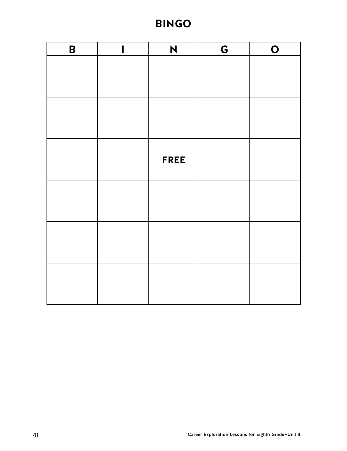# **BINGO**

| $\pmb{\mathsf{B}}$ | $\blacksquare$ | N           | G | $\overline{O}$ |
|--------------------|----------------|-------------|---|----------------|
|                    |                |             |   |                |
|                    |                |             |   |                |
|                    |                |             |   |                |
|                    |                |             |   |                |
|                    |                |             |   |                |
|                    |                | <b>FREE</b> |   |                |
|                    |                |             |   |                |
|                    |                |             |   |                |
|                    |                |             |   |                |
|                    |                |             |   |                |
|                    |                |             |   |                |
|                    |                |             |   |                |
|                    |                |             |   |                |
|                    |                |             |   |                |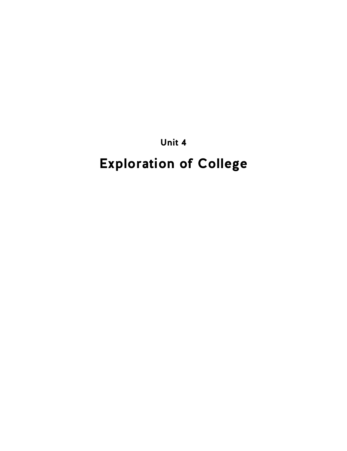**Unit 4**

# **Exploration of College**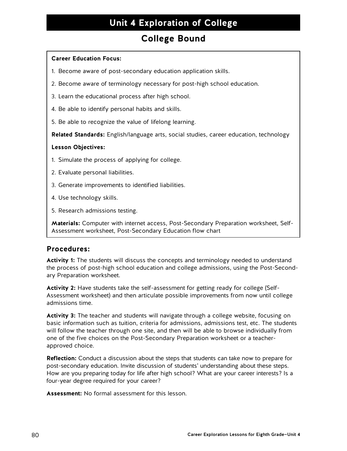# **Unit 4 Exploration of College**

### **College Bound**

### **Career Education Focus:**

- 1. Become aware of post-secondary education application skills.
- 2. Become aware of terminology necessary for post-high school education.
- 3. Learn the educational process after high school.
- 4. Be able to identify personal habits and skills.
- 5. Be able to recognize the value of lifelong learning.

**Related Standards:** English/language arts, social studies, career education, technology

### **Lesson Objectives:**

- 1. Simulate the process of applying for college.
- 2. Evaluate personal liabilities.
- 3. Generate improvements to identified liabilities.
- 4. Use technology skills.
- 5. Research admissions testing.

**Materials:** Computer with internet access, Post-Secondary Preparation worksheet, Self-Assessment worksheet, Post-Secondary Education flow chart

### **Procedures:**

**Activity 1:** The students will discuss the concepts and terminology needed to understand the process of post-high school education and college admissions, using the Post-Secondary Preparation worksheet.

**Activity 2:** Have students take the self-assessment for getting ready for college (Self-Assessment worksheet) and then articulate possible improvements from now until college admissions time.

**Activity 3:** The teacher and students will navigate through a college website, focusing on basic information such as tuition, criteria for admissions, admissions test, etc. The students will follow the teacher through one site, and then will be able to browse individually from one of the five choices on the Post-Secondary Preparation worksheet or a teacherapproved choice.

**Reflection:** Conduct a discussion about the steps that students can take now to prepare for post-secondary education. Invite discussion of students' understanding about these steps. How are you preparing today for life after high school? What are your career interests? Is a four-year degree required for your career?

**Assessment:** No formal assessment for this lesson.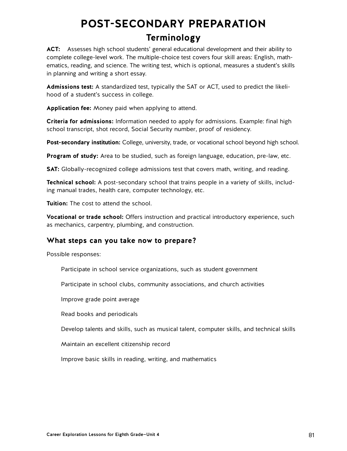# **POST-SECONDARY PREPARATION**

### **Terminology**

**ACT:** Assesses high school students' general educational development and their ability to complete college-level work. The multiple-choice test covers four skill areas: English, mathematics, reading, and science. The writing test, which is optional, measures a student's skills in planning and writing a short essay.

**Admissions test:** A standardized test, typically the SAT or ACT, used to predict the likelihood of a student's success in college.

**Application fee:** Money paid when applying to attend.

**Criteria for admissions:** Information needed to apply for admissions. Example: final high school transcript, shot record, Social Security number, proof of residency.

**Post-secondary institution:** College, university, trade, or vocational school beyond high school.

**Program of study:** Area to be studied, such as foreign language, education, pre-law, etc.

**SAT:** Globally-recognized college admissions test that covers math, writing, and reading.

**Technical school:** A post-secondary school that trains people in a variety of skills, including manual trades, health care, computer technology, etc.

**Tuition:** The cost to attend the school.

**Vocational or trade school:** Offers instruction and practical introductory experience, such as mechanics, carpentry, plumbing, and construction.

### **What steps can you take now to prepare?**

Possible responses:

Participate in school service organizations, such as student government

Participate in school clubs, community associations, and church activities

Improve grade point average

Read books and periodicals

Develop talents and skills, such as musical talent, computer skills, and technical skills

Maintain an excellent citizenship record

Improve basic skills in reading, writing, and mathematics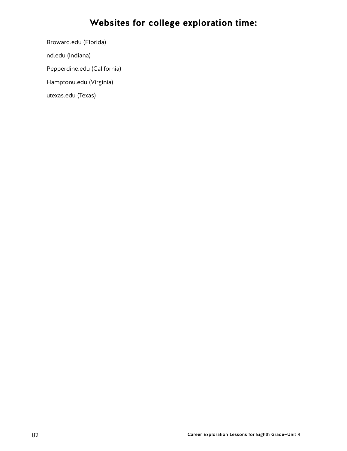# **Websites for college exploration time:**

Broward.edu (Florida)

nd.edu (Indiana)

Pepperdine.edu (California)

Hamptonu.edu (Virginia)

utexas.edu (Texas)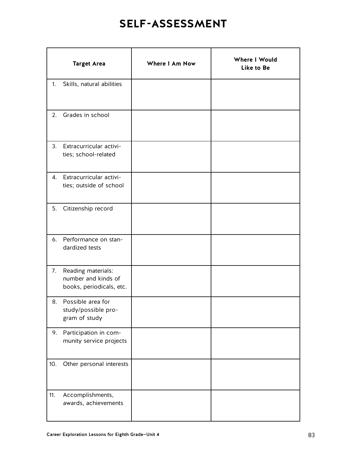# **SELF-ASSESSMENT**

|     | <b>Target Area</b>                                                    | Where I Am Now | Where I Would<br>Like to Be |
|-----|-----------------------------------------------------------------------|----------------|-----------------------------|
| 1.  | Skills, natural abilities                                             |                |                             |
|     | 2. Grades in school                                                   |                |                             |
| 3.  | Extracurricular activi-<br>ties; school-related                       |                |                             |
|     | 4. Extracurricular activi-<br>ties; outside of school                 |                |                             |
| 5.  | Citizenship record                                                    |                |                             |
|     | 6. Performance on stan-<br>dardized tests                             |                |                             |
| 7.  | Reading materials:<br>number and kinds of<br>books, periodicals, etc. |                |                             |
|     | 8. Possible area for<br>study/possible pro-<br>gram of study          |                |                             |
| 9.  | Participation in com-<br>munity service projects                      |                |                             |
| 10. | Other personal interests                                              |                |                             |
| 11. | Accomplishments,<br>awards, achievements                              |                |                             |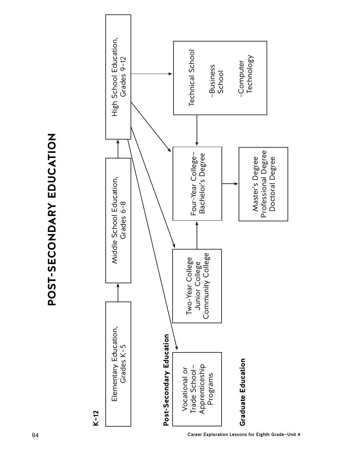



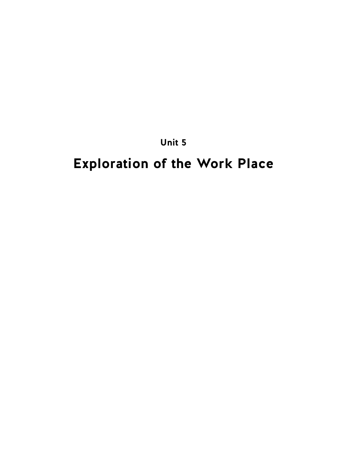**Unit 5**

# **Exploration of the Work Place**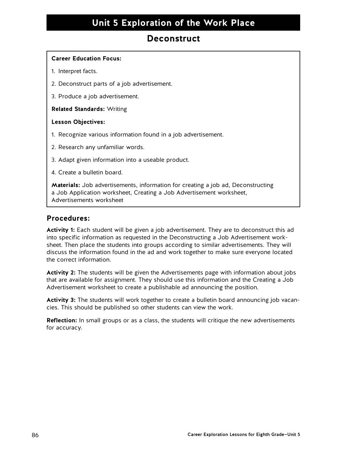# **Unit 5 Exploration of the Work Place**

### **Deconstruct**

### **Career Education Focus:**

- 1. Interpret facts.
- 2. Deconstruct parts of a job advertisement.
- 3. Produce a job advertisement.

### **Related Standards:** Writing

### **Lesson Objectives:**

- 1. Recognize various information found in a job advertisement.
- 2. Research any unfamiliar words.
- 3. Adapt given information into a useable product.
- 4. Create a bulletin board.

**Materials:** Job advertisements, information for creating a job ad, Deconstructing a Job Application worksheet, Creating a Job Advertisement worksheet, Advertisements worksheet

### **Procedures:**

**Activity 1:** Each student will be given a job advertisement. They are to deconstruct this ad into specific information as requested in the Deconstructing a Job Advertisement worksheet. Then place the students into groups according to similar advertisements. They will discuss the information found in the ad and work together to make sure everyone located the correct information.

**Activity 2:** The students will be given the Advertisements page with information about jobs that are available for assignment. They should use this information and the Creating a Job Advertisement worksheet to create a publishable ad announcing the position.

**Activity 3:** The students will work together to create a bulletin board announcing job vacancies. This should be published so other students can view the work.

**Reflection:** In small groups or as a class, the students will critique the new advertisements for accuracy.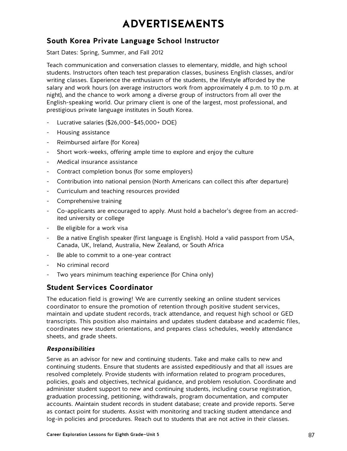# **ADVERTISEMENTS**

### **South Korea Private Language School Instructor**

Start Dates: Spring, Summer, and Fall 2012

Teach communication and conversation classes to elementary, middle, and high school students. Instructors often teach test preparation classes, business English classes, and/or writing classes. Experience the enthusiasm of the students, the lifestyle afforded by the salary and work hours (on average instructors work from approximately 4 p.m. to 10 p.m. at night), and the chance to work among a diverse group of instructors from all over the English-speaking world. Our primary client is one of the largest, most professional, and prestigious private language institutes in South Korea.

- Lucrative salaries (\$26,000–\$45,000+ DOE)
- Housing assistance
- Reimbursed airfare (for Korea)
- Short work-weeks, offering ample time to explore and enjoy the culture
- Medical insurance assistance
- Contract completion bonus (for some employers)
- Contribution into national pension (North Americans can collect this after departure)
- Curriculum and teaching resources provided
- Comprehensive training
- Co-applicants are encouraged to apply. Must hold a bachelor's degree from an accredited university or college
- Be eligible for a work visa
- Be a native English speaker (first language is English). Hold a valid passport from USA, Canada, UK, Ireland, Australia, New Zealand, or South Africa
- Be able to commit to a one-year contract
- No criminal record
- Two years minimum teaching experience (for China only)

### **Student Services Coordinator**

The education field is growing! We are currently seeking an online student services coordinator to ensure the promotion of retention through positive student services, maintain and update student records, track attendance, and request high school or GED transcripts. This position also maintains and updates student database and academic files, coordinates new student orientations, and prepares class schedules, weekly attendance sheets, and grade sheets.

### **Responsibilities**

Serve as an advisor for new and continuing students. Take and make calls to new and continuing students. Ensure that students are assisted expeditiously and that all issues are resolved completely. Provide students with information related to program procedures, policies, goals and objectives, technical guidance, and problem resolution. Coordinate and administer student support to new and continuing students, including course registration, graduation processing, petitioning, withdrawals, program documentation, and computer accounts. Maintain student records in student database; create and provide reports. Serve as contact point for students. Assist with monitoring and tracking student attendance and log-in policies and procedures. Reach out to students that are not active in their classes.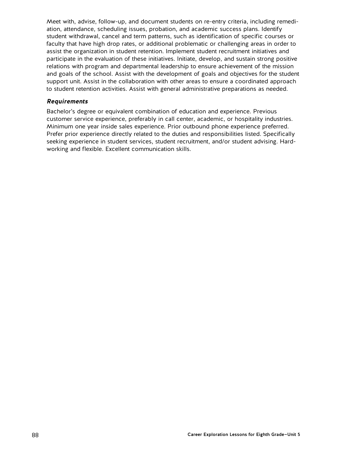Meet with, advise, follow-up, and document students on re-entry criteria, including remediation, attendance, scheduling issues, probation, and academic success plans. Identify student withdrawal, cancel and term patterns, such as identification of specific courses or faculty that have high drop rates, or additional problematic or challenging areas in order to assist the organization in student retention. Implement student recruitment initiatives and participate in the evaluation of these initiatives. Initiate, develop, and sustain strong positive relations with program and departmental leadership to ensure achievement of the mission and goals of the school. Assist with the development of goals and objectives for the student support unit. Assist in the collaboration with other areas to ensure a coordinated approach to student retention activities. Assist with general administrative preparations as needed.

### **Requirements**

Bachelor's degree or equivalent combination of education and experience. Previous customer service experience, preferably in call center, academic, or hospitality industries. Minimum one year inside sales experience. Prior outbound phone experience preferred. Prefer prior experience directly related to the duties and responsibilities listed. Specifically seeking experience in student services, student recruitment, and/or student advising. Hardworking and flexible. Excellent communication skills.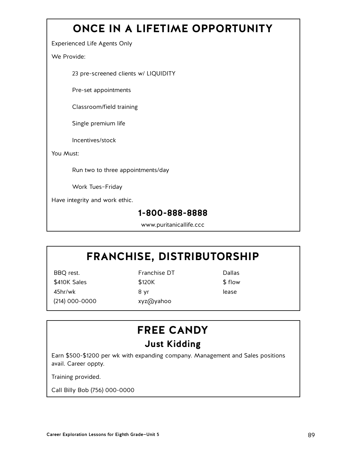# **ONCE IN A LIFETIME OPPORTUNITY**

Experienced Life Agents Only

We Provide:

23 pre-screened clients w/ LIQUIDITY

Pre-set appointments

Classroom/field training

Single premium life

Incentives/stock

You Must:

Run two to three appointments/day

Work Tues–Friday

Have integrity and work ethic.

### **1-800-888-8888**

www.puritanicallife.ccc

# **FRANCHISE, DISTRIBUTORSHIP**

BBQ rest. The Research Pranchise DT The Dallas \$410K Sales \$120K \$10W 45hr/wk 8 yr lease (214) 000-0000 xyz@yahoo

# **FREE CANDY Just Kidding**

Earn \$500-\$1200 per wk with expanding company. Management and Sales positions avail. Career oppty.

Training provided.

Call Billy Bob (756) 000-0000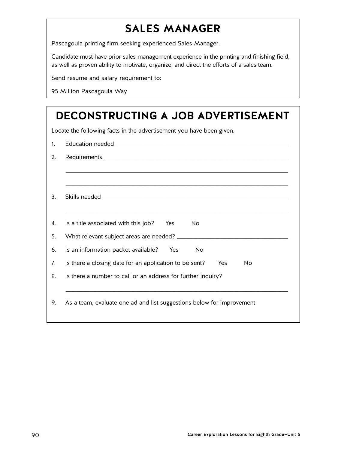# **SALES MANAGER**

Pascagoula printing firm seeking experienced Sales Manager.

Candidate must have prior sales management experience in the printing and finishing field, as well as proven ability to motivate, organize, and direct the efforts of a sales team.

Send resume and salary requirement to:

95 Million Pascagoula Way

|    | DECONSTRUCTING A JOB ADVERTISEMENT                                         |  |  |  |  |  |  |  |
|----|----------------------------------------------------------------------------|--|--|--|--|--|--|--|
|    | Locate the following facts in the advertisement you have been given.       |  |  |  |  |  |  |  |
| 1. |                                                                            |  |  |  |  |  |  |  |
| 2. |                                                                            |  |  |  |  |  |  |  |
|    |                                                                            |  |  |  |  |  |  |  |
| 3. |                                                                            |  |  |  |  |  |  |  |
| 4. | Is a title associated with this job? Yes<br>No                             |  |  |  |  |  |  |  |
| 5. |                                                                            |  |  |  |  |  |  |  |
| 6. | Is an information packet available? Yes<br><b>No</b>                       |  |  |  |  |  |  |  |
| 7. | Is there a closing date for an application to be sent?<br>Yes<br><b>No</b> |  |  |  |  |  |  |  |
| 8. | Is there a number to call or an address for further inquiry?               |  |  |  |  |  |  |  |
|    |                                                                            |  |  |  |  |  |  |  |
| 9. | As a team, evaluate one ad and list suggestions below for improvement.     |  |  |  |  |  |  |  |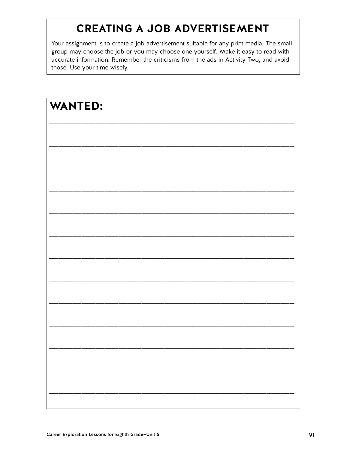# **CREATING A JOB ADVERTISEMENT**

Your assignment is to create a job advertisement suitable for any print media. The small group may choose the job or you may choose one yourself. Make it easy to read with accurate information. Remember the criticisms from the ads in Activity Two, and avoid those. Use your time wisely.

| <b>WANTED:</b> |  |  |
|----------------|--|--|
|                |  |  |
|                |  |  |
|                |  |  |
|                |  |  |
|                |  |  |
|                |  |  |
|                |  |  |
|                |  |  |
|                |  |  |
|                |  |  |
|                |  |  |
|                |  |  |
|                |  |  |
|                |  |  |
|                |  |  |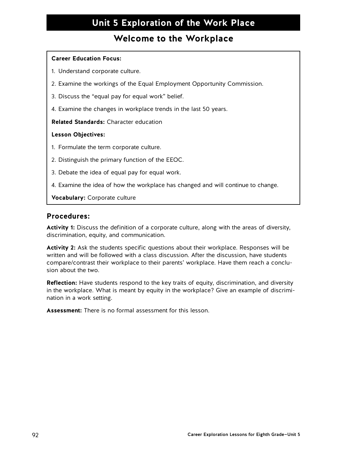# **Unit 5 Exploration of the Work Place**

### **Welcome to the Workplace**

### **Career Education Focus:**

- 1. Understand corporate culture.
- 2. Examine the workings of the Equal Employment Opportunity Commission.
- 3. Discuss the "equal pay for equal work" belief.
- 4. Examine the changes in workplace trends in the last 50 years.

**Related Standards:** Character education

### **Lesson Objectives:**

- 1. Formulate the term corporate culture.
- 2. Distinguish the primary function of the EEOC.
- 3. Debate the idea of equal pay for equal work.
- 4. Examine the idea of how the workplace has changed and will continue to change.

**Vocabulary:** Corporate culture

### **Procedures:**

**Activity 1:** Discuss the definition of a corporate culture, along with the areas of diversity, discrimination, equity, and communication.

**Activity 2:** Ask the students specific questions about their workplace. Responses will be written and will be followed with a class discussion. After the discussion, have students compare/contrast their workplace to their parents' workplace. Have them reach a conclusion about the two.

**Reflection:** Have students respond to the key traits of equity, discrimination, and diversity in the workplace. What is meant by equity in the workplace? Give an example of discrimination in a work setting.

**Assessment:** There is no formal assessment for this lesson.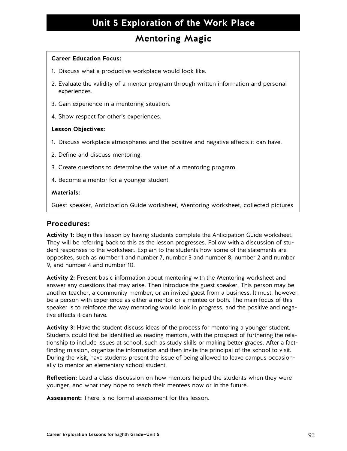# **Unit 5 Exploration of the Work Place**

### **Mentoring Magic**

### **Career Education Focus:**

- 1. Discuss what a productive workplace would look like.
- 2. Evaluate the validity of a mentor program through written information and personal experiences.
- 3. Gain experience in a mentoring situation.
- 4. Show respect for other's experiences.

#### **Lesson Objectives:**

- 1. Discuss workplace atmospheres and the positive and negative effects it can have.
- 2. Define and discuss mentoring.
- 3. Create questions to determine the value of a mentoring program.
- 4. Become a mentor for a younger student.

#### **Materials:**

Guest speaker, Anticipation Guide worksheet, Mentoring worksheet, collected pictures

### **Procedures:**

**Activity 1:** Begin this lesson by having students complete the Anticipation Guide worksheet. They will be referring back to this as the lesson progresses. Follow with a discussion of student responses to the worksheet. Explain to the students how some of the statements are opposites, such as number 1 and number 7, number 3 and number 8, number 2 and number 9, and number 4 and number 10.

**Activity 2:** Present basic information about mentoring with the Mentoring worksheet and answer any questions that may arise. Then introduce the guest speaker. This person may be another teacher, a community member, or an invited guest from a business. It must, however, be a person with experience as either a mentor or a mentee or both. The main focus of this speaker is to reinforce the way mentoring would look in progress, and the positive and negative effects it can have.

**Activity 3:** Have the student discuss ideas of the process for mentoring a younger student. Students could first be identified as reading mentors, with the prospect of furthering the relationship to include issues at school, such as study skills or making better grades. After a factfinding mission, organize the information and then invite the principal of the school to visit. During the visit, have students present the issue of being allowed to leave campus occasionally to mentor an elementary school student.

**Reflection:** Lead a class discussion on how mentors helped the students when they were younger, and what they hope to teach their mentees now or in the future.

**Assessment:** There is no formal assessment for this lesson.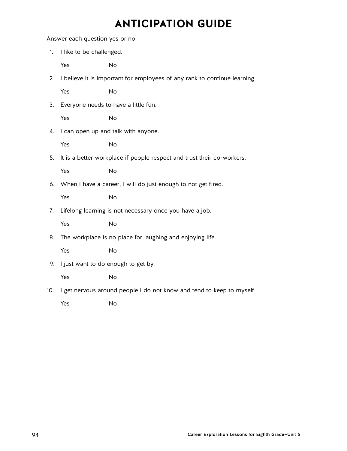# **ANTICIPATION GUIDE**

Answer each question yes or no.

- 1. I like to be challenged. Yes No
- 2. I believe it is important for employees of any rank to continue learning.

Yes No

3. Everyone needs to have a little fun.

Yes No

4. I can open up and talk with anyone.

Yes No

5. It is a better workplace if people respect and trust their co-workers.

Yes No

6. When I have a career, I will do just enough to not get fired.

Yes No

7. Lifelong learning is not necessary once you have a job.

Yes No

8. The workplace is no place for laughing and enjoying life.

Yes No

9. I just want to do enough to get by.

Yes No

10. I get nervous around people I do not know and tend to keep to myself.

Yes No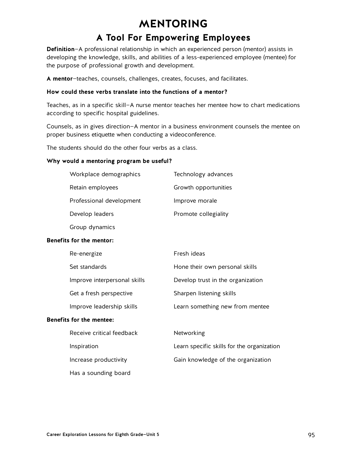# **MENTORING**

### **A Tool For Empowering Employees**

**Definition**—A professional relationship in which an experienced person (mentor) assists in developing the knowledge, skills, and abilities of a less-experienced employee (mentee) for the purpose of professional growth and development.

**A mentor**—teaches, counsels, challenges, creates, focuses, and facilitates.

### **How could these verbs translate into the functions of a mentor?**

Teaches, as in a specific skill—A nurse mentor teaches her mentee how to chart medications according to specific hospital guidelines.

Counsels, as in gives direction—A mentor in a business environment counsels the mentee on proper business etiquette when conducting a videoconference.

The students should do the other four verbs as a class.

#### **Why would a mentoring program be useful?**

| Workplace demographics   | Technology advances  |
|--------------------------|----------------------|
| Retain employees         | Growth opportunities |
| Professional development | Improve morale       |
| Develop leaders          | Promote collegiality |
| Group dynamics           |                      |

### **Benefits for the mentor:**

| Re-energize                     | Fresh ideas                                |
|---------------------------------|--------------------------------------------|
| Set standards                   | Hone their own personal skills             |
| Improve interpersonal skills    | Develop trust in the organization          |
| Get a fresh perspective         | Sharpen listening skills                   |
| Improve leadership skills       | Learn something new from mentee            |
| <b>Benefits for the mentee:</b> |                                            |
| Receive critical feedback       | Networking                                 |
| Inspiration                     | Learn specific skills for the organization |
| Increase productivity           | Gain knowledge of the organization         |
| Has a sounding board            |                                            |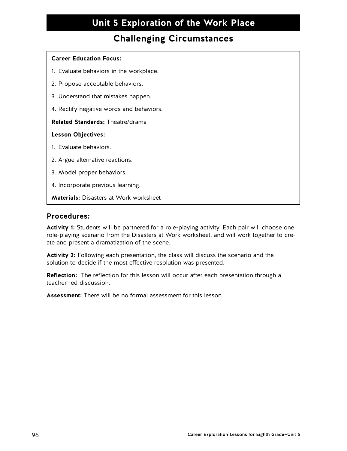# **Unit 5 Exploration of the Work Place**

## **Challenging Circumstances**

### **Career Education Focus:**

- 1. Evaluate behaviors in the workplace.
- 2. Propose acceptable behaviors.
- 3. Understand that mistakes happen.
- 4. Rectify negative words and behaviors.

### **Related Standards:** Theatre/drama

### **Lesson Objectives:**

- 1. Evaluate behaviors.
- 2. Argue alternative reactions.
- 3. Model proper behaviors.
- 4. Incorporate previous learning.
- **Materials:** Disasters at Work worksheet

### **Procedures:**

**Activity 1:** Students will be partnered for a role-playing activity. Each pair will choose one role-playing scenario from the Disasters at Work worksheet, and will work together to create and present a dramatization of the scene.

**Activity 2:** Following each presentation, the class will discuss the scenario and the solution to decide if the most effective resolution was presented.

**Reflection:** The reflection for this lesson will occur after each presentation through a teacher-led discussion.

**Assessment:** There will be no formal assessment for this lesson.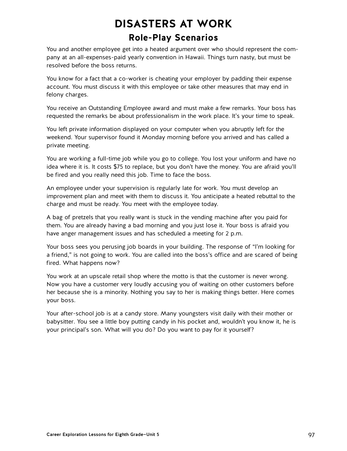# **DISASTERS AT WORK Role-Play Scenarios**

You and another employee get into a heated argument over who should represent the company at an all-expenses-paid yearly convention in Hawaii. Things turn nasty, but must be resolved before the boss returns.

You know for a fact that a co-worker is cheating your employer by padding their expense account. You must discuss it with this employee or take other measures that may end in felony charges.

You receive an Outstanding Employee award and must make a few remarks. Your boss has requested the remarks be about professionalism in the work place. It's your time to speak.

You left private information displayed on your computer when you abruptly left for the weekend. Your supervisor found it Monday morning before you arrived and has called a private meeting.

You are working a full-time job while you go to college. You lost your uniform and have no idea where it is. It costs \$75 to replace, but you don't have the money. You are afraid you'll be fired and you really need this job. Time to face the boss.

An employee under your supervision is regularly late for work. You must develop an improvement plan and meet with them to discuss it. You anticipate a heated rebuttal to the charge and must be ready. You meet with the employee today.

A bag of pretzels that you really want is stuck in the vending machine after you paid for them. You are already having a bad morning and you just lose it. Your boss is afraid you have anger management issues and has scheduled a meeting for 2 p.m.

Your boss sees you perusing job boards in your building. The response of "I'm looking for a friend," is not going to work. You are called into the boss's office and are scared of being fired. What happens now?

You work at an upscale retail shop where the motto is that the customer is never wrong. Now you have a customer very loudly accusing you of waiting on other customers before her because she is a minority. Nothing you say to her is making things better. Here comes your boss.

Your after-school job is at a candy store. Many youngsters visit daily with their mother or babysitter. You see a little boy putting candy in his pocket and, wouldn't you know it, he is your principal's son. What will you do? Do you want to pay for it yourself?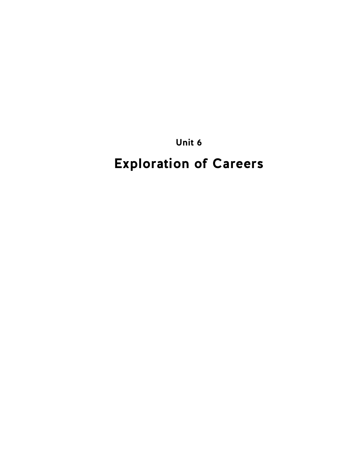**Unit 6**

# **Exploration of Careers**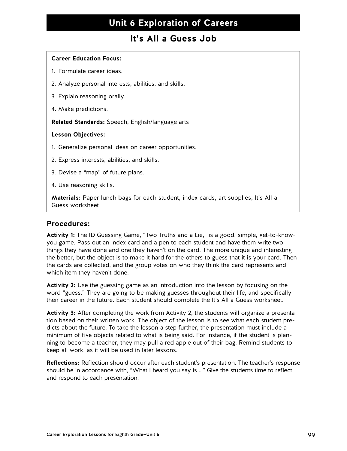### **It's All a Guess Job**

### **Career Education Focus:**

- 1. Formulate career ideas.
- 2. Analyze personal interests, abilities, and skills.
- 3. Explain reasoning orally.
- 4. Make predictions.

**Related Standards:** Speech, English/language arts

#### **Lesson Objectives:**

- 1. Generalize personal ideas on career opportunities.
- 2. Express interests, abilities, and skills.
- 3. Devise a "map" of future plans.
- 4. Use reasoning skills.

**Materials:** Paper lunch bags for each student, index cards, art supplies, It's All a Guess worksheet

### **Procedures:**

**Activity 1:** The ID Guessing Game, "Two Truths and a Lie," is a good, simple, get-to-knowyou game. Pass out an index card and a pen to each student and have them write two things they have done and one they haven't on the card. The more unique and interesting the better, but the object is to make it hard for the others to guess that it is your card. Then the cards are collected, and the group votes on who they think the card represents and which item they haven't done.

**Activity 2:** Use the guessing game as an introduction into the lesson by focusing on the word "guess." They are going to be making guesses throughout their life, and specifically their career in the future. Each student should complete the It's All a Guess worksheet.

**Activity 3:** After completing the work from Activity 2, the students will organize a presentation based on their written work. The object of the lesson is to see what each student predicts about the future. To take the lesson a step further, the presentation must include a minimum of five objects related to what is being said. For instance, if the student is planning to become a teacher, they may pull a red apple out of their bag. Remind students to keep all work, as it will be used in later lessons.

**Reflections:** Reflection should occur after each student's presentation. The teacher's response should be in accordance with, "What I heard you say is …" Give the students time to reflect and respond to each presentation.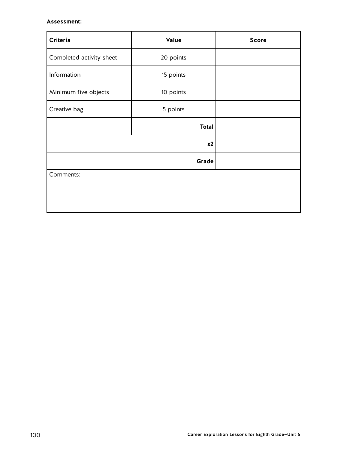### **Assessment:**

| Criteria                 | Value        | <b>Score</b> |  |  |  |  |  |
|--------------------------|--------------|--------------|--|--|--|--|--|
| Completed activity sheet | 20 points    |              |  |  |  |  |  |
| Information              | 15 points    |              |  |  |  |  |  |
| Minimum five objects     | 10 points    |              |  |  |  |  |  |
| Creative bag             | 5 points     |              |  |  |  |  |  |
|                          | <b>Total</b> |              |  |  |  |  |  |
|                          | x2           |              |  |  |  |  |  |
|                          | Grade        |              |  |  |  |  |  |
| Comments:                |              |              |  |  |  |  |  |
|                          |              |              |  |  |  |  |  |
|                          |              |              |  |  |  |  |  |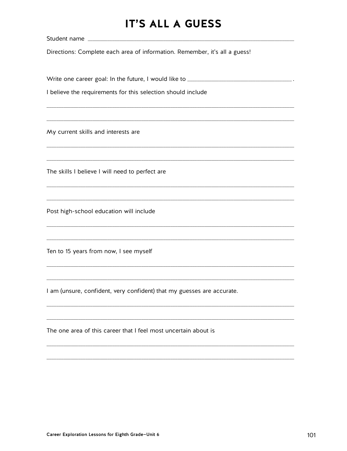# **IT'S ALL A GUESS**

Directions: Complete each area of information. Remember, it's all a guess!

Write one career goal: In the future, I would like to **with the contract one career and the vertex**.

I believe the requirements for this selection should include

My current skills and interests are

The skills I believe I will need to perfect are

Post high-school education will include

Ten to 15 years from now, I see myself

I am (unsure, confident, very confident) that my guesses are accurate.

The one area of this career that I feel most uncertain about is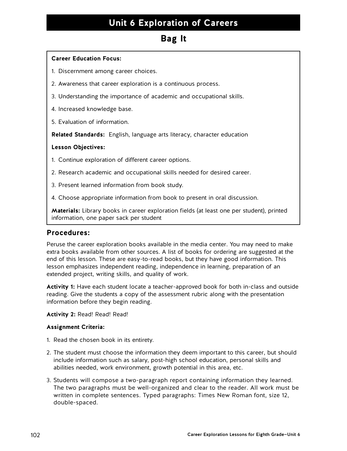### **Bag It**

### **Career Education Focus:**

- 1. Discernment among career choices.
- 2. Awareness that career exploration is a continuous process.
- 3. Understanding the importance of academic and occupational skills.
- 4. Increased knowledge base.
- 5. Evaluation of information.

**Related Standards:** English, language arts literacy, character education

### **Lesson Objectives:**

- 1. Continue exploration of different career options.
- 2. Research academic and occupational skills needed for desired career.
- 3. Present learned information from book study.
- 4. Choose appropriate information from book to present in oral discussion.

**Materials:** Library books in career exploration fields (at least one per student), printed information, one paper sack per student

### **Procedures:**

Peruse the career exploration books available in the media center. You may need to make extra books available from other sources. A list of books for ordering are suggested at the end of this lesson. These are easy-to-read books, but they have good information. This lesson emphasizes independent reading, independence in learning, preparation of an extended project, writing skills, and quality of work.

**Activity 1:** Have each student locate a teacher-approved book for both in-class and outside reading. Give the students a copy of the assessment rubric along with the presentation information before they begin reading.

### **Activity 2:** Read! Read! Read!

### **Assignment Criteria:**

- 1. Read the chosen book in its entirety.
- 2. The student must choose the information they deem important to this career, but should include information such as salary, post-high school education, personal skills and abilities needed, work environment, growth potential in this area, etc.
- 3. Students will compose a two-paragraph report containing information they learned. The two paragraphs must be well-organized and clear to the reader. All work must be written in complete sentences. Typed paragraphs: Times New Roman font, size 12, double-spaced.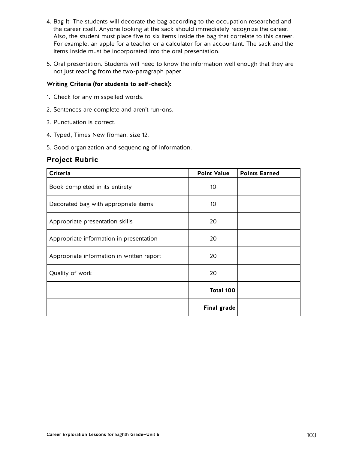- 4. Bag It: The students will decorate the bag according to the occupation researched and the career itself. Anyone looking at the sack should immediately recognize the career. Also, the student must place five to six items inside the bag that correlate to this career. For example, an apple for a teacher or a calculator for an accountant. The sack and the items inside must be incorporated into the oral presentation.
- 5. Oral presentation. Students will need to know the information well enough that they are not just reading from the two-paragraph paper.

### **Writing Criteria (for students to self-check):**

- 1. Check for any misspelled words.
- 2. Sentences are complete and aren't run-ons.
- 3. Punctuation is correct.
- 4. Typed, Times New Roman, size 12.
- 5. Good organization and sequencing of information.

### **Project Rubric**

| Criteria                                  | <b>Point Value</b> | <b>Points Earned</b> |
|-------------------------------------------|--------------------|----------------------|
| Book completed in its entirety            | 10 <sup>°</sup>    |                      |
| Decorated bag with appropriate items      | 10 <sup>°</sup>    |                      |
| Appropriate presentation skills           | 20                 |                      |
| Appropriate information in presentation   | 20                 |                      |
| Appropriate information in written report | 20                 |                      |
| Quality of work                           | 20                 |                      |
|                                           | Total 100          |                      |
|                                           | <b>Final grade</b> |                      |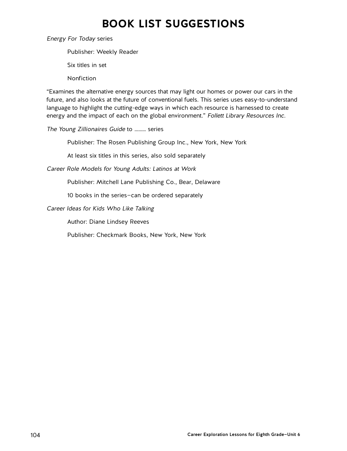# **BOOK LIST SUGGESTIONS**

Energy For Today series

Publisher: Weekly Reader

Six titles in set

**Nonfiction** 

"Examines the alternative energy sources that may light our homes or power our cars in the future, and also looks at the future of conventional fuels. This series uses easy-to-understand language to highlight the cutting-edge ways in which each resource is harnessed to create energy and the impact of each on the global environment." Follett Library Resources Inc.

The Young Zillionaires Guide to ……… series

Publisher: The Rosen Publishing Group Inc., New York, New York

At least six titles in this series, also sold separately

Career Role Models for Young Adults: Latinos at Work

Publisher: Mitchell Lane Publishing Co., Bear, Delaware

10 books in the series—can be ordered separately

Career Ideas for Kids Who Like Talking

Author: Diane Lindsey Reeves

Publisher: Checkmark Books, New York, New York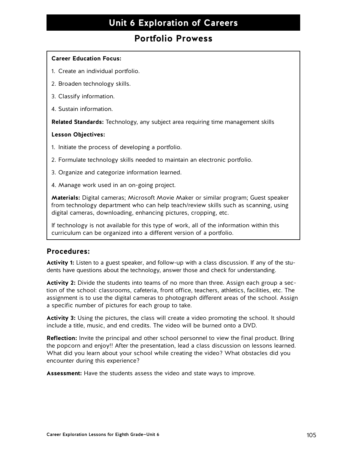### **Portfolio Prowess**

### **Career Education Focus:**

- 1. Create an individual portfolio.
- 2. Broaden technology skills.
- 3. Classify information.
- 4. Sustain information.

**Related Standards:** Technology, any subject area requiring time management skills

### **Lesson Objectives:**

- 1. Initiate the process of developing a portfolio.
- 2. Formulate technology skills needed to maintain an electronic portfolio.
- 3. Organize and categorize information learned.
- 4. Manage work used in an on-going project.

**Materials:** Digital cameras; Microsoft Movie Maker or similar program; Guest speaker from technology department who can help teach/review skills such as scanning, using digital cameras, downloading, enhancing pictures, cropping, etc.

If technology is not available for this type of work, all of the information within this curriculum can be organized into a different version of a portfolio.

### **Procedures:**

**Activity 1:** Listen to a guest speaker, and follow-up with a class discussion. If any of the students have questions about the technology, answer those and check for understanding.

**Activity 2:** Divide the students into teams of no more than three. Assign each group a section of the school: classrooms, cafeteria, front office, teachers, athletics, facilities, etc. The assignment is to use the digital cameras to photograph different areas of the school. Assign a specific number of pictures for each group to take.

**Activity 3:** Using the pictures, the class will create a video promoting the school. It should include a title, music, and end credits. The video will be burned onto a DVD.

**Reflection:** Invite the principal and other school personnel to view the final product. Bring the popcorn and enjoy!! After the presentation, lead a class discussion on lessons learned. What did you learn about your school while creating the video? What obstacles did you encounter during this experience?

**Assessment:** Have the students assess the video and state ways to improve.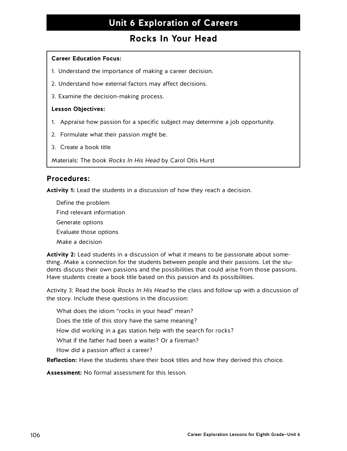### **Rocks In Your Head**

### **Career Education Focus:**

- 1. Understand the importance of making a career decision.
- 2. Understand how external factors may affect decisions.
- 3. Examine the decision-making process.

### **Lesson Objectives:**

- 1. Appraise how passion for a specific subject may determine a job opportunity.
- 2. Formulate what their passion might be.
- 3. Create a book title

Materials: The book Rocks In His Head by Carol Otis Hurst

### **Procedures:**

**Activity 1:** Lead the students in a discussion of how they reach a decision.

Define the problem Find relevant information Generate options Evaluate those options Make a decision

**Activity 2:** Lead students in a discussion of what it means to be passionate about something. Make a connection for the students between people and their passions. Let the students discuss their own passions and the possibilities that could arise from those passions. Have students create a book title based on this passion and its possibilities.

Activity 3: Read the book Rocks In His Head to the class and follow up with a discussion of the story. Include these questions in the discussion:

What does the idiom "rocks in your head" mean?

Does the title of this story have the same meaning?

How did working in a gas station help with the search for rocks?

What if the father had been a waiter? Or a fireman?

How did a passion affect a career?

**Reflection:** Have the students share their book titles and how they derived this choice.

**Assessment:** No formal assessment for this lesson.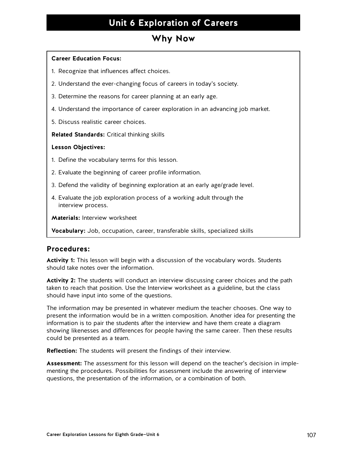### **Why Now**

### **Career Education Focus:**

- 1. Recognize that influences affect choices.
- 2. Understand the ever-changing focus of careers in today's society.
- 3. Determine the reasons for career planning at an early age.
- 4. Understand the importance of career exploration in an advancing job market.
- 5. Discuss realistic career choices.

**Related Standards:** Critical thinking skills

### **Lesson Objectives:**

- 1. Define the vocabulary terms for this lesson.
- 2. Evaluate the beginning of career profile information.
- 3. Defend the validity of beginning exploration at an early age/grade level.
- 4. Evaluate the job exploration process of a working adult through the interview process.

**Materials:** Interview worksheet

**Vocabulary:** Job, occupation, career, transferable skills, specialized skills

### **Procedures:**

**Activity 1:** This lesson will begin with a discussion of the vocabulary words. Students should take notes over the information.

**Activity 2:** The students will conduct an interview discussing career choices and the path taken to reach that position. Use the Interview worksheet as a guideline, but the class should have input into some of the questions.

The information may be presented in whatever medium the teacher chooses. One way to present the information would be in a written composition. Another idea for presenting the information is to pair the students after the interview and have them create a diagram showing likenesses and differences for people having the same career. Then these results could be presented as a team.

**Reflection:** The students will present the findings of their interview.

**Assessment:** The assessment for this lesson will depend on the teacher's decision in implementing the procedures. Possibilities for assessment include the answering of interview questions, the presentation of the information, or a combination of both.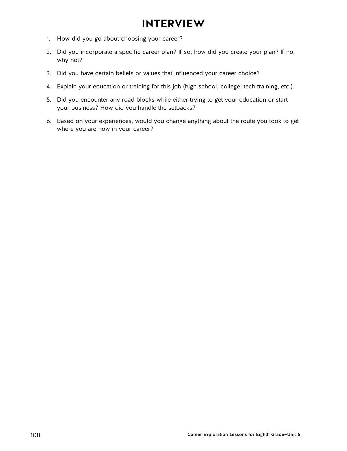# **INTERVIEW**

- 1. How did you go about choosing your career?
- 2. Did you incorporate a specific career plan? If so, how did you create your plan? If no, why not?
- 3. Did you have certain beliefs or values that influenced your career choice?
- 4. Explain your education or training for this job (high school, college, tech training, etc.).
- 5. Did you encounter any road blocks while either trying to get your education or start your business? How did you handle the setbacks?
- 6. Based on your experiences, would you change anything about the route you took to get where you are now in your career?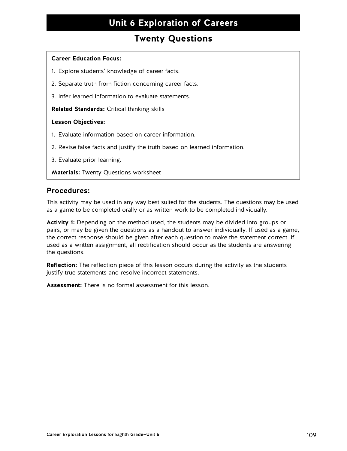### **Twenty Questions**

#### **Career Education Focus:**

- 1. Explore students' knowledge of career facts.
- 2. Separate truth from fiction concerning career facts.
- 3. Infer learned information to evaluate statements.

**Related Standards:** Critical thinking skills

#### **Lesson Objectives:**

- 1. Evaluate information based on career information.
- 2. Revise false facts and justify the truth based on learned information.
- 3. Evaluate prior learning.

**Materials:** Twenty Questions worksheet

### **Procedures:**

This activity may be used in any way best suited for the students. The questions may be used as a game to be completed orally or as written work to be completed individually.

**Activity 1:** Depending on the method used, the students may be divided into groups or pairs, or may be given the questions as a handout to answer individually. If used as a game, the correct response should be given after each question to make the statement correct. If used as a written assignment, all rectification should occur as the students are answering the questions.

**Reflection:** The reflection piece of this lesson occurs during the activity as the students justify true statements and resolve incorrect statements.

**Assessment:** There is no formal assessment for this lesson.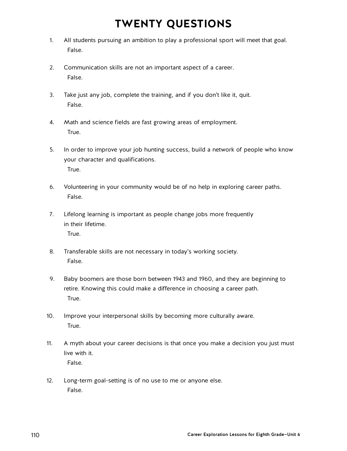# **TWENTY QUESTIONS**

- 1. All students pursuing an ambition to play a professional sport will meet that goal. False.
- 2. Communication skills are not an important aspect of a career. False.
- 3. Take just any job, complete the training, and if you don't like it, quit. False.
- 4. Math and science fields are fast growing areas of employment. True.
- 5. In order to improve your job hunting success, build a network of people who know your character and qualifications. True.
- 6. Volunteering in your community would be of no help in exploring career paths. False.
- 7. Lifelong learning is important as people change jobs more frequently in their lifetime. True.
- 8. Transferable skills are not necessary in today's working society. False.
- 9. Baby boomers are those born between 1943 and 1960, and they are beginning to retire. Knowing this could make a difference in choosing a career path. True.
- 10. Improve your interpersonal skills by becoming more culturally aware. True.
- 11. A myth about your career decisions is that once you make a decision you just must live with it. False.
- 12. Long-term goal-setting is of no use to me or anyone else. False.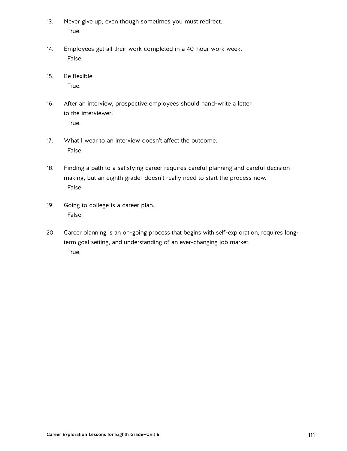- 13. Never give up, even though sometimes you must redirect. True.
- 14. Employees get all their work completed in a 40-hour work week. False.
- 15. Be flexible. True.
- 16. After an interview, prospective employees should hand-write a letter to the interviewer. True.
- 17. What I wear to an interview doesn't affect the outcome. False.
- 18. Finding a path to a satisfying career requires careful planning and careful decisionmaking, but an eighth grader doesn't really need to start the process now. False.
- 19. Going to college is a career plan. False.
- 20. Career planning is an on-going process that begins with self-exploration, requires longterm goal setting, and understanding of an ever-changing job market. True.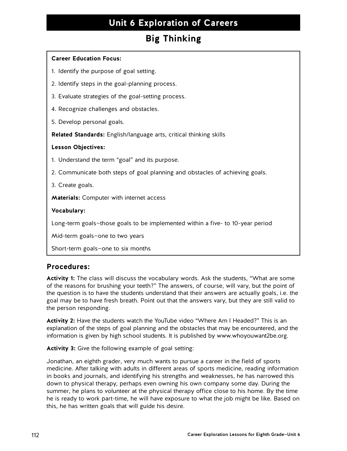# **Big Thinking**

### **Career Education Focus:**

- 1. Identify the purpose of goal setting.
- 2. Identify steps in the goal-planning process.
- 3. Evaluate strategies of the goal-setting process.
- 4. Recognize challenges and obstacles.
- 5. Develop personal goals.

**Related Standards:** English/language arts, critical thinking skills

#### **Lesson Objectives:**

- 1. Understand the term "goal" and its purpose.
- 2. Communicate both steps of goal planning and obstacles of achieving goals.

3. Create goals.

**Materials:** Computer with internet access

#### **Vocabulary:**

Long-term goals—those goals to be implemented within a five- to 10-year period

Mid-term goals—one to two years

Short-term goals—one to six months

### **Procedures:**

**Activity 1:** The class will discuss the vocabulary words. Ask the students, "What are some of the reasons for brushing your teeth?" The answers, of course, will vary, but the point of the question is to have the students understand that their answers are actually goals, i.e. the goal may be to have fresh breath. Point out that the answers vary, but they are still valid to the person responding.

**Activity 2:** Have the students watch the YouTube video "Where Am I Headed?" This is an explanation of the steps of goal planning and the obstacles that may be encountered, and the information is given by high school students. It is published by www.whoyouwant2be.org.

**Activity 3:** Give the following example of goal setting:

Jonathan, an eighth grader, very much wants to pursue a career in the field of sports medicine. After talking with adults in different areas of sports medicine, reading information in books and journals, and identifying his strengths and weaknesses, he has narrowed this down to physical therapy, perhaps even owning his own company some day. During the summer, he plans to volunteer at the physical therapy office close to his home. By the time he is ready to work part-time, he will have exposure to what the job might be like. Based on this, he has written goals that will guide his desire.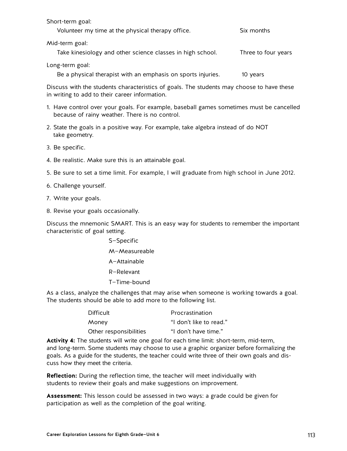| Short-term goal:                                           |                     |
|------------------------------------------------------------|---------------------|
| Volunteer my time at the physical therapy office.          | Six months          |
| Mid-term goal:                                             |                     |
| Take kinesiology and other science classes in high school. | Three to four years |

Long-term goal:

Be a physical therapist with an emphasis on sports injuries. 10 years

Discuss with the students characteristics of goals. The students may choose to have these in writing to add to their career information.

- 1. Have control over your goals. For example, baseball games sometimes must be cancelled because of rainy weather. There is no control.
- 2. State the goals in a positive way. For example, take algebra instead of do NOT take geometry.
- 3. Be specific.
- 4. Be realistic. Make sure this is an attainable goal.
- 5. Be sure to set a time limit. For example, I will graduate from high school in June 2012.
- 6. Challenge yourself.
- 7. Write your goals.
- 8. Revise your goals occasionally.

Discuss the mnemonic SMART. This is an easy way for students to remember the important characteristic of goal setting.

> S—Specific M—Measureable A—Attainable R—Relevant T—Time-bound

As a class, analyze the challenges that may arise when someone is working towards a goal. The students should be able to add more to the following list.

| Difficult              | Procrastination         |
|------------------------|-------------------------|
| Money                  | "I don't like to read." |
| Other responsibilities | "I don't have time."    |

**Activity 4:** The students will write one goal for each time limit: short-term, mid-term, and long-term. Some students may choose to use a graphic organizer before formalizing the goals. As a guide for the students, the teacher could write three of their own goals and discuss how they meet the criteria.

**Reflection:** During the reflection time, the teacher will meet individually with students to review their goals and make suggestions on improvement.

**Assessment:** This lesson could be assessed in two ways: a grade could be given for participation as well as the completion of the goal writing.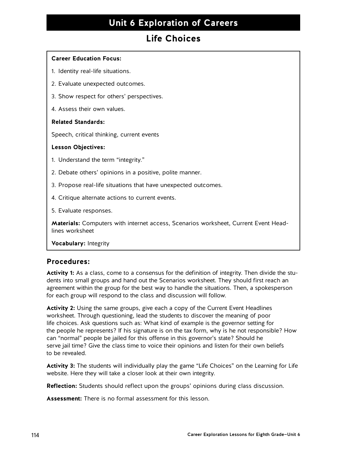## **Life Choices**

### **Career Education Focus:**

- 1. Identity real-life situations.
- 2. Evaluate unexpected outcomes.
- 3. Show respect for others' perspectives.
- 4. Assess their own values.

### **Related Standards:**

Speech, critical thinking, current events

### **Lesson Objectives:**

- 1. Understand the term "integrity."
- 2. Debate others' opinions in a positive, polite manner.
- 3. Propose real-life situations that have unexpected outcomes.
- 4. Critique alternate actions to current events.
- 5. Evaluate responses.

**Materials:** Computers with internet access, Scenarios worksheet, Current Event Headlines worksheet

**Vocabulary:** Integrity

### **Procedures:**

**Activity 1:** As a class, come to a consensus for the definition of integrity. Then divide the students into small groups and hand out the Scenarios worksheet. They should first reach an agreement within the group for the best way to handle the situations. Then, a spokesperson for each group will respond to the class and discussion will follow.

**Activity 2:** Using the same groups, give each a copy of the Current Event Headlines worksheet. Through questioning, lead the students to discover the meaning of poor life choices. Ask questions such as: What kind of example is the governor setting for the people he represents? If his signature is on the tax form, why is he not responsible? How can "normal" people be jailed for this offense in this governor's state? Should he serve jail time? Give the class time to voice their opinions and listen for their own beliefs to be revealed.

**Activity 3:** The students will individually play the game "Life Choices" on the Learning for Life website. Here they will take a closer look at their own integrity.

**Reflection:** Students should reflect upon the groups' opinions during class discussion.

**Assessment:** There is no formal assessment for this lesson.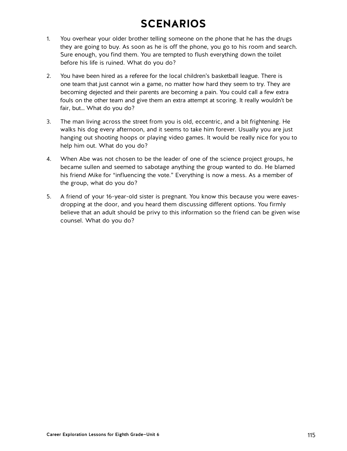# **SCENARIOS**

- 1. You overhear your older brother telling someone on the phone that he has the drugs they are going to buy. As soon as he is off the phone, you go to his room and search. Sure enough, you find them. You are tempted to flush everything down the toilet before his life is ruined. What do you do?
- 2. You have been hired as a referee for the local children's basketball league. There is one team that just cannot win a game, no matter how hard they seem to try. They are becoming dejected and their parents are becoming a pain. You could call a few extra fouls on the other team and give them an extra attempt at scoring. It really wouldn't be fair, but… What do you do?
- 3. The man living across the street from you is old, eccentric, and a bit frightening. He walks his dog every afternoon, and it seems to take him forever. Usually you are just hanging out shooting hoops or playing video games. It would be really nice for you to help him out. What do you do?
- 4. When Abe was not chosen to be the leader of one of the science project groups, he became sullen and seemed to sabotage anything the group wanted to do. He blamed his friend Mike for "influencing the vote." Everything is now a mess. As a member of the group, what do you do?
- 5. A friend of your 16-year-old sister is pregnant. You know this because you were eavesdropping at the door, and you heard them discussing different options. You firmly believe that an adult should be privy to this information so the friend can be given wise counsel. What do you do?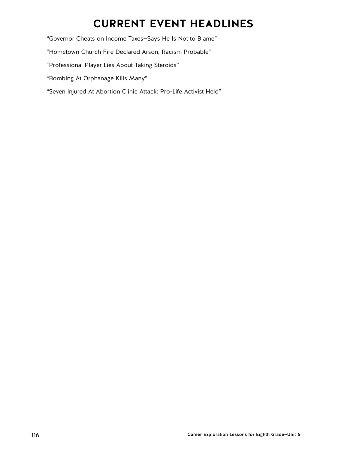# **CURRENT EVENT HEADLINES**

"Governor Cheats on Income Taxes—Says He Is Not to Blame"

"Hometown Church Fire Declared Arson, Racism Probable"

"Professional Player Lies About Taking Steroids"

"Bombing At Orphanage Kills Many"

"Seven Injured At Abortion Clinic Attack: Pro-Life Activist Held"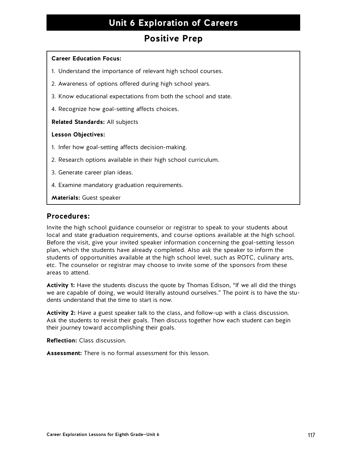### **Positive Prep**

#### **Career Education Focus:**

- 1. Understand the importance of relevant high school courses.
- 2. Awareness of options offered during high school years.
- 3. Know educational expectations from both the school and state.
- 4. Recognize how goal-setting affects choices.

#### **Related Standards:** All subjects

#### **Lesson Objectives:**

- 1. Infer how goal-setting affects decision-making.
- 2. Research options available in their high school curriculum.
- 3. Generate career plan ideas.
- 4. Examine mandatory graduation requirements.

**Materials:** Guest speaker

### **Procedures:**

Invite the high school guidance counselor or registrar to speak to your students about local and state graduation requirements, and course options available at the high school. Before the visit, give your invited speaker information concerning the goal-setting lesson plan, which the students have already completed. Also ask the speaker to inform the students of opportunities available at the high school level, such as ROTC, culinary arts, etc. The counselor or registrar may choose to invite some of the sponsors from these areas to attend.

**Activity 1:** Have the students discuss the quote by Thomas Edison, "If we all did the things we are capable of doing, we would literally astound ourselves." The point is to have the students understand that the time to start is now.

**Activity 2:** Have a guest speaker talk to the class, and follow-up with a class discussion. Ask the students to revisit their goals. Then discuss together how each student can begin their journey toward accomplishing their goals.

**Reflection:** Class discussion.

**Assessment:** There is no formal assessment for this lesson.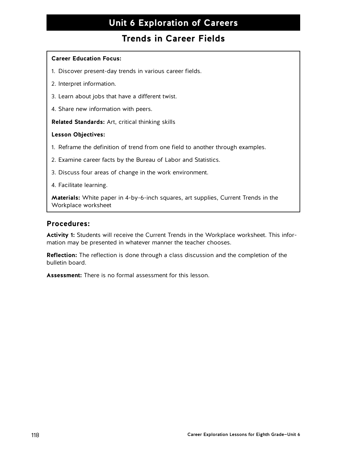### **Trends in Career Fields**

### **Career Education Focus:**

- 1. Discover present-day trends in various career fields.
- 2. Interpret information.
- 3. Learn about jobs that have a different twist.
- 4. Share new information with peers.

**Related Standards:** Art, critical thinking skills

### **Lesson Objectives:**

- 1. Reframe the definition of trend from one field to another through examples.
- 2. Examine career facts by the Bureau of Labor and Statistics.
- 3. Discuss four areas of change in the work environment.
- 4. Facilitate learning.

**Materials:** White paper in 4-by-6-inch squares, art supplies, Current Trends in the Workplace worksheet

### **Procedures:**

**Activity 1:** Students will receive the Current Trends in the Workplace worksheet. This information may be presented in whatever manner the teacher chooses.

**Reflection:** The reflection is done through a class discussion and the completion of the bulletin board.

**Assessment:** There is no formal assessment for this lesson.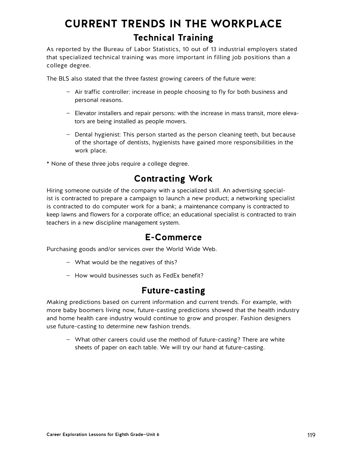# **CURRENT TRENDS IN THE WORKPLACE Technical Training**

As reported by the Bureau of Labor Statistics, 10 out of 13 industrial employers stated that specialized technical training was more important in filling job positions than a college degree.

The BLS also stated that the three fastest growing careers of the future were:

- Air traffic controller: increase in people choosing to fly for both business and personal reasons.
- Elevator installers and repair persons: with the increase in mass transit, more elevators are being installed as people movers.
- Dental hygienist: This person started as the person cleaning teeth, but because of the shortage of dentists, hygienists have gained more responsibilities in the work place.
- \* None of these three jobs require a college degree.

## **Contracting Work**

Hiring someone outside of the company with a specialized skill. An advertising specialist is contracted to prepare a campaign to launch a new product; a networking specialist is contracted to do computer work for a bank; a maintenance company is contracted to keep lawns and flowers for a corporate office; an educational specialist is contracted to train teachers in a new discipline management system.

### **E-Commerce**

Purchasing goods and/or services over the World Wide Web.

- What would be the negatives of this?
- How would businesses such as FedEx benefit?

### **Future-casting**

Making predictions based on current information and current trends. For example, with more baby boomers living now, future-casting predictions showed that the health industry and home health care industry would continue to grow and prosper. Fashion designers use future-casting to determine new fashion trends.

— What other careers could use the method of future-casting? There are white sheets of paper on each table. We will try our hand at future-casting.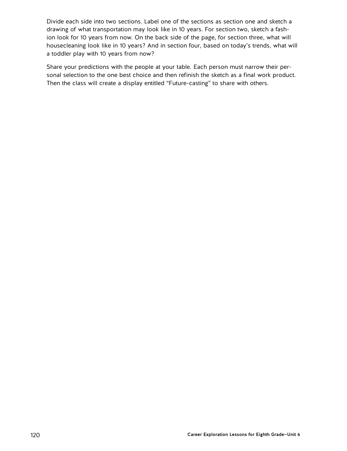Divide each side into two sections. Label one of the sections as section one and sketch a drawing of what transportation may look like in 10 years. For section two, sketch a fashion look for 10 years from now. On the back side of the page, for section three, what will housecleaning look like in 10 years? And in section four, based on today's trends, what will a toddler play with 10 years from now?

Share your predictions with the people at your table. Each person must narrow their personal selection to the one best choice and then refinish the sketch as a final work product. Then the class will create a display entitled "Future-casting" to share with others.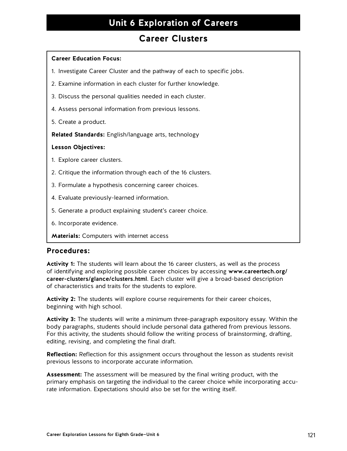### **Career Clusters**

### **Career Education Focus:**

- 1. Investigate Career Cluster and the pathway of each to specific jobs.
- 2. Examine information in each cluster for further knowledge.
- 3. Discuss the personal qualities needed in each cluster.
- 4. Assess personal information from previous lessons.
- 5. Create a product.

**Related Standards:** English/language arts, technology

### **Lesson Objectives:**

- 1. Explore career clusters.
- 2. Critique the information through each of the 16 clusters.
- 3. Formulate a hypothesis concerning career choices.
- 4. Evaluate previously-learned information.
- 5. Generate a product explaining student's career choice.
- 6. Incorporate evidence.

**Materials:** Computers with internet access

### **Procedures:**

**Activity 1:** The students will learn about the 16 career clusters, as well as the process of identifying and exploring possible career choices by accessing [www.careertech.org/](http://www.careertech.org/career-clusters/glance/clusters.html) [career-clusters/glance/clusters.html](http://www.careertech.org/career-clusters/glance/clusters.html). Each cluster will give a broad-based description of characteristics and traits for the students to explore.

**Activity 2:** The students will explore course requirements for their career choices, beginning with high school.

**Activity 3:** The students will write a minimum three-paragraph expository essay. Within the body paragraphs, students should include personal data gathered from previous lessons. For this activity, the students should follow the writing process of brainstorming, drafting, editing, revising, and completing the final draft.

**Reflection:** Reflection for this assignment occurs throughout the lesson as students revisit previous lessons to incorporate accurate information.

**Assessment:** The assessment will be measured by the final writing product, with the primary emphasis on targeting the individual to the career choice while incorporating accurate information. Expectations should also be set for the writing itself.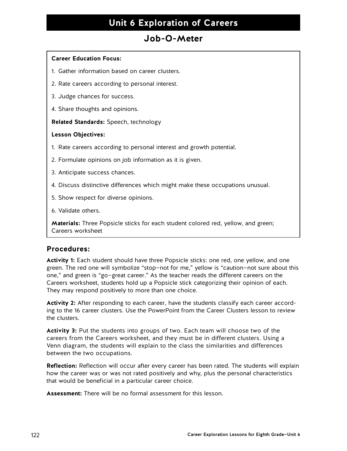### **Job-O-Meter**

### **Career Education Focus:**

- 1. Gather information based on career clusters.
- 2. Rate careers according to personal interest.
- 3. Judge chances for success.
- 4. Share thoughts and opinions.

**Related Standards:** Speech, technology

#### **Lesson Objectives:**

- 1. Rate careers according to personal interest and growth potential.
- 2. Formulate opinions on job information as it is given.
- 3. Anticipate success chances.
- 4. Discuss distinctive differences which might make these occupations unusual.
- 5. Show respect for diverse opinions.
- 6. Validate others.

**Materials:** Three Popsicle sticks for each student colored red, yellow, and green; Careers worksheet

### **Procedures:**

**Activity 1:** Each student should have three Popsicle sticks: one red, one yellow, and one green. The red one will symbolize "stop—not for me," yellow is "caution—not sure about this one," and green is "go—great career." As the teacher reads the different careers on the Careers worksheet, students hold up a Popsicle stick categorizing their opinion of each. They may respond positively to more than one choice.

**Activity 2:** After responding to each career, have the students classify each career according to the 16 career clusters. Use the PowerPoint from the Career Clusters lesson to review the clusters.

**Activity 3:** Put the students into groups of two. Each team will choose two of the careers from the Careers worksheet, and they must be in different clusters. Using a Venn diagram, the students will explain to the class the similarities and differences between the two occupations.

**Reflection:** Reflection will occur after every career has been rated. The students will explain how the career was or was not rated positively and why, plus the personal characteristics that would be beneficial in a particular career choice.

**Assessment:** There will be no formal assessment for this lesson.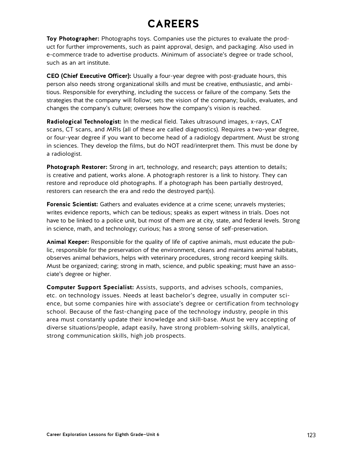# **CAREERS**

**Toy Photographer:** Photographs toys. Companies use the pictures to evaluate the product for further improvements, such as paint approval, design, and packaging. Also used in e-commerce trade to advertise products. Minimum of associate's degree or trade school, such as an art institute.

**CEO (Chief Executive Officer):** Usually a four-year degree with post-graduate hours, this person also needs strong organizational skills and must be creative, enthusiastic, and ambitious. Responsible for everything, including the success or failure of the company. Sets the strategies that the company will follow; sets the vision of the company; builds, evaluates, and changes the company's culture; oversees how the company's vision is reached.

**Radiological Technologist:** In the medical field. Takes ultrasound images, x-rays, CAT scans, CT scans, and MRIs (all of these are called diagnostics). Requires a two-year degree, or four-year degree if you want to become head of a radiology department. Must be strong in sciences. They develop the films, but do NOT read/interpret them. This must be done by a radiologist.

**Photograph Restorer:** Strong in art, technology, and research; pays attention to details; is creative and patient, works alone. A photograph restorer is a link to history. They can restore and reproduce old photographs. If a photograph has been partially destroyed, restorers can research the era and redo the destroyed part(s).

**Forensic Scientist:** Gathers and evaluates evidence at a crime scene; unravels mysteries; writes evidence reports, which can be tedious; speaks as expert witness in trials. Does not have to be linked to a police unit, but most of them are at city, state, and federal levels. Strong in science, math, and technology; curious; has a strong sense of self-preservation.

**Animal Keeper:** Responsible for the quality of life of captive animals, must educate the public, responsible for the preservation of the environment, cleans and maintains animal habitats, observes animal behaviors, helps with veterinary procedures, strong record keeping skills. Must be organized; caring; strong in math, science, and public speaking; must have an associate's degree or higher.

**Computer Support Specialist:** Assists, supports, and advises schools, companies, etc. on technology issues. Needs at least bachelor's degree, usually in computer science, but some companies hire with associate's degree or certification from technology school. Because of the fast-changing pace of the technology industry, people in this area must constantly update their knowledge and skill-base. Must be very accepting of diverse situations/people, adapt easily, have strong problem-solving skills, analytical, strong communication skills, high job prospects.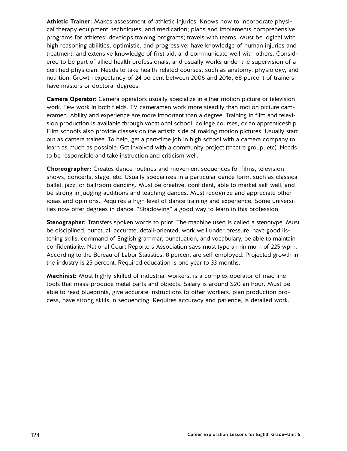**Athletic Trainer:** Makes assessment of athletic injuries. Knows how to incorporate physical therapy equipment, techniques, and medication; plans and implements comprehensive programs for athletes; develops training programs; travels with teams. Must be logical with high reasoning abilities, optimistic, and progressive; have knowledge of human injuries and treatment, and extensive knowledge of first aid; and communicate well with others. Considered to be part of allied health professionals, and usually works under the supervision of a certified physician. Needs to take health-related courses, such as anatomy, physiology, and nutrition. Growth expectancy of 24 percent between 2006 and 2016, 68 percent of trainers have masters or doctoral degrees.

**Camera Operator:** Camera operators usually specialize in either motion picture or television work. Few work in both fields. TV cameramen work more steadily than motion picture cameramen. Ability and experience are more important than a degree. Training in film and television production is available through vocational school, college courses, or an apprenticeship. Film schools also provide classes on the artistic side of making motion pictures. Usually start out as camera trainee. To help, get a part-time job in high school with a camera company to learn as much as possible. Get involved with a community project (theatre group, etc). Needs to be responsible and take instruction and criticism well.

**Choreographer:** Creates dance routines and movement sequences for films, television shows, concerts, stage, etc. Usually specializes in a particular dance form, such as classical ballet, jazz, or ballroom dancing. Must be creative, confident, able to market self well, and be strong in judging auditions and teaching dances. Must recognize and appreciate other ideas and opinions. Requires a high level of dance training and experience. Some universities now offer degrees in dance. "Shadowing" a good way to learn in this profession.

**Stenographer:** Transfers spoken words to print. The machine used is called a stenotype. Must be disciplined, punctual, accurate, detail-oriented, work well under pressure, have good listening skills, command of English grammar, punctuation, and vocabulary, be able to maintain confidentiality. National Court Reporters Association says must type a minimum of 225 wpm. According to the Bureau of Labor Statistics, 8 percent are self-employed. Projected growth in the industry is 25 percent. Required education is one year to 33 months.

**Machinist:** Most highly-skilled of industrial workers, is a complex operator of machine tools that mass-produce metal parts and objects. Salary is around \$20 an hour. Must be able to read blueprints, give accurate instructions to other workers, plan production process, have strong skills in sequencing. Requires accuracy and patience, is detailed work.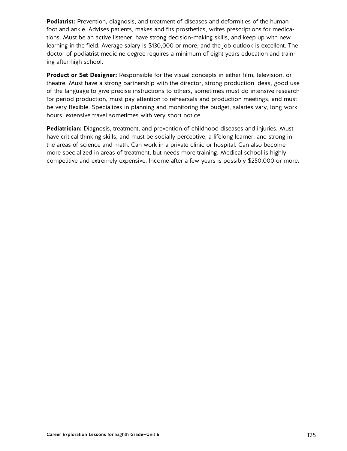**Podiatrist:** Prevention, diagnosis, and treatment of diseases and deformities of the human foot and ankle. Advises patients, makes and fits prosthetics, writes prescriptions for medications. Must be an active listener, have strong decision-making skills, and keep up with new learning in the field. Average salary is \$130,000 or more, and the job outlook is excellent. The doctor of podiatrist medicine degree requires a minimum of eight years education and training after high school.

**Product or Set Designer:** Responsible for the visual concepts in either film, television, or theatre. Must have a strong partnership with the director, strong production ideas, good use of the language to give precise instructions to others, sometimes must do intensive research for period production, must pay attention to rehearsals and production meetings, and must be very flexible. Specializes in planning and monitoring the budget, salaries vary, long work hours, extensive travel sometimes with very short notice.

**Pediatrician:** Diagnosis, treatment, and prevention of childhood diseases and injuries. Must have critical thinking skills, and must be socially perceptive, a lifelong learner, and strong in the areas of science and math. Can work in a private clinic or hospital. Can also become more specialized in areas of treatment, but needs more training. Medical school is highly competitive and extremely expensive. Income after a few years is possibly \$250,000 or more.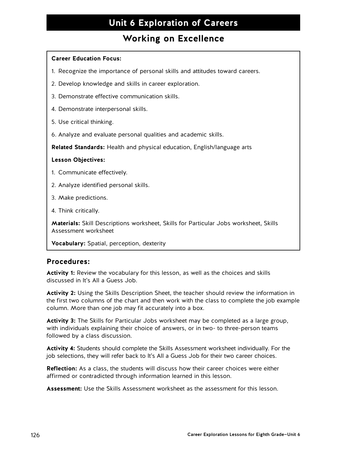### **Working on Excellence**

### **Career Education Focus:**

- 1. Recognize the importance of personal skills and attitudes toward careers.
- 2. Develop knowledge and skills in career exploration.
- 3. Demonstrate effective communication skills.
- 4. Demonstrate interpersonal skills.
- 5. Use critical thinking.
- 6. Analyze and evaluate personal qualities and academic skills.

**Related Standards:** Health and physical education, English/language arts

### **Lesson Objectives:**

- 1. Communicate effectively.
- 2. Analyze identified personal skills.
- 3. Make predictions.
- 4. Think critically.

**Materials:** Skill Descriptions worksheet, Skills for Particular Jobs worksheet, Skills Assessment worksheet

**Vocabulary:** Spatial, perception, dexterity

### **Procedures:**

**Activity 1:** Review the vocabulary for this lesson, as well as the choices and skills discussed in It's All a Guess Job.

**Activity 2:** Using the Skills Description Sheet, the teacher should review the information in the first two columns of the chart and then work with the class to complete the job example column. More than one job may fit accurately into a box.

**Activity 3:** The Skills for Particular Jobs worksheet may be completed as a large group, with individuals explaining their choice of answers, or in two- to three-person teams followed by a class discussion.

**Activity 4:** Students should complete the Skills Assessment worksheet individually. For the job selections, they will refer back to It's All a Guess Job for their two career choices.

**Reflection:** As a class, the students will discuss how their career choices were either affirmed or contradicted through information learned in this lesson.

**Assessment:** Use the Skills Assessment worksheet as the assessment for this lesson.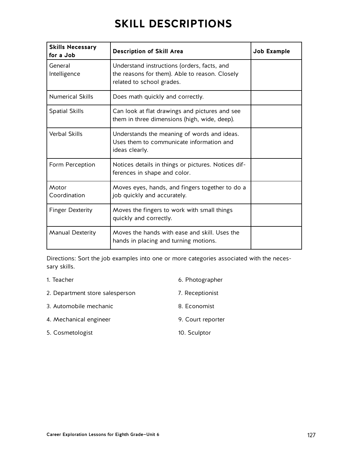# **SKILL DESCRIPTIONS**

| <b>Skills Necessary</b><br>for a Job | <b>Description of Skill Area</b>                                                                                           | Job Example |
|--------------------------------------|----------------------------------------------------------------------------------------------------------------------------|-------------|
| General<br>Intelligence              | Understand instructions (orders, facts, and<br>the reasons for them). Able to reason. Closely<br>related to school grades. |             |
| <b>Numerical Skills</b>              | Does math quickly and correctly.                                                                                           |             |
| <b>Spatial Skills</b>                | Can look at flat drawings and pictures and see<br>them in three dimensions (high, wide, deep).                             |             |
| <b>Verbal Skills</b>                 | Understands the meaning of words and ideas.<br>Uses them to communicate information and<br>ideas clearly.                  |             |
| Form Perception                      | Notices details in things or pictures. Notices dif-<br>ferences in shape and color.                                        |             |
| Motor<br>Coordination                | Moves eyes, hands, and fingers together to do a<br>job quickly and accurately.                                             |             |
| <b>Finger Dexterity</b>              | Moves the fingers to work with small things<br>quickly and correctly.                                                      |             |
| <b>Manual Dexterity</b>              | Moves the hands with ease and skill. Uses the<br>hands in placing and turning motions.                                     |             |

Directions: Sort the job examples into one or more categories associated with the necessary skills.

| 1. Teacher                      | 6. Photographer   |
|---------------------------------|-------------------|
| 2. Department store salesperson | 7. Receptionist   |
| 3. Automobile mechanic          | 8. Economist      |
| 4. Mechanical engineer          | 9. Court reporter |
| 5. Cosmetologist                | 10. Sculptor      |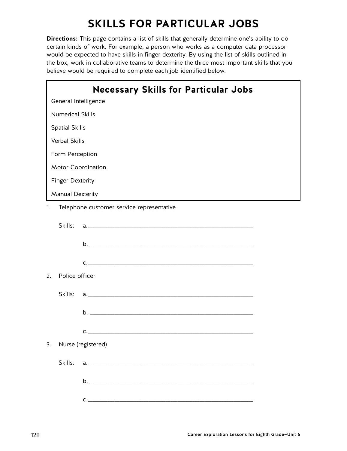# **SKILLS FOR PARTICULAR JOBS**

**Directions:** This page contains a list of skills that generally determine one's ability to do certain kinds of work. For example, a person who works as a computer data processor would be expected to have skills in finger dexterity. By using the list of skills outlined in the box, work in collaborative teams to determine the three most important skills that you believe would be required to complete each job identified below.

|    |                         | <b>Necessary Skills for Particular Jobs</b> |  |
|----|-------------------------|---------------------------------------------|--|
|    | General Intelligence    |                                             |  |
|    | <b>Numerical Skills</b> |                                             |  |
|    | <b>Spatial Skills</b>   |                                             |  |
|    | <b>Verbal Skills</b>    |                                             |  |
|    | Form Perception         |                                             |  |
|    |                         | <b>Motor Coordination</b>                   |  |
|    | <b>Finger Dexterity</b> |                                             |  |
|    | <b>Manual Dexterity</b> |                                             |  |
| 1. |                         | Telephone customer service representative   |  |
|    |                         |                                             |  |
|    |                         |                                             |  |
|    |                         | $c.$ $\overline{\phantom{a}}$               |  |
| 2. | Police officer          |                                             |  |
|    |                         |                                             |  |
|    |                         |                                             |  |
|    |                         | $c.$ $\overline{\phantom{a}}$               |  |
| 3. |                         | Nurse (registered)                          |  |
|    | Skills:                 |                                             |  |
|    |                         |                                             |  |
|    |                         |                                             |  |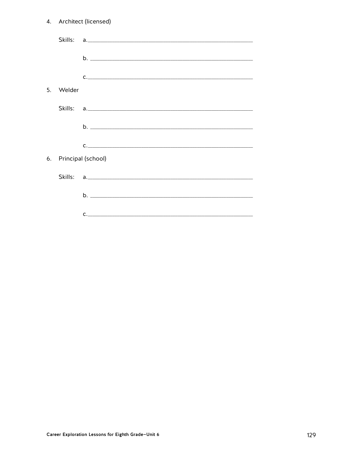|                | 4. Architect (licensed) |                                                     |  |
|----------------|-------------------------|-----------------------------------------------------|--|
|                |                         |                                                     |  |
|                |                         |                                                     |  |
|                |                         | $\underline{\texttt{C}}.\underline{\hspace{1.5cm}}$ |  |
| 5 <sub>1</sub> | Welder                  |                                                     |  |
|                | Skills:                 |                                                     |  |
|                |                         |                                                     |  |
|                |                         | $c.$ $\overline{\phantom{a}}$                       |  |
| 6.             |                         | Principal (school)                                  |  |
|                |                         |                                                     |  |
|                |                         |                                                     |  |
|                |                         | $\mathsf{C}$ .                                      |  |
|                |                         |                                                     |  |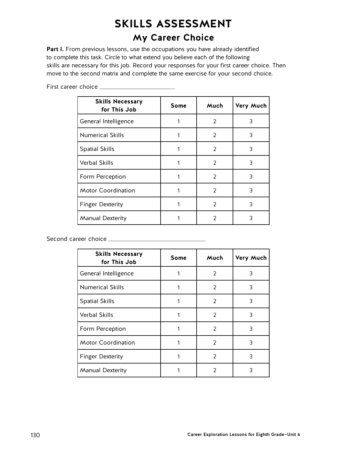# **SKILLS ASSESSMENT**

## **My Career Choice**

Part I. From previous lessons, use the occupations you have already identified to complete this task. Circle to what extend you believe each of the following skills are necessary for this job. Record your responses for your first career choice. Then move to the second matrix and complete the same exercise for your second choice.

| <b>Skills Necessary</b><br>for This Job | <b>Some</b> | Much          | Very Much |
|-----------------------------------------|-------------|---------------|-----------|
| General Intelligence                    | 1           | $\mathcal{P}$ | 3         |
| <b>Numerical Skills</b>                 | 1           | 2             | 3         |
| <b>Spatial Skills</b>                   |             | 2             | 3         |
| <b>Verbal Skills</b>                    | 1           | 2             | 3         |
| Form Perception                         | 1           | $\mathcal{P}$ | 3         |
| <b>Motor Coordination</b>               |             | $\mathcal{P}$ | 3         |
| <b>Finger Dexterity</b>                 |             | $\mathcal{P}$ | 3         |
| <b>Manual Dexterity</b>                 |             | $\mathcal{P}$ | 3         |

First career choice \_\_\_\_\_\_\_\_\_\_\_\_\_\_\_\_\_\_\_\_\_\_\_\_\_\_\_\_\_\_\_

Second career choice \_\_\_\_\_\_\_\_\_\_\_\_\_\_\_\_\_\_\_\_\_\_\_\_\_\_\_\_\_\_\_\_\_\_\_\_\_\_\_\_

| <b>Skills Necessary</b><br>for This Job | <b>Some</b> | Much          | Very Much |
|-----------------------------------------|-------------|---------------|-----------|
| General Intelligence                    |             | $\mathcal{P}$ | 3         |
| <b>Numerical Skills</b>                 |             | $\mathcal{P}$ | 3         |
| <b>Spatial Skills</b>                   |             | $\mathcal{P}$ | 3         |
| <b>Verbal Skills</b>                    |             | $\mathcal{P}$ | 3         |
| Form Perception                         |             | $\mathcal{P}$ | 3         |
| <b>Motor Coordination</b>               |             | $\mathcal{P}$ | 3         |
| <b>Finger Dexterity</b>                 |             | $\mathcal{P}$ | 3         |
| <b>Manual Dexterity</b>                 |             | 2             | 3         |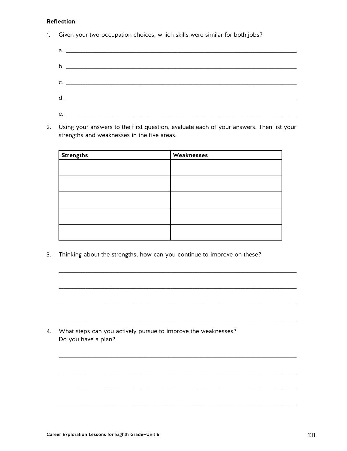### **Reflection**

 $1.$ Given your two occupation choices, which skills were similar for both jobs?

| $C.$ $\qquad \qquad$ |
|----------------------|
|                      |
|                      |

2. Using your answers to the first question, evaluate each of your answers. Then list your strengths and weaknesses in the five areas.

| <b>Strengths</b> | Weaknesses |
|------------------|------------|
|                  |            |
|                  |            |
|                  |            |
|                  |            |
|                  |            |

 $3.$ Thinking about the strengths, how can you continue to improve on these?

4. What steps can you actively pursue to improve the weaknesses? Do you have a plan?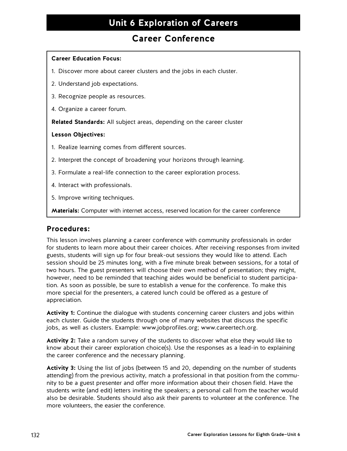### **Career Conference**

### **Career Education Focus:**

- 1. Discover more about career clusters and the jobs in each cluster.
- 2. Understand job expectations.
- 3. Recognize people as resources.
- 4. Organize a career forum.

**Related Standards:** All subject areas, depending on the career cluster

### **Lesson Objectives:**

- 1. Realize learning comes from different sources.
- 2. Interpret the concept of broadening your horizons through learning.
- 3. Formulate a real-life connection to the career exploration process.
- 4. Interact with professionals.
- 5. Improve writing techniques.

**Materials:** Computer with internet access, reserved location for the career conference

### **Procedures:**

This lesson involves planning a career conference with community professionals in order for students to learn more about their career choices. After receiving responses from invited guests, students will sign up for four break-out sessions they would like to attend. Each session should be 25 minutes long, with a five minute break between sessions, for a total of two hours. The guest presenters will choose their own method of presentation; they might, however, need to be reminded that teaching aides would be beneficial to student participation. As soon as possible, be sure to establish a venue for the conference. To make this more special for the presenters, a catered lunch could be offered as a gesture of appreciation.

Activity 1: Continue the dialogue with students concerning career clusters and jobs within each cluster. Guide the students through one of many websites that discuss the specific jobs, as well as clusters. Example: www.jobprofiles.org; www.careertech.org.

**Activity 2:** Take a random survey of the students to discover what else they would like to know about their career exploration choice(s). Use the responses as a lead-in to explaining the career conference and the necessary planning.

**Activity 3:** Using the list of jobs (between 15 and 20, depending on the number of students attending) from the previous activity, match a professional in that position from the community to be a guest presenter and offer more information about their chosen field. Have the students write (and edit) letters inviting the speakers; a personal call from the teacher would also be desirable. Students should also ask their parents to volunteer at the conference. The more volunteers, the easier the conference.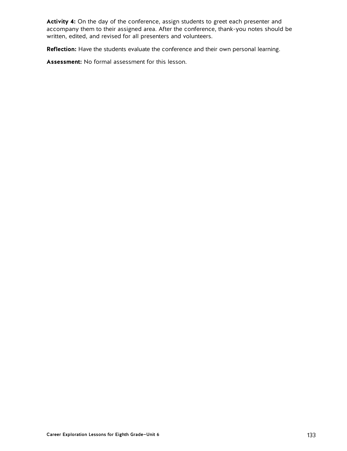**Activity 4:** On the day of the conference, assign students to greet each presenter and accompany them to their assigned area. After the conference, thank-you notes should be written, edited, and revised for all presenters and volunteers.

**Reflection:** Have the students evaluate the conference and their own personal learning.

**Assessment:** No formal assessment for this lesson.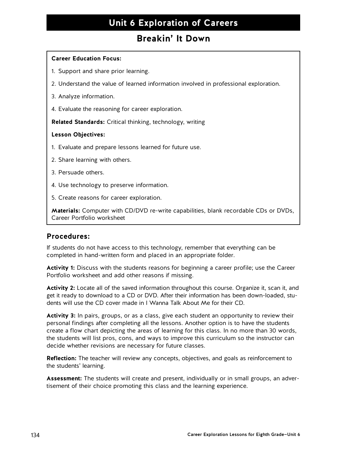### **Breakin' It Down**

### **Career Education Focus:**

- 1. Support and share prior learning.
- 2. Understand the value of learned information involved in professional exploration.
- 3. Analyze information.
- 4. Evaluate the reasoning for career exploration.

**Related Standards:** Critical thinking, technology, writing

### **Lesson Objectives:**

- 1. Evaluate and prepare lessons learned for future use.
- 2. Share learning with others.
- 3. Persuade others.
- 4. Use technology to preserve information.
- 5. Create reasons for career exploration.

**Materials:** Computer with CD/DVD re-write capabilities, blank recordable CDs or DVDs, Career Portfolio worksheet

### **Procedures:**

If students do not have access to this technology, remember that everything can be completed in hand-written form and placed in an appropriate folder.

**Activity 1:** Discuss with the students reasons for beginning a career profile; use the Career Portfolio worksheet and add other reasons if missing.

**Activity 2:** Locate all of the saved information throughout this course. Organize it, scan it, and get it ready to download to a CD or DVD. After their information has been down-loaded, students will use the CD cover made in I Wanna Talk About Me for their CD.

**Activity 3:** In pairs, groups, or as a class, give each student an opportunity to review their personal findings after completing all the lessons. Another option is to have the students create a flow chart depicting the areas of learning for this class. In no more than 30 words, the students will list pros, cons, and ways to improve this curriculum so the instructor can decide whether revisions are necessary for future classes.

**Reflection:** The teacher will review any concepts, objectives, and goals as reinforcement to the students' learning.

**Assessment:** The students will create and present, individually or in small groups, an advertisement of their choice promoting this class and the learning experience.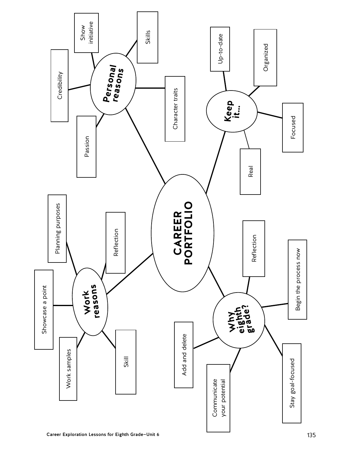